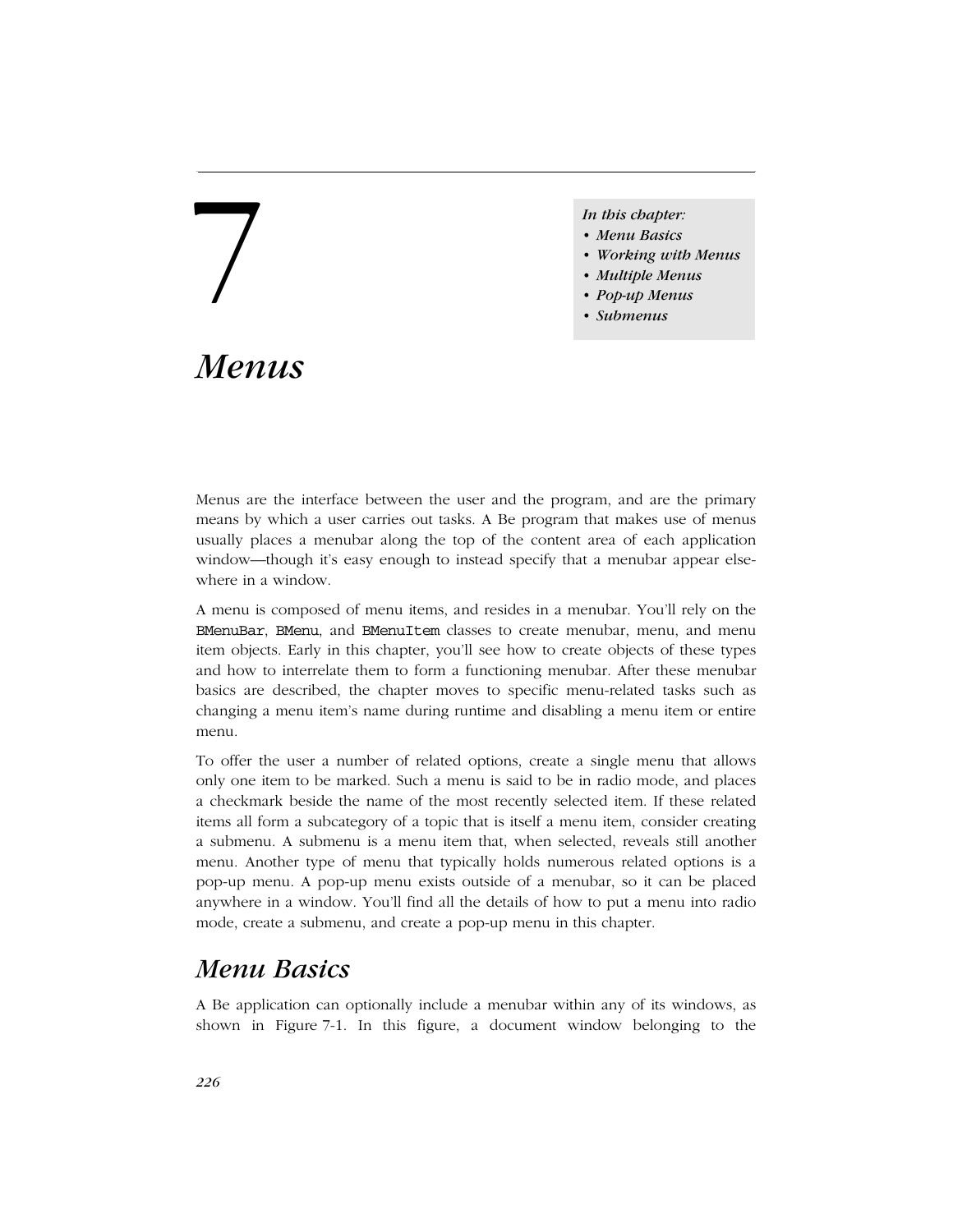## *In this chapter:*

- *Menu Basics*
- *Working with Menus*
- *Multiple Menus In this chapter:*<br>
• Menu Basics<br>
• Working with<br>
• Multiple Menu<br>
• Pop-up Menus<br>
• Submenus
	-
	- *Submenus*

# *Menus 7.*

Menus are the interface between the user and the program, and are the primary means by which a user carries out tasks. A Be program that makes use of menus usually places a menubar along the top of the content area of each application window—though it's easy enough to instead specify that a menubar appear elsewhere in a window.

A menu is composed of menu items, and resides in a menubar. You'll rely on the BMenuBar, BMenu, and BMenuItem classes to create menubar, menu, and menu item objects. Early in this chapter, you'll see how to create objects of these types and how to interrelate them to form a functioning menubar. After these menubar basics are described, the chapter moves to specific menu-related tasks such as changing a menu item's name during runtime and disabling a menu item or entire menu.

To offer the user a number of related options, create a single menu that allows only one item to be marked. Such a menu is said to be in radio mode, and places a checkmark beside the name of the most recently selected item. If these related items all form a subcategory of a topic that is itself a menu item, consider creating a submenu. A submenu is a menu item that, when selected, reveals still another menu. Another type of menu that typically holds numerous related options is a pop-up menu. A pop-up menu exists outside of a menubar, so it can be placed anywhere in a window. You'll find all the details of how to put a menu into radio mode, create a submenu, and create a pop-up menu in this chapter.

## *Menu Basics*

A Be application can optionally include a menubar within any of its windows, as shown in Figure 7-1. In this figure, a document window belonging to the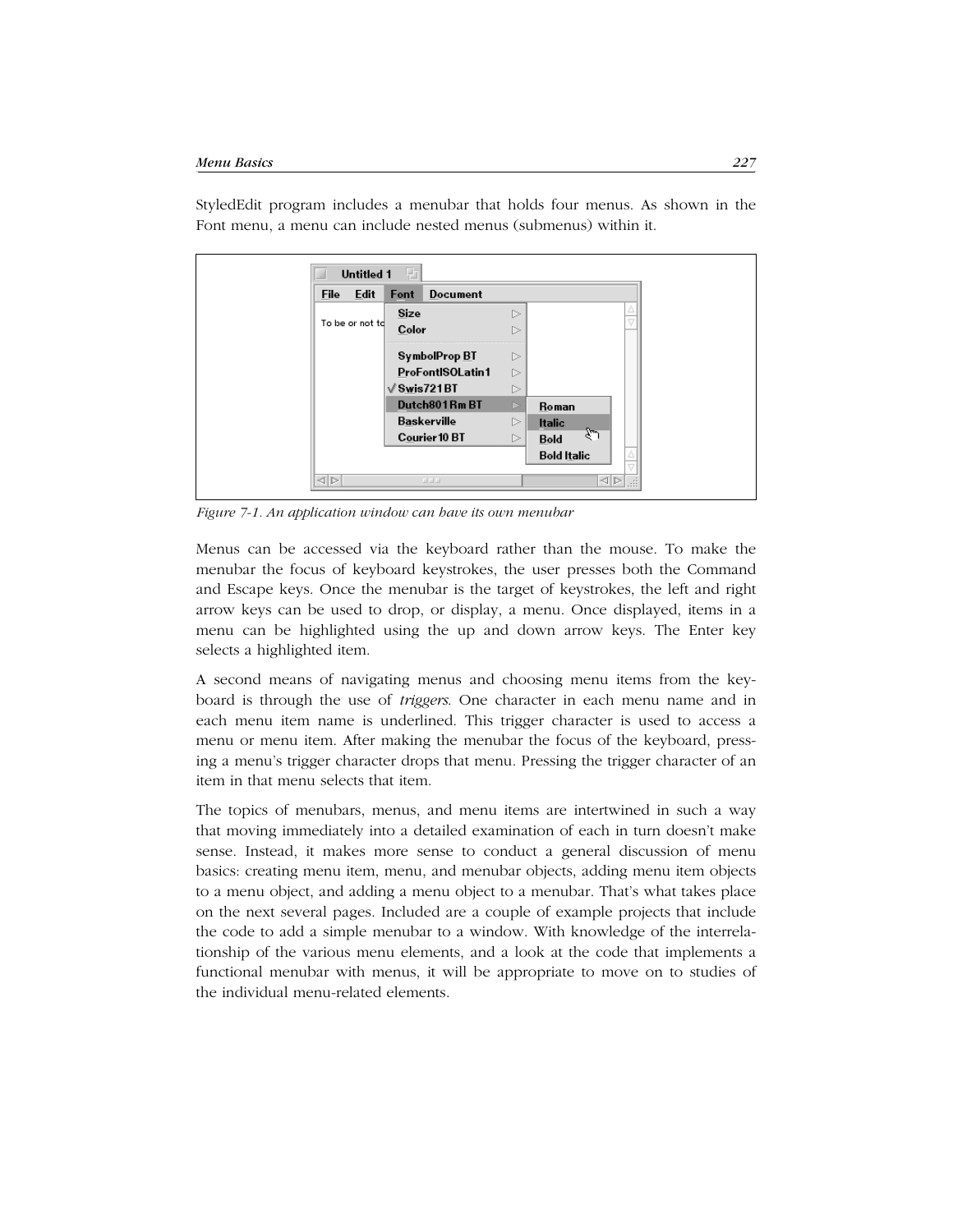| Edit<br>File<br>Font | <b>Document</b>            |   |                    |  |
|----------------------|----------------------------|---|--------------------|--|
|                      | Size                       | Þ |                    |  |
| To be or not td      | Color                      | Þ |                    |  |
|                      | SymbolProp BT              | Þ |                    |  |
|                      | ProFontISOLatin1           | Þ |                    |  |
|                      | $\sqrt{\text{Swis}}$ 721BT | ▷ |                    |  |
|                      | Dutch801Rm BT              | Þ | Roman              |  |
|                      | Baskerville                | ▷ | <b>Italic</b>      |  |
|                      | Courier 10 BT              | Þ | لمستهج<br>Bold     |  |
|                      |                            |   | <b>Bold Italic</b> |  |

StyledEdit program includes a menubar that holds four menus. As shown in the Font menu, a menu can include nested menus (submenus) within it.

*Figure 7-1. An application window can have its own menubar*

Menus can be accessed via the keyboard rather than the mouse. To make the menubar the focus of keyboard keystrokes, the user presses both the Command and Escape keys. Once the menubar is the target of keystrokes, the left and right arrow keys can be used to drop, or display, a menu. Once displayed, items in a menu can be highlighted using the up and down arrow keys. The Enter key selects a highlighted item.

A second means of navigating menus and choosing menu items from the keyboard is through the use of *triggers*. One character in each menu name and in each menu item name is underlined. This trigger character is used to access a menu or menu item. After making the menubar the focus of the keyboard, pressing a menu's trigger character drops that menu. Pressing the trigger character of an item in that menu selects that item.

The topics of menubars, menus, and menu items are intertwined in such a way that moving immediately into a detailed examination of each in turn doesn't make sense. Instead, it makes more sense to conduct a general discussion of menu basics: creating menu item, menu, and menubar objects, adding menu item objects to a menu object, and adding a menu object to a menubar. That's what takes place on the next several pages. Included are a couple of example projects that include the code to add a simple menubar to a window. With knowledge of the interrelationship of the various menu elements, and a look at the code that implements a functional menubar with menus, it will be appropriate to move on to studies of the individual menu-related elements.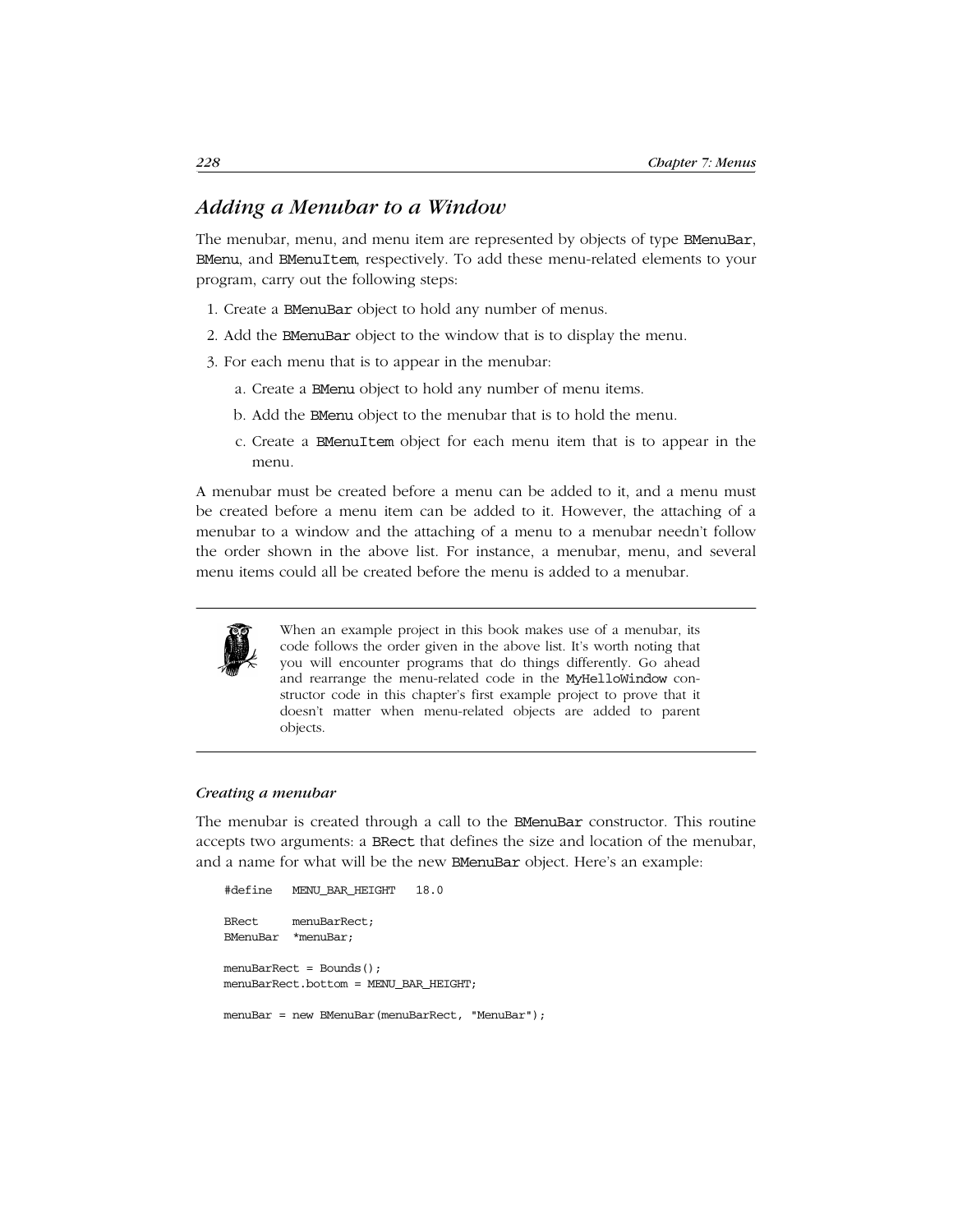## *Adding a Menubar to a Window*

The menubar, menu, and menu item are represented by objects of type BMenuBar, BMenu, and BMenuItem, respectively. To add these menu-related elements to your program, carry out the following steps:

- 1. Create a BMenuBar object to hold any number of menus.
- 2. Add the BMenuBar object to the window that is to display the menu.
- 3. For each menu that is to appear in the menubar:
	- a. Create a BMenu object to hold any number of menu items.
	- b. Add the BMenu object to the menubar that is to hold the menu.
	- c. Create a BMenuItem object for each menu item that is to appear in the menu.

A menubar must be created before a menu can be added to it, and a menu must be created before a menu item can be added to it. However, the attaching of a menubar to a window and the attaching of a menu to a menubar needn't follow the order shown in the above list. For instance, a menubar, menu, and several menu items could all be created before the menu is added to a menubar.



When an example project in this book makes use of a menubar, its code follows the order given in the above list. It's worth noting that you will encounter programs that do things differently. Go ahead and rearrange the menu-related code in the MyHelloWindow constructor code in this chapter's first example project to prove that it doesn't matter when menu-related objects are added to parent objects.

#### *Creating a menubar*

The menubar is created through a call to the BMenuBar constructor. This routine accepts two arguments: a BRect that defines the size and location of the menubar, and a name for what will be the new BMenuBar object. Here's an example:

```
#define MENU_BAR_HEIGHT 18.0
BRect menuBarRect;
BMenuBar *menuBar;
menuBarRect = Bounds();
menuBarRect.bottom = MENU_BAR_HEIGHT;
menuBar = new BMenuBar(menuBarRect, "MenuBar");
```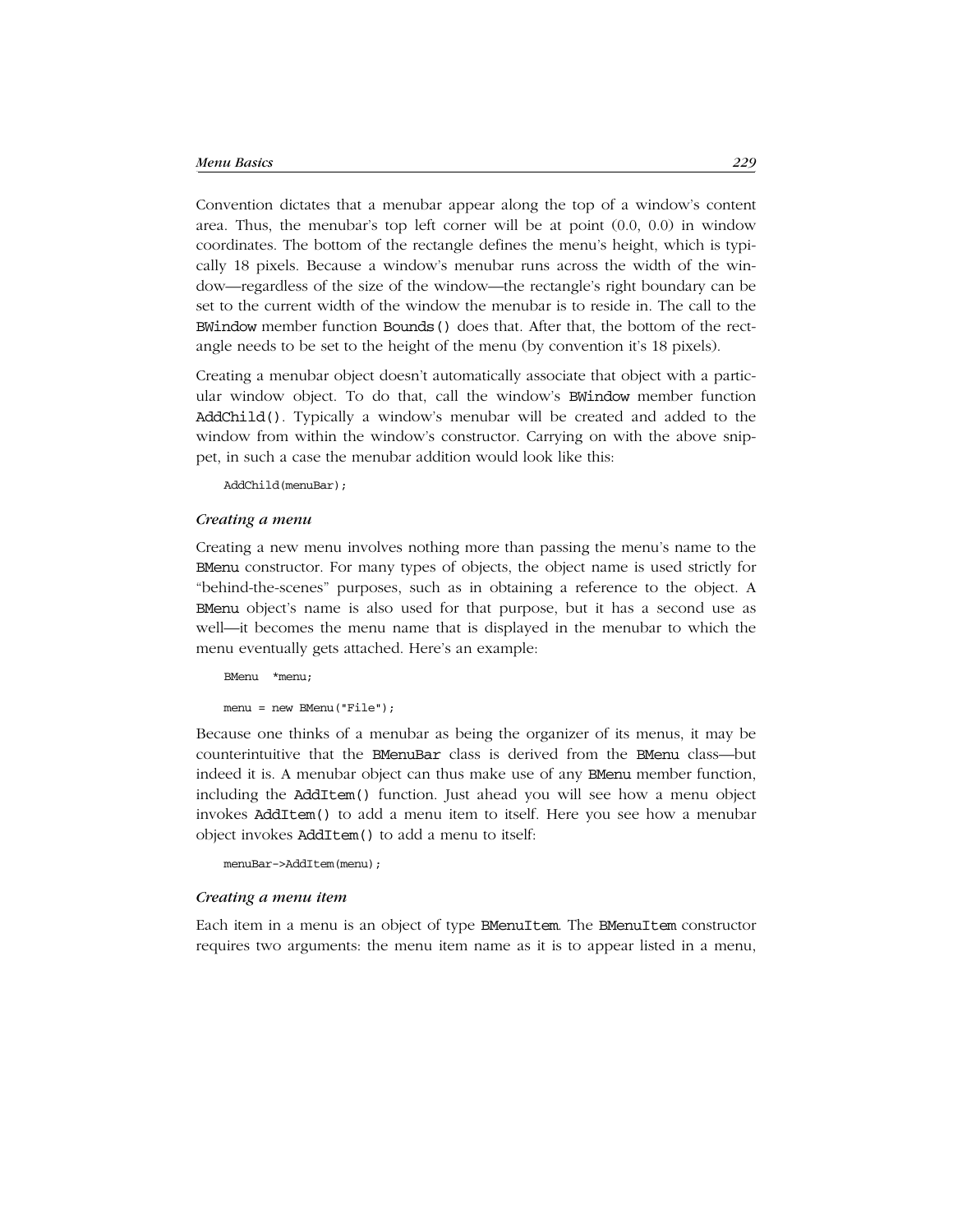Convention dictates that a menubar appear along the top of a window's content area. Thus, the menubar's top left corner will be at point (0.0, 0.0) in window coordinates. The bottom of the rectangle defines the menu's height, which is typically 18 pixels. Because a window's menubar runs across the width of the window—regardless of the size of the window—the rectangle's right boundary can be set to the current width of the window the menubar is to reside in. The call to the BWindow member function Bounds() does that. After that, the bottom of the rectangle needs to be set to the height of the menu (by convention it's 18 pixels).

Creating a menubar object doesn't automatically associate that object with a particular window object. To do that, call the window's BWindow member function AddChild(). Typically a window's menubar will be created and added to the window from within the window's constructor. Carrying on with the above snippet, in such a case the menubar addition would look like this:

AddChild(menuBar);

#### *Creating a menu*

Creating a new menu involves nothing more than passing the menu's name to the BMenu constructor. For many types of objects, the object name is used strictly for "behind-the-scenes" purposes, such as in obtaining a reference to the object. A BMenu object's name is also used for that purpose, but it has a second use as well—it becomes the menu name that is displayed in the menubar to which the menu eventually gets attached. Here's an example:

BMenu \*menu;

menu = new BMenu("File");

Because one thinks of a menubar as being the organizer of its menus, it may be counterintuitive that the BMenuBar class is derived from the BMenu class—but indeed it is. A menubar object can thus make use of any BMenu member function, including the AddItem() function. Just ahead you will see how a menu object invokes AddItem() to add a menu item to itself. Here you see how a menubar object invokes AddItem() to add a menu to itself:

```
menuBar->AddItem(menu);
```
#### *Creating a menu item*

Each item in a menu is an object of type BMenuItem. The BMenuItem constructor requires two arguments: the menu item name as it is to appear listed in a menu,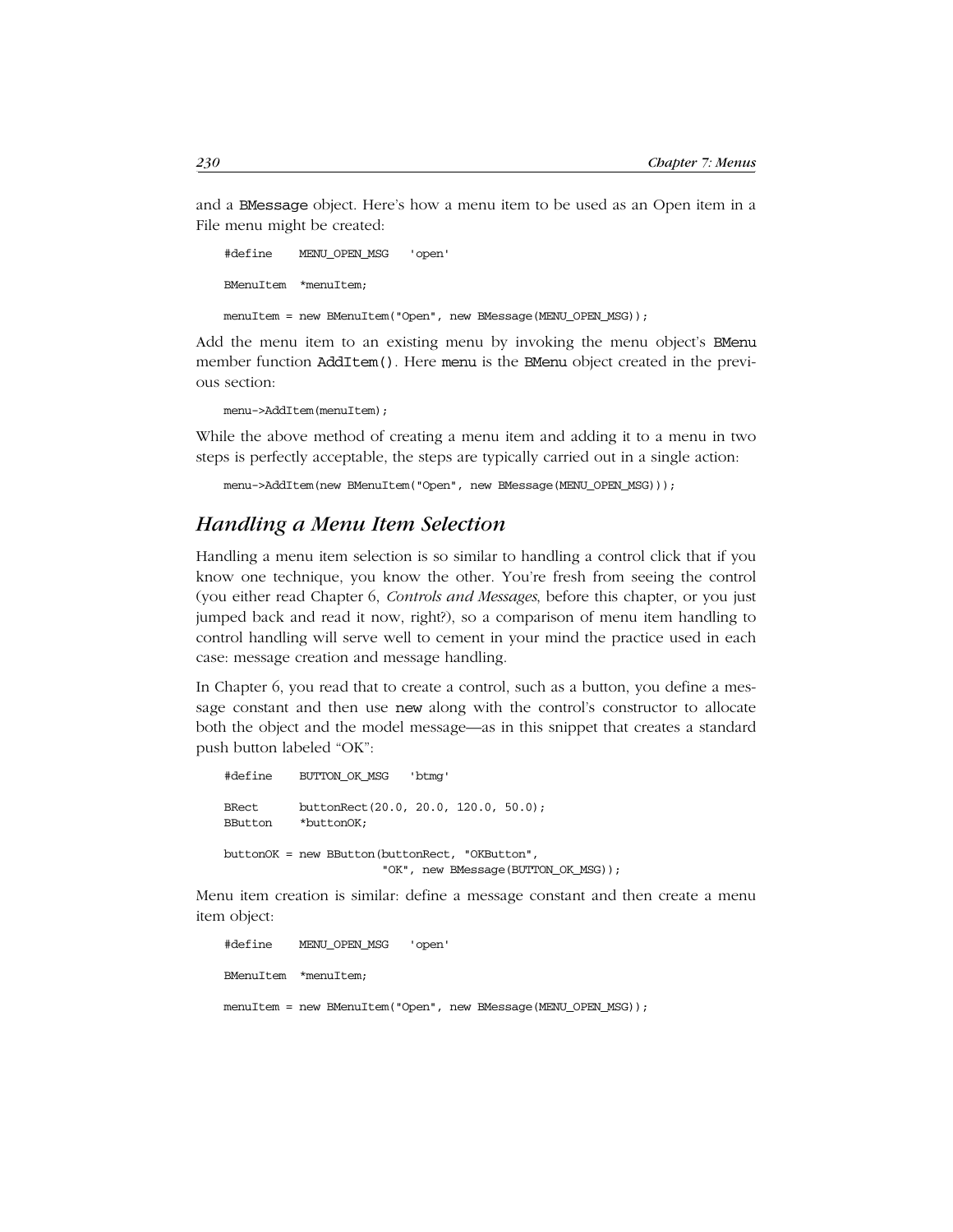and a BMessage object. Here's how a menu item to be used as an Open item in a File menu might be created:

```
#define MENU_OPEN_MSG 'open'
BMenuItem *menuItem;
menuItem = new BMenuItem("Open", new BMessage(MENU_OPEN_MSG));
```
Add the menu item to an existing menu by invoking the menu object's BMenu member function AddItem(). Here menu is the BMenu object created in the previous section:

menu->AddItem(menuItem);

While the above method of creating a menu item and adding it to a menu in two steps is perfectly acceptable, the steps are typically carried out in a single action:

menu->AddItem(new BMenuItem("Open", new BMessage(MENU OPEN MSG)));

## *Handling a Menu Item Selection*

Handling a menu item selection is so similar to handling a control click that if you know one technique, you know the other. You're fresh from seeing the control (you either read Chapter 6, *Controls and Messages*, before this chapter, or you just jumped back and read it now, right?), so a comparison of menu item handling to control handling will serve well to cement in your mind the practice used in each case: message creation and message handling.

In Chapter 6, you read that to create a control, such as a button, you define a message constant and then use new along with the control's constructor to allocate both the object and the model message—as in this snippet that creates a standard push button labeled "OK":

```
#define BUTTON_OK_MSG 'btmg'
BRect buttonRect(20.0, 20.0, 120.0, 50.0);
BButton *buttonOK;
buttonOK = new BButton(buttonRect, "OKButton",
                       "OK", new BMessage(BUTTON_OK_MSG));
```
Menu item creation is similar: define a message constant and then create a menu item object:

```
#define MENU_OPEN_MSG 'open'
BMenuItem *menuItem;
menuItem = new BMenuItem("Open", new BMessage(MENU_OPEN_MSG));
```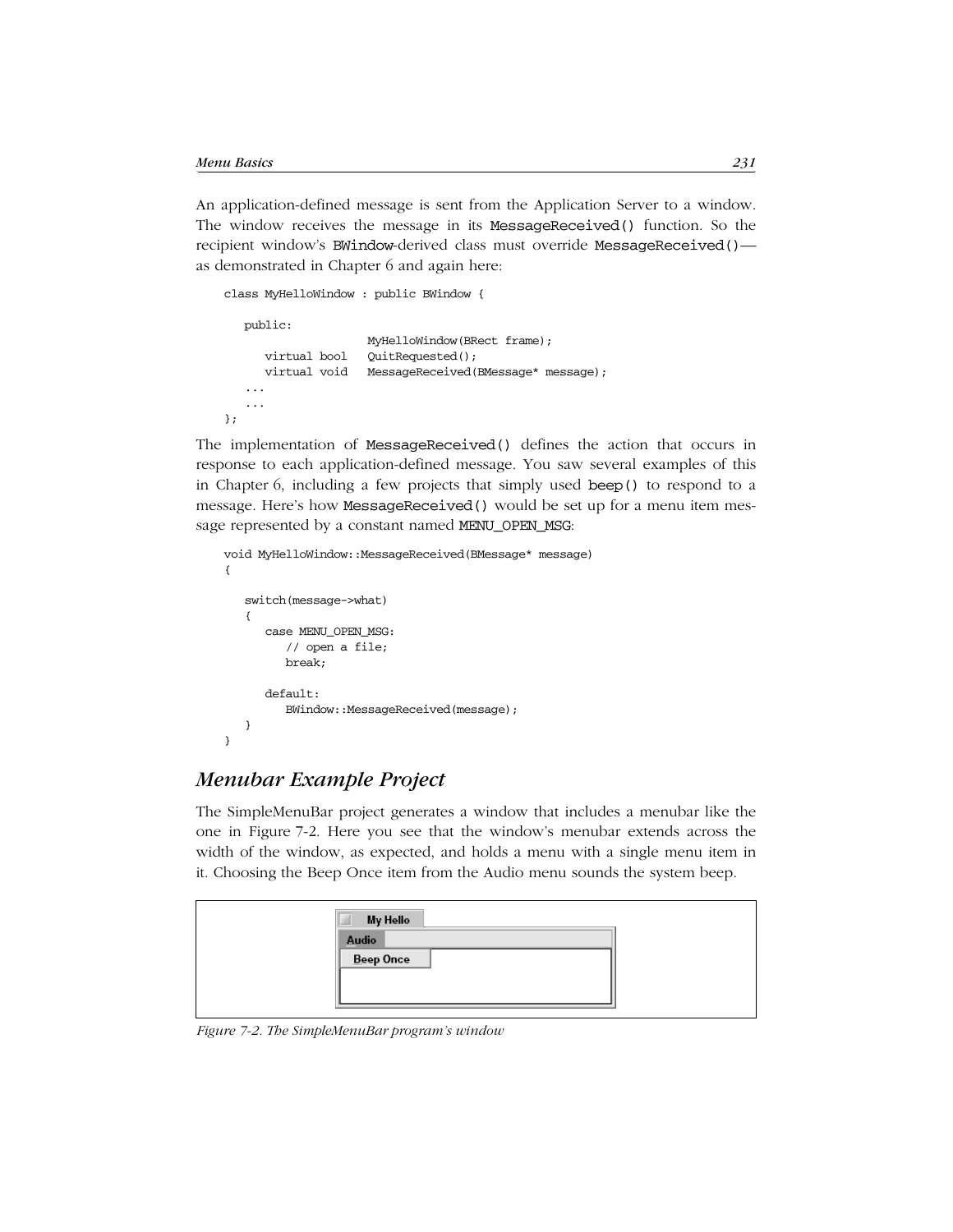An application-defined message is sent from the Application Server to a window. The window receives the message in its MessageReceived() function. So the recipient window's BWindow-derived class must override MessageReceived() as demonstrated in Chapter 6 and again here:

```
class MyHelloWindow : public BWindow {
   public:
                      MyHelloWindow(BRect frame);
       virtual bool QuitRequested();
       virtual void MessageReceived(BMessage* message);
    ...
    ...
};
```
The implementation of MessageReceived() defines the action that occurs in response to each application-defined message. You saw several examples of this in Chapter 6, including a few projects that simply used beep() to respond to a message. Here's how MessageReceived() would be set up for a menu item message represented by a constant named MENU\_OPEN\_MSG:

```
void MyHelloWindow::MessageReceived(BMessage* message)
{
    switch(message->what)
    {
       case MENU_OPEN_MSG:
          // open a file;
          break;
       default:
          BWindow::MessageReceived(message);
    }
}
```
## *Menubar Example Project*

The SimpleMenuBar project generates a window that includes a menubar like the one in Figure 7-2. Here you see that the window's menubar extends across the width of the window, as expected, and holds a menu with a single menu item in it. Choosing the Beep Once item from the Audio menu sounds the system beep.

| $\boxed{\mathbb{Z}}$<br>My Hello |  |
|----------------------------------|--|
| <b>Audio</b><br>--               |  |
| Beep Once                        |  |
|                                  |  |
|                                  |  |

*Figure 7-2. The SimpleMenuBar program's window*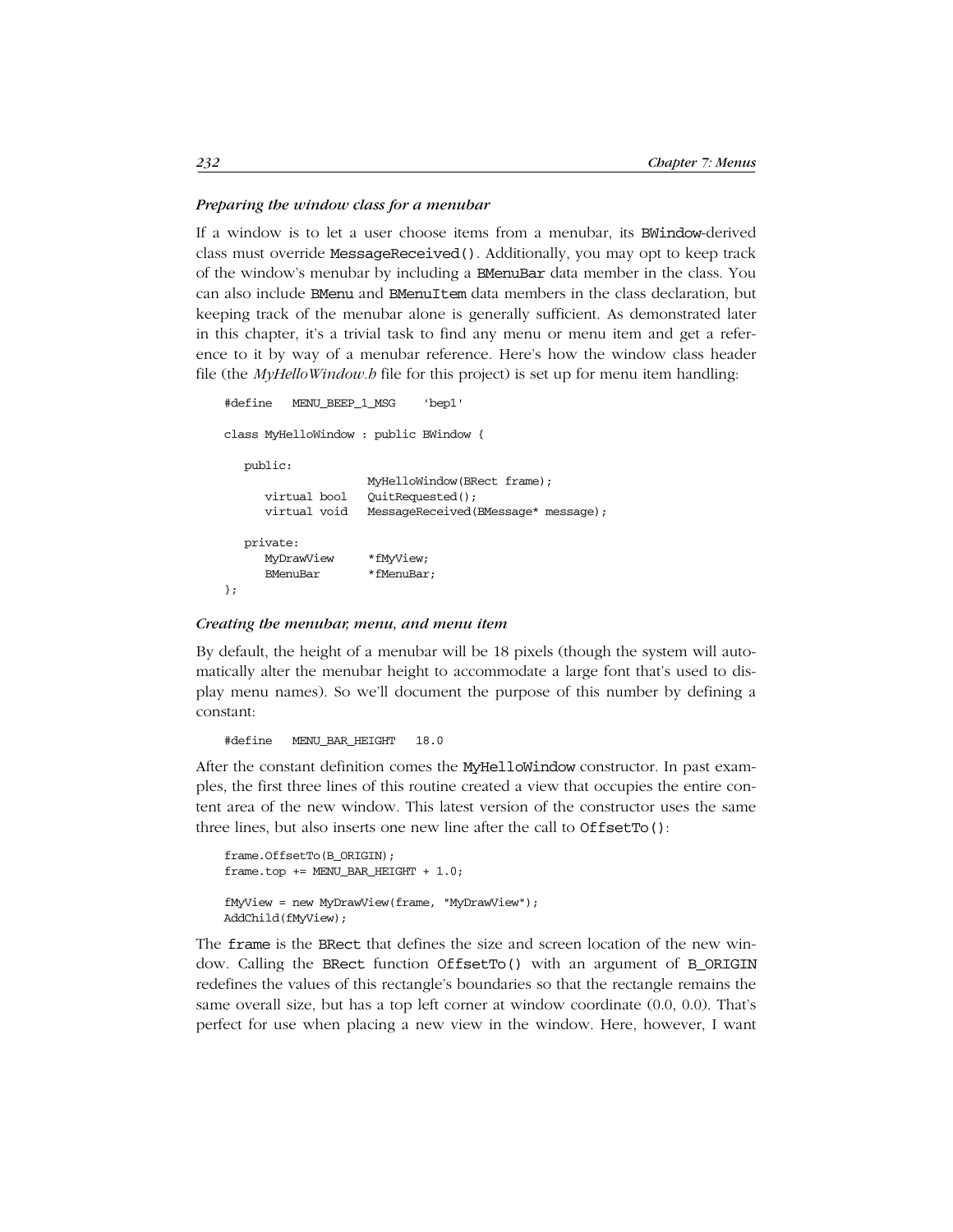#### *Preparing the window class for a menubar*

If a window is to let a user choose items from a menubar, its BWindow-derived class must override MessageReceived(). Additionally, you may opt to keep track of the window's menubar by including a BMenuBar data member in the class. You can also include BMenu and BMenuItem data members in the class declaration, but keeping track of the menubar alone is generally sufficient. As demonstrated later in this chapter, it's a trivial task to find any menu or menu item and get a reference to it by way of a menubar reference. Here's how the window class header file (the *MyHelloWindow.h* file for this project) is set up for menu item handling:

```
#define MENU_BEEP_1_MSG 'bep1'
class MyHelloWindow : public BWindow {
   public:
                     MyHelloWindow(BRect frame);
     virtual bool  QuitRequested();
      virtual void MessageReceived(BMessage* message);
   private:
      MyDrawView *fMyView;
     BMenuBar *fMenuBar;
};
```
#### *Creating the menubar, menu, and menu item*

By default, the height of a menubar will be 18 pixels (though the system will automatically alter the menubar height to accommodate a large font that's used to display menu names). So we'll document the purpose of this number by defining a constant:

```
#define MENU_BAR_HEIGHT 18.0
```
After the constant definition comes the MyHelloWindow constructor. In past examples, the first three lines of this routine created a view that occupies the entire content area of the new window. This latest version of the constructor uses the same three lines, but also inserts one new line after the call to OffsetTo():

```
frame.OffsetTo(B_ORIGIN);
frame.top += MENU_BAR_HEIGHT + 1.0;fMyView = new MyDrawView(frame, "MyDrawView");
AddChild(fMyView);
```
The frame is the BRect that defines the size and screen location of the new window. Calling the BRect function OffsetTo() with an argument of B\_ORIGIN redefines the values of this rectangle's boundaries so that the rectangle remains the same overall size, but has a top left corner at window coordinate (0.0, 0.0). That's perfect for use when placing a new view in the window. Here, however, I want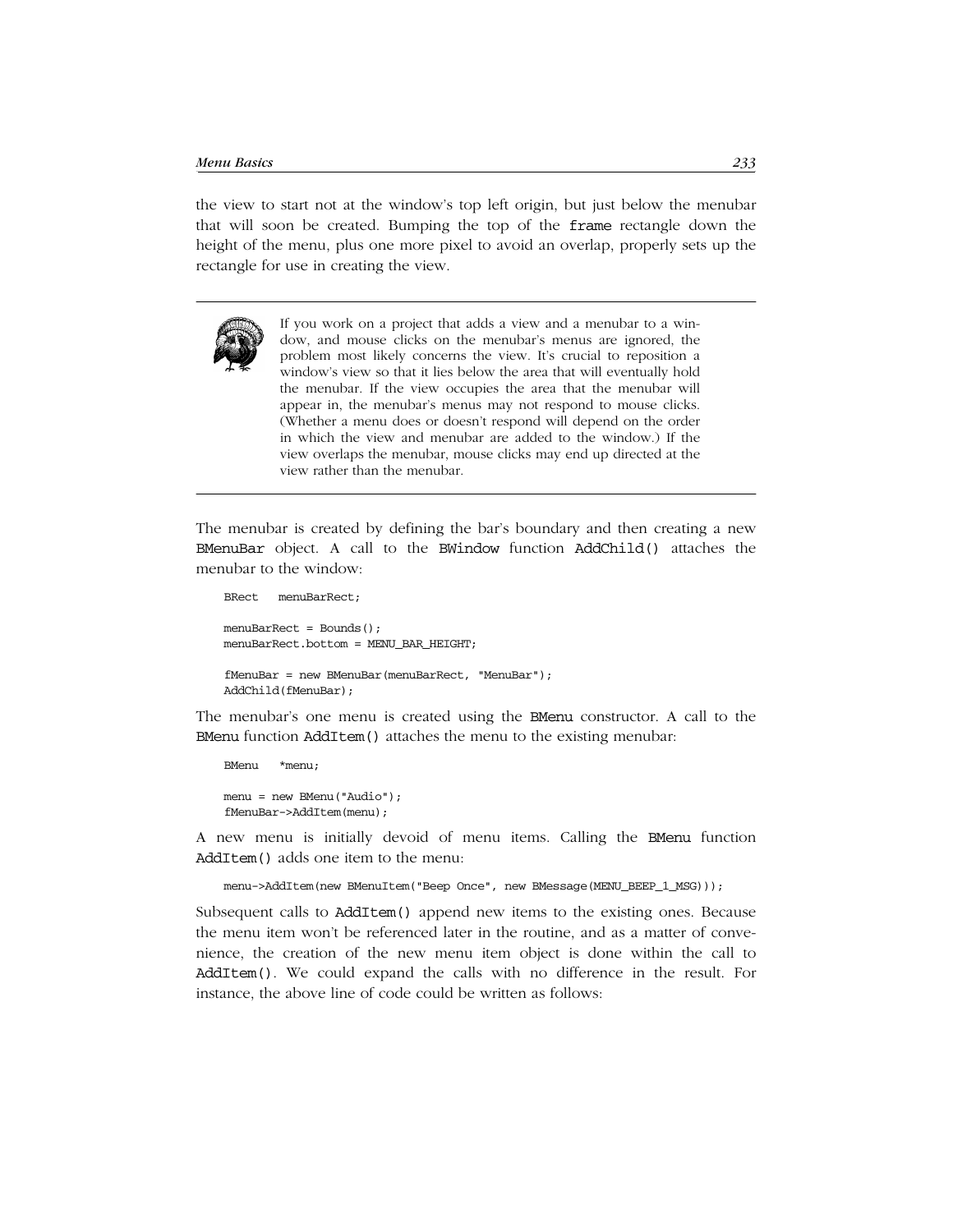the view to start not at the window's top left origin, but just below the menubar that will soon be created. Bumping the top of the frame rectangle down the height of the menu, plus one more pixel to avoid an overlap, properly sets up the rectangle for use in creating the view.



If you work on a project that adds a view and a menubar to a window, and mouse clicks on the menubar's menus are ignored, the problem most likely concerns the view. It's crucial to reposition a window's view so that it lies below the area that will eventually hold the menubar. If the view occupies the area that the menubar will appear in, the menubar's menus may not respond to mouse clicks. (Whether a menu does or doesn't respond will depend on the order in which the view and menubar are added to the window.) If the view overlaps the menubar, mouse clicks may end up directed at the view rather than the menubar.

The menubar is created by defining the bar's boundary and then creating a new BMenuBar object. A call to the BWindow function AddChild() attaches the menubar to the window:

```
BRect menuBarRect;
menuBarRect = Bounds();
menuBarRect.bottom = MENU_BAR_HEIGHT;
fMenuBar = new BMenuBar(menuBarRect, "MenuBar");
AddChild(fMenuBar);
```
The menubar's one menu is created using the BMenu constructor. A call to the BMenu function AddItem() attaches the menu to the existing menubar:

```
BMenu *menu;
menu = new BMenu("Audio");
fMenuBar->AddItem(menu);
```
A new menu is initially devoid of menu items. Calling the BMenu function AddItem() adds one item to the menu:

menu->AddItem(new BMenuItem("Beep Once", new BMessage(MENU\_BEEP\_1\_MSG)));

Subsequent calls to AddItem() append new items to the existing ones. Because the menu item won't be referenced later in the routine, and as a matter of convenience, the creation of the new menu item object is done within the call to AddItem(). We could expand the calls with no difference in the result. For instance, the above line of code could be written as follows: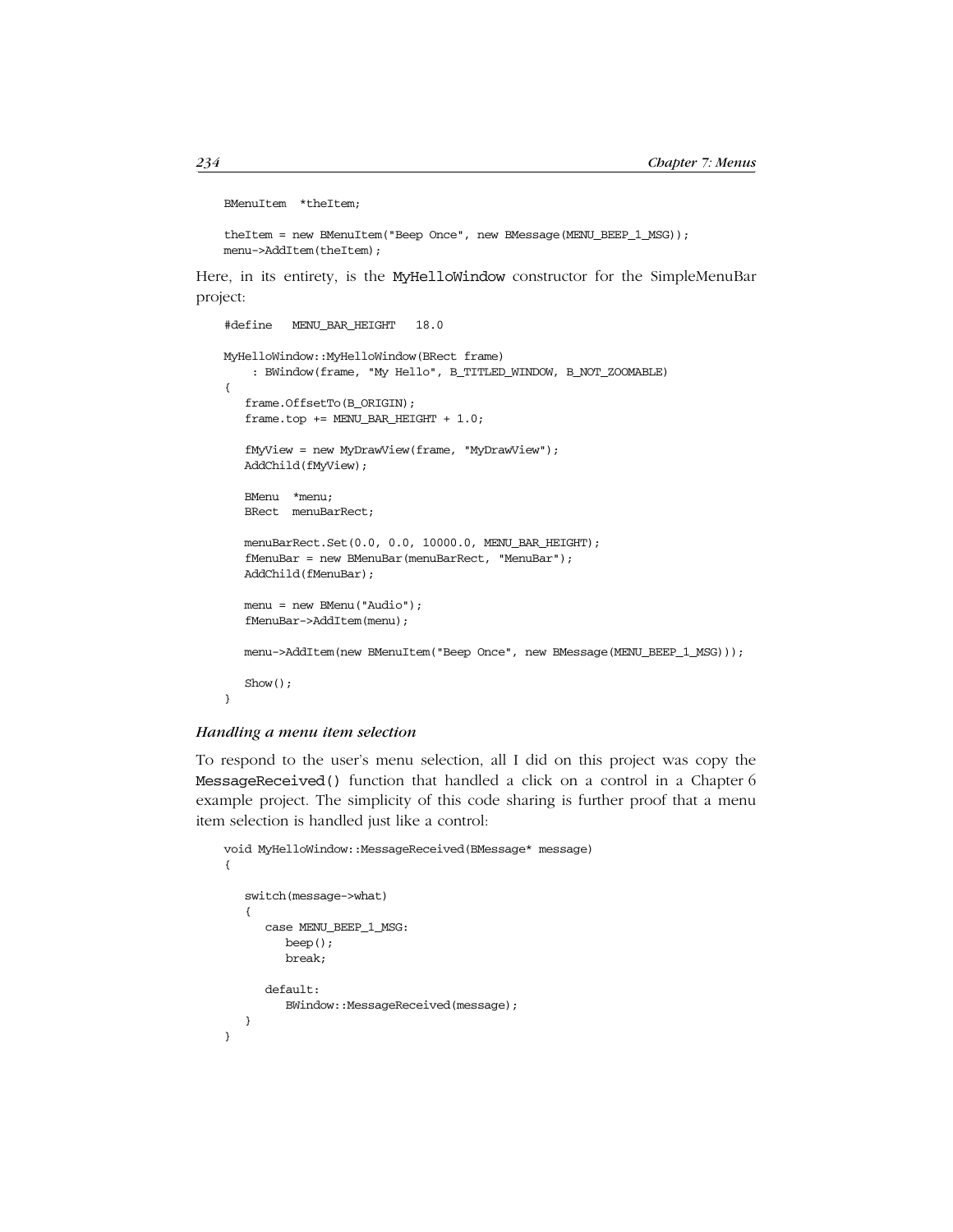```
BMenuItem *theItem;
theItem = new BMenuItem("Beep Once", new BMessage(MENU_BEEP_1_MSG));
menu->AddItem(theItem);
```
Here, in its entirety, is the MyHelloWindow constructor for the SimpleMenuBar project:

```
#define MENU_BAR_HEIGHT 18.0
MyHelloWindow::MyHelloWindow(BRect frame)
     : BWindow(frame, "My Hello", B_TITLED_WINDOW, B_NOT_ZOOMABLE)
{
    frame.OffsetTo(B_ORIGIN);
    frame.top += MENU_BAR_HEIGHT + 1.0;
    fMyView = new MyDrawView(frame, "MyDrawView");
   AddChild(fMyView);
    BMenu *menu;
   BRect menuBarRect;
   menuBarRect.Set(0.0, 0.0, 10000.0, MENU_BAR_HEIGHT);
    fMenuBar = new BMenuBar(menuBarRect, "MenuBar");
   AddChild(fMenuBar);
  menu = new BMenu("Audio");
    fMenuBar->AddItem(menu);
   menu->AddItem(new BMenuItem("Beep Once", new BMessage(MENU_BEEP_1_MSG)));
   Show();
}
```
#### *Handling a menu item selection*

To respond to the user's menu selection, all I did on this project was copy the MessageReceived() function that handled a click on a control in a Chapter 6 example project. The simplicity of this code sharing is further proof that a menu item selection is handled just like a control:

```
void MyHelloWindow::MessageReceived(BMessage* message)
{
    switch(message->what)
    {
       case MENU_BEEP_1_MSG:
          beep();
          break;
       default:
          BWindow::MessageReceived(message);
    }
}
```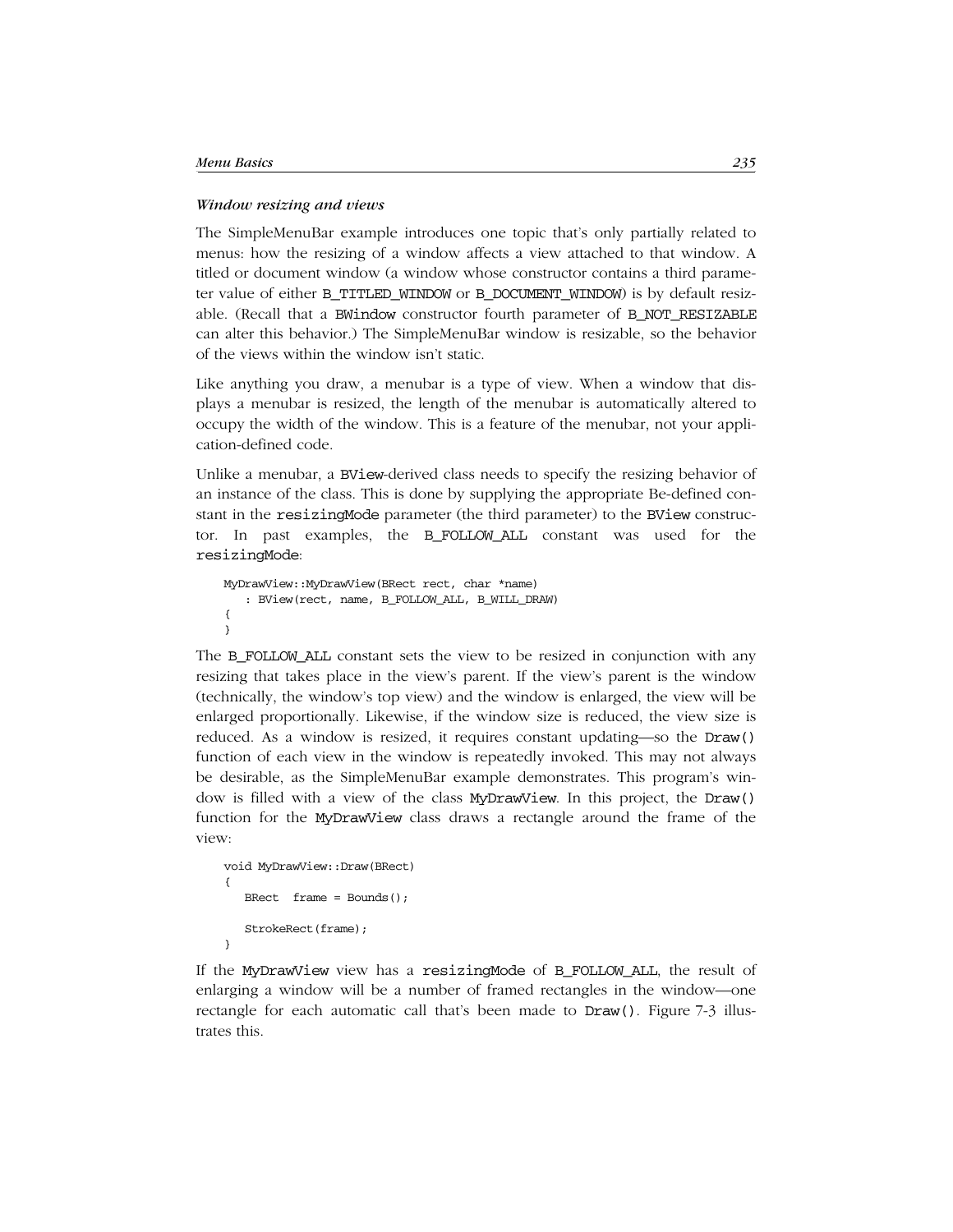#### *Window resizing and views*

The SimpleMenuBar example introduces one topic that's only partially related to menus: how the resizing of a window affects a view attached to that window. A titled or document window (a window whose constructor contains a third parameter value of either B\_TITLED\_WINDOW or B\_DOCUMENT\_WINDOW) is by default resizable. (Recall that a BWindow constructor fourth parameter of B\_NOT\_RESIZABLE can alter this behavior.) The SimpleMenuBar window is resizable, so the behavior of the views within the window isn't static.

Like anything you draw, a menubar is a type of view. When a window that displays a menubar is resized, the length of the menubar is automatically altered to occupy the width of the window. This is a feature of the menubar, not your application-defined code.

Unlike a menubar, a BView-derived class needs to specify the resizing behavior of an instance of the class. This is done by supplying the appropriate Be-defined constant in the resizingMode parameter (the third parameter) to the BView constructor. In past examples, the B\_FOLLOW\_ALL constant was used for the resizingMode:

```
MyDrawView::MyDrawView(BRect rect, char *name)
    : BView(rect, name, B_FOLLOW_ALL, B_WILL_DRAW)
{
}
```
The B\_FOLLOW\_ALL constant sets the view to be resized in conjunction with any resizing that takes place in the view's parent. If the view's parent is the window (technically, the window's top view) and the window is enlarged, the view will be enlarged proportionally. Likewise, if the window size is reduced, the view size is reduced. As a window is resized, it requires constant updating—so the Draw() function of each view in the window is repeatedly invoked. This may not always be desirable, as the SimpleMenuBar example demonstrates. This program's window is filled with a view of the class MyDrawView. In this project, the Draw() function for the MyDrawView class draws a rectangle around the frame of the view:

```
void MyDrawView::Draw(BRect)
{
    BRect frame = Bounds();
    StrokeRect(frame);
}
```
If the MyDrawView view has a resizingMode of B\_FOLLOW\_ALL, the result of enlarging a window will be a number of framed rectangles in the window—one rectangle for each automatic call that's been made to Draw(). Figure 7-3 illustrates this.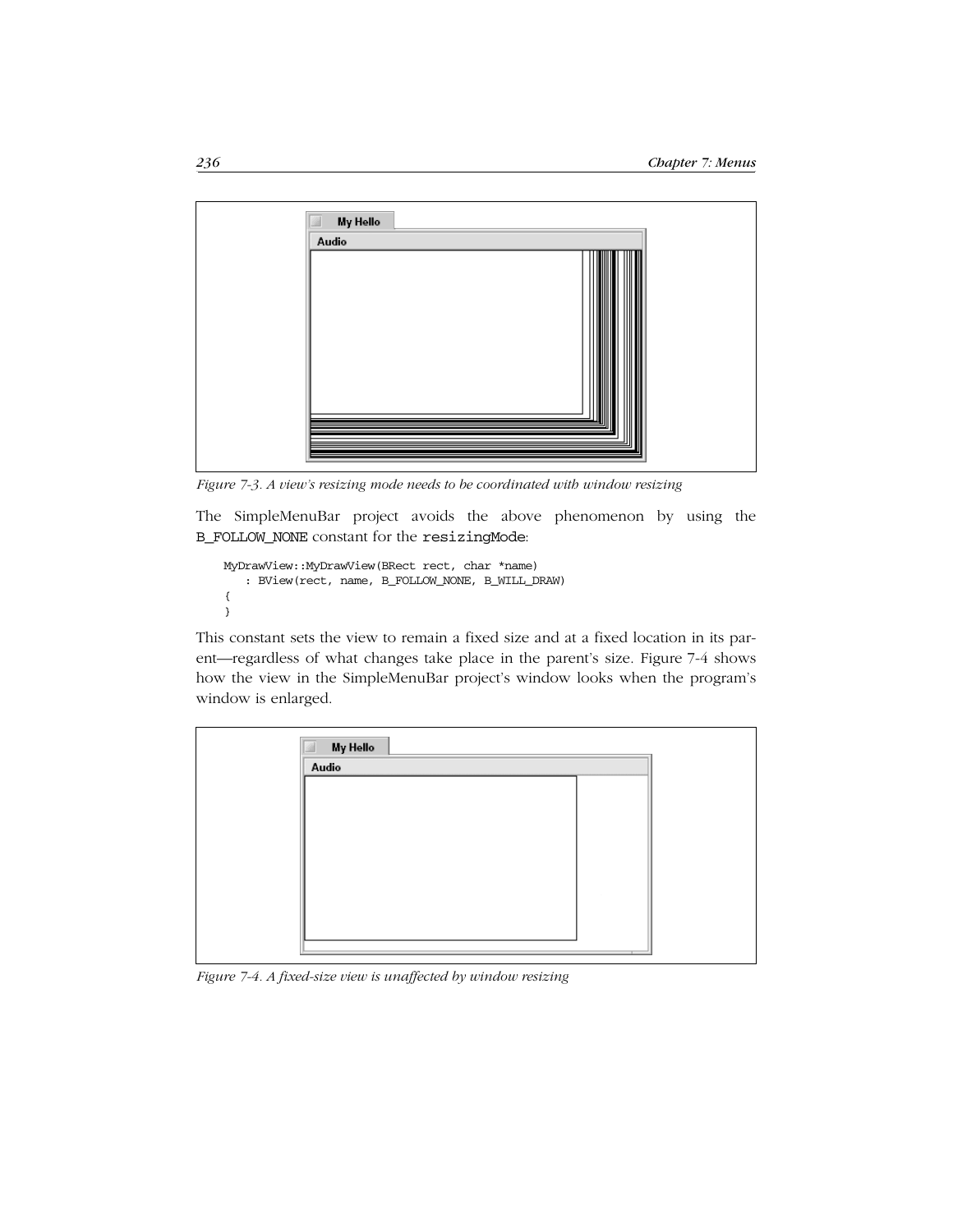

*Figure 7-3. A view's resizing mode needs to be coordinated with window resizing*

The SimpleMenuBar project avoids the above phenomenon by using the B\_FOLLOW\_NONE constant for the resizingMode:

```
MyDrawView::MyDrawView(BRect rect, char *name)
    : BView(rect, name, B_FOLLOW_NONE, B_WILL_DRAW)
{
}
```
This constant sets the view to remain a fixed size and at a fixed location in its parent—regardless of what changes take place in the parent's size. Figure 7-4 shows how the view in the SimpleMenuBar project's window looks when the program's window is enlarged.

| My Hello<br>1 |  |  |
|---------------|--|--|
| Audio         |  |  |
|               |  |  |
|               |  |  |
|               |  |  |
|               |  |  |
|               |  |  |
|               |  |  |
|               |  |  |
|               |  |  |
|               |  |  |
|               |  |  |

*Figure 7-4. A fixed-size view is unaffected by window resizing*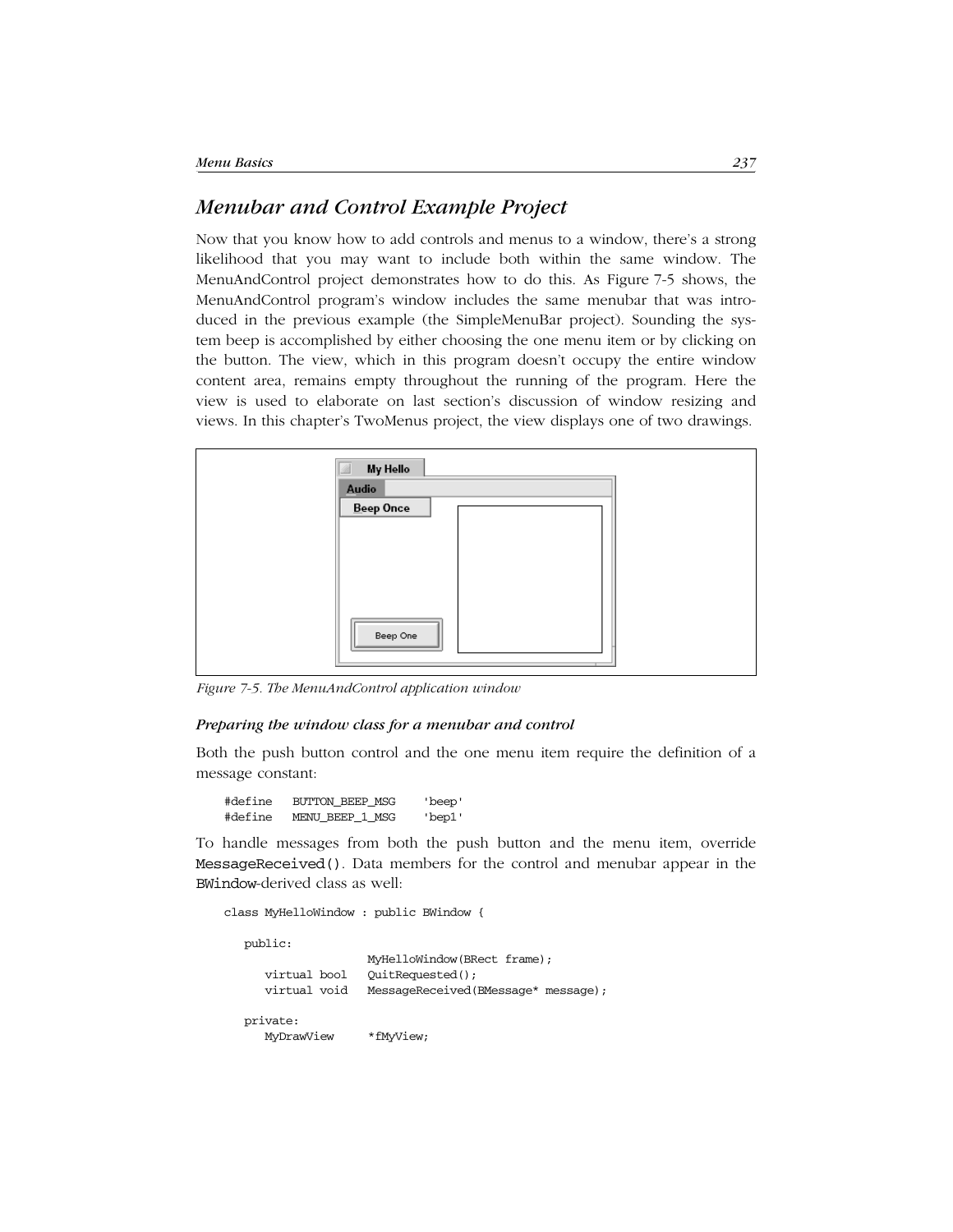## *Menubar and Control Example Project*

Now that you know how to add controls and menus to a window, there's a strong likelihood that you may want to include both within the same window. The MenuAndControl project demonstrates how to do this. As Figure 7-5 shows, the MenuAndControl program's window includes the same menubar that was introduced in the previous example (the SimpleMenuBar project). Sounding the system beep is accomplished by either choosing the one menu item or by clicking on the button. The view, which in this program doesn't occupy the entire window content area, remains empty throughout the running of the program. Here the view is used to elaborate on last section's discussion of window resizing and views. In this chapter's TwoMenus project, the view displays one of two drawings.



*Figure 7-5. The MenuAndControl application window*

#### *Preparing the window class for a menubar and control*

Both the push button control and the one menu item require the definition of a message constant:

#define BUTTON\_BEEP\_MSG 'beep' #define MENU\_BEEP\_1\_MSG 'bep1'

To handle messages from both the push button and the menu item, override MessageReceived(). Data members for the control and menubar appear in the BWindow-derived class as well:

class MyHelloWindow : public BWindow {

```
 public:
                   MyHelloWindow(BRect frame);
   virtual bool  QuitRequested();
    virtual void MessageReceived(BMessage* message);
 private:
   MyDrawView *fMyView;
```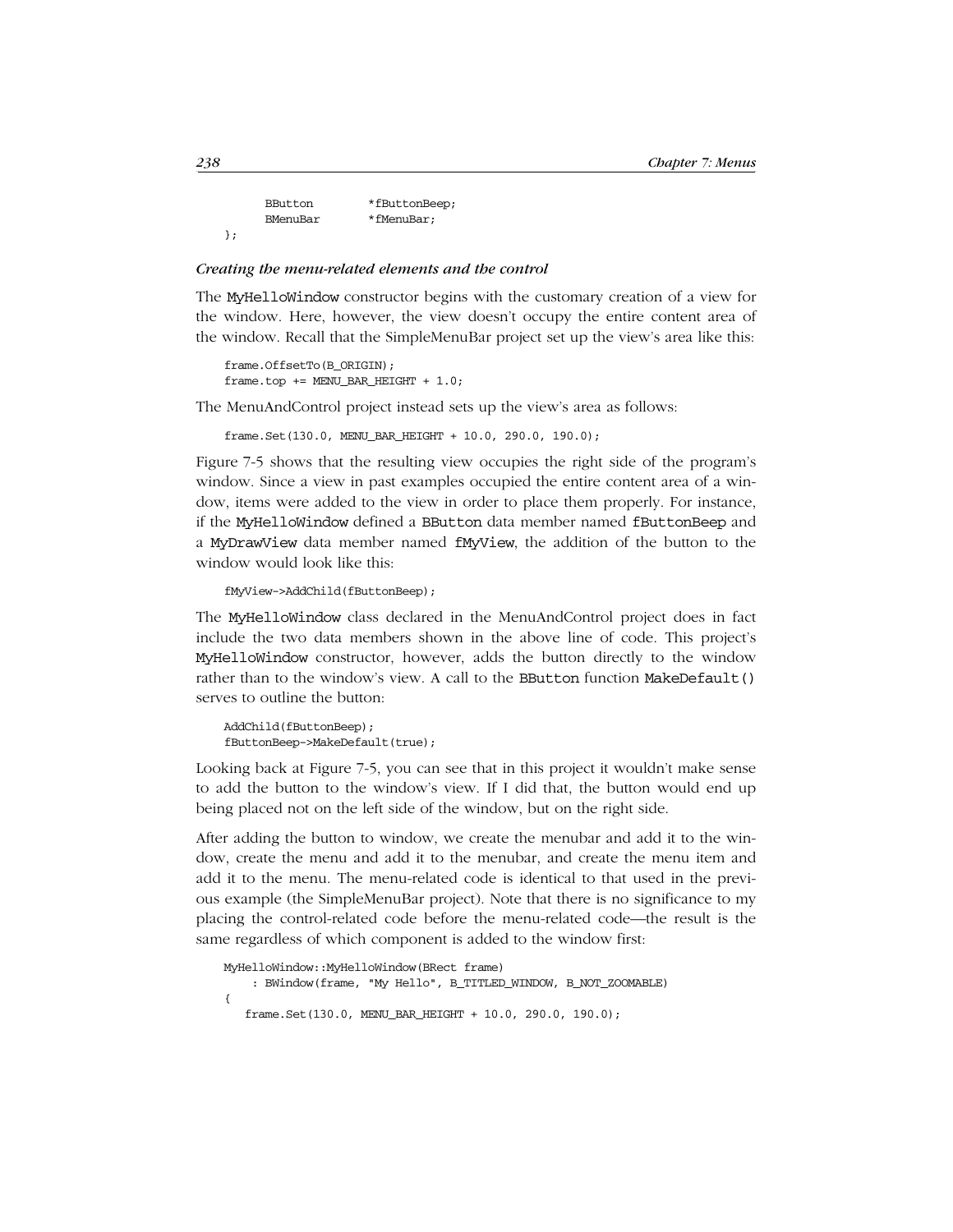|        | BButton  | *fButtonBeep; |
|--------|----------|---------------|
|        | BMenuBar | *fMenuBar;    |
| $\}$ ; |          |               |

#### *Creating the menu-related elements and the control*

The MyHelloWindow constructor begins with the customary creation of a view for the window. Here, however, the view doesn't occupy the entire content area of the window. Recall that the SimpleMenuBar project set up the view's area like this:

```
frame.OffsetTo(B_ORIGIN);
frame.top += MENU_BAR_HEIGHT + 1.0;
```
The MenuAndControl project instead sets up the view's area as follows:

frame.Set(130.0, MENU\_BAR\_HEIGHT + 10.0, 290.0, 190.0);

Figure 7-5 shows that the resulting view occupies the right side of the program's window. Since a view in past examples occupied the entire content area of a window, items were added to the view in order to place them properly. For instance, if the MyHelloWindow defined a BButton data member named fButtonBeep and a MyDrawView data member named fMyView, the addition of the button to the window would look like this:

fMyView->AddChild(fButtonBeep);

The MyHelloWindow class declared in the MenuAndControl project does in fact include the two data members shown in the above line of code. This project's MyHelloWindow constructor, however, adds the button directly to the window rather than to the window's view. A call to the BButton function MakeDefault() serves to outline the button:

AddChild(fButtonBeep); fButtonBeep->MakeDefault(true);

Looking back at Figure 7-5, you can see that in this project it wouldn't make sense to add the button to the window's view. If I did that, the button would end up being placed not on the left side of the window, but on the right side.

After adding the button to window, we create the menubar and add it to the window, create the menu and add it to the menubar, and create the menu item and add it to the menu. The menu-related code is identical to that used in the previous example (the SimpleMenuBar project). Note that there is no significance to my placing the control-related code before the menu-related code—the result is the same regardless of which component is added to the window first:

```
MyHelloWindow::MyHelloWindow(BRect frame)
     : BWindow(frame, "My Hello", B_TITLED_WINDOW, B_NOT_ZOOMABLE)
{
    frame.Set(130.0, MENU_BAR_HEIGHT + 10.0, 290.0, 190.0);
```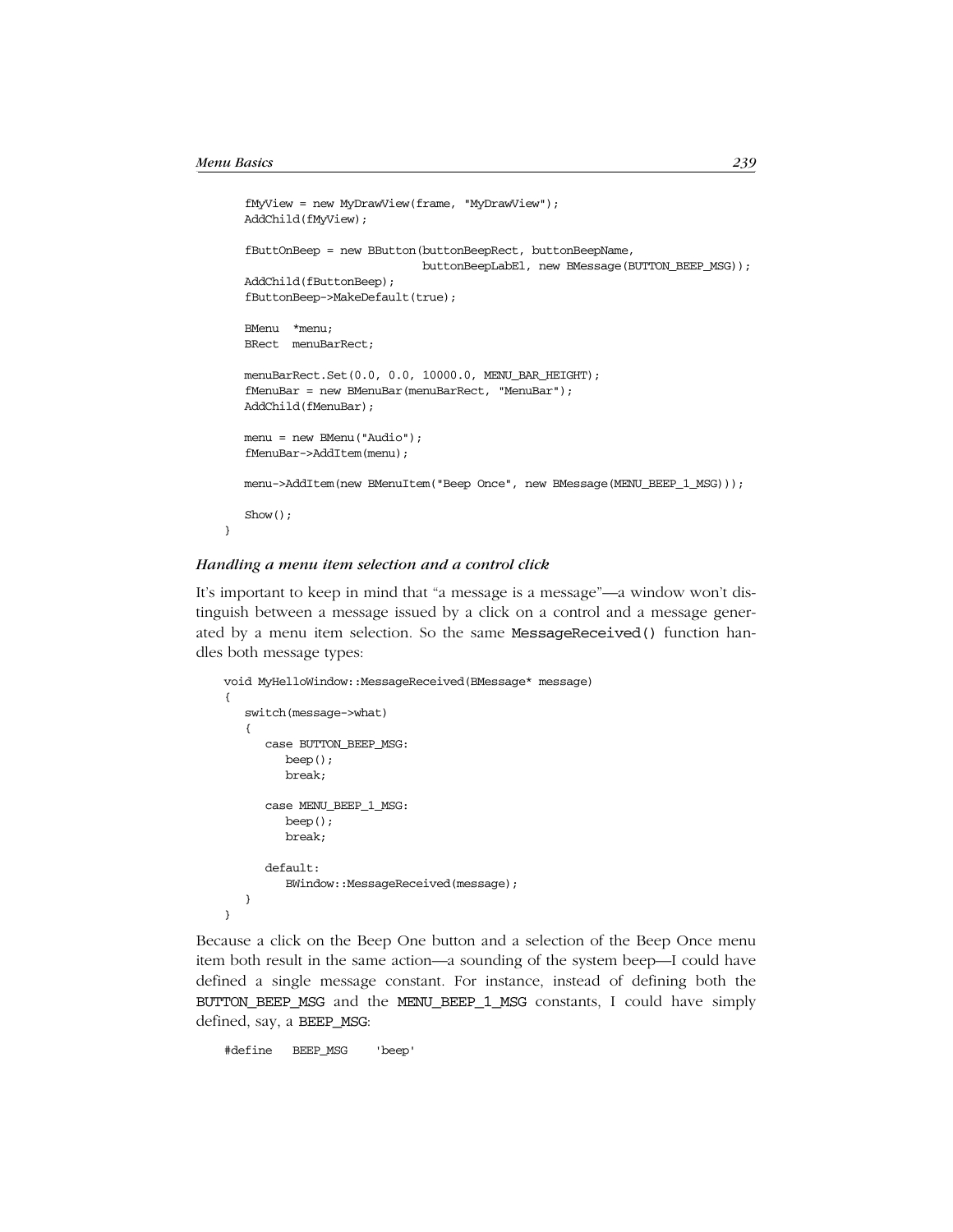```
 fMyView = new MyDrawView(frame, "MyDrawView");
    AddChild(fMyView);
    fButtOnBeep = new BButton(buttonBeepRect, buttonBeepName,
                              buttonBeepLabEl, new BMessage(BUTTON_BEEP_MSG));
    AddChild(fButtonBeep);
    fButtonBeep->MakeDefault(true);
    BMenu *menu;
    BRect menuBarRect;
   menuBarRect.Set(0.0, 0.0, 10000.0, MENU_BAR_HEIGHT);
    fMenuBar = new BMenuBar(menuBarRect, "MenuBar");
    AddChild(fMenuBar);
   menu = new BMenu("Audio");
    fMenuBar->AddItem(menu);
   menu->AddItem(new BMenuItem("Beep Once", new BMessage(MENU_BEEP_1_MSG)));
   Show();
}
```
#### *Handling a menu item selection and a control click*

It's important to keep in mind that "a message is a message"—a window won't distinguish between a message issued by a click on a control and a message generated by a menu item selection. So the same MessageReceived() function handles both message types:

```
void MyHelloWindow::MessageReceived(BMessage* message)
{
    switch(message->what)
    {
       case BUTTON_BEEP_MSG:
          beep();
          break;
       case MENU_BEEP_1_MSG:
          beep();
          break;
       default:
          BWindow::MessageReceived(message);
    }
}
```
Because a click on the Beep One button and a selection of the Beep Once menu item both result in the same action—a sounding of the system beep—I could have defined a single message constant. For instance, instead of defining both the BUTTON\_BEEP\_MSG and the MENU\_BEEP\_1\_MSG constants, I could have simply defined, say, a BEEP\_MSG:

#define BEEP\_MSG 'beep'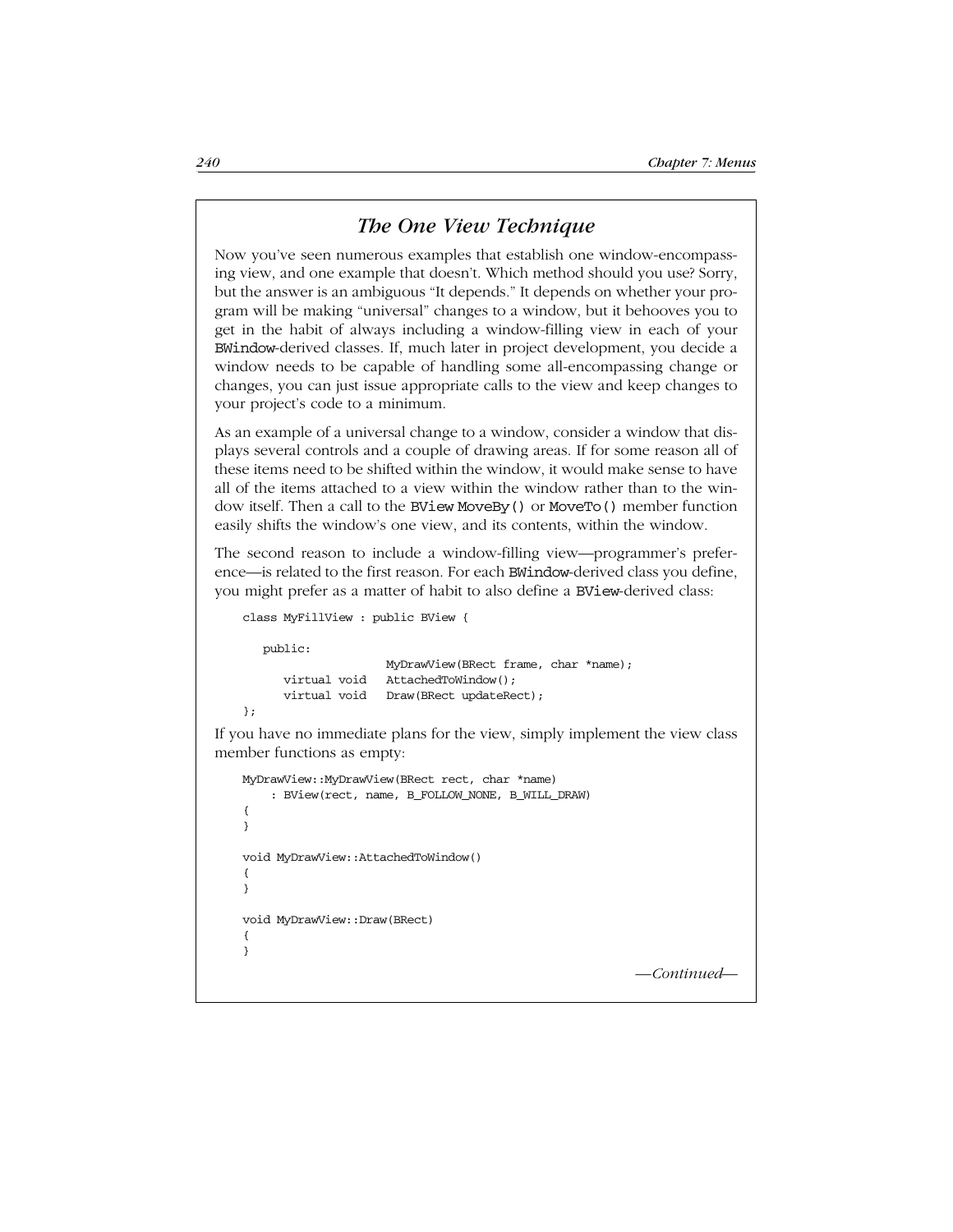## *The One View Technique*

Now you've seen numerous examples that establish one window-encompassing view, and one example that doesn't. Which method should you use? Sorry, but the answer is an ambiguous "It depends." It depends on whether your program will be making "universal" changes to a window, but it behooves you to get in the habit of always including a window-filling view in each of your BWindow-derived classes. If, much later in project development, you decide a window needs to be capable of handling some all-encompassing change or changes, you can just issue appropriate calls to the view and keep changes to your project's code to a minimum.

As an example of a universal change to a window, consider a window that displays several controls and a couple of drawing areas. If for some reason all of these items need to be shifted within the window, it would make sense to have all of the items attached to a view within the window rather than to the window itself. Then a call to the BView MoveBy() or MoveTo() member function easily shifts the window's one view, and its contents, within the window.

The second reason to include a window-filling view—programmer's preference—is related to the first reason. For each BWindow-derived class you define, you might prefer as a matter of habit to also define a BView-derived class:

```
class MyFillView : public BView {
   public:
                      MyDrawView(BRect frame, char *name);
       virtual void AttachedToWindow();
       virtual void Draw(BRect updateRect);
};
```
If you have no immediate plans for the view, simply implement the view class member functions as empty:

```
MyDrawView::MyDrawView(BRect rect, char *name)
     : BView(rect, name, B_FOLLOW_NONE, B_WILL_DRAW)
{
}
void MyDrawView::AttachedToWindow()
{
}
void MyDrawView::Draw(BRect)
{
}
                                                           —Continued—
```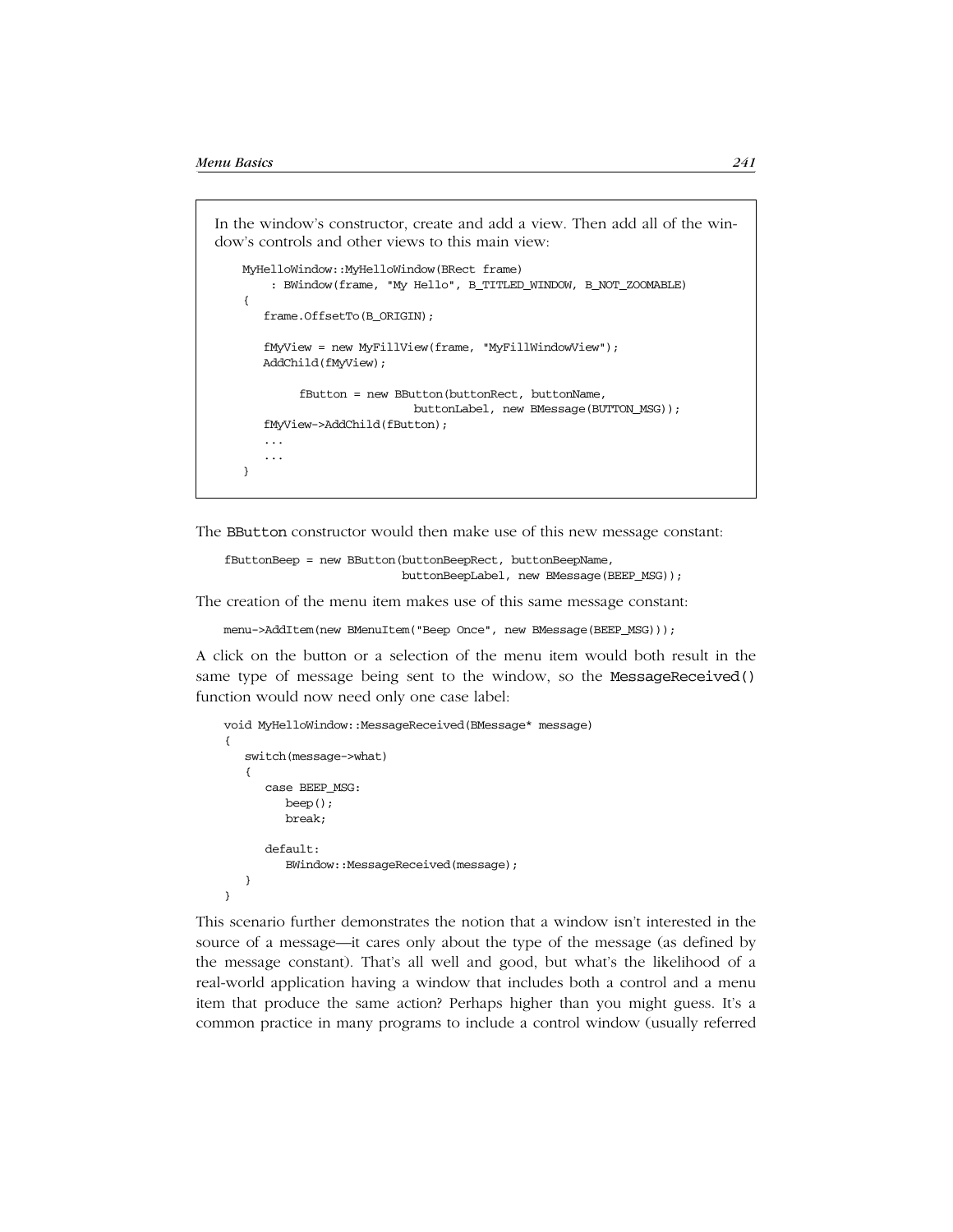In the window's constructor, create and add a view. Then add all of the window's controls and other views to this main view:

```
MyHelloWindow::MyHelloWindow(BRect frame)
     : BWindow(frame, "My Hello", B_TITLED_WINDOW, B_NOT_ZOOMABLE)
{
    frame.OffsetTo(B_ORIGIN);
    fMyView = new MyFillView(frame, "MyFillWindowView");
    AddChild(fMyView);
        fButton = new BButton(buttonRect, buttonName,
                          buttonLabel, new BMessage(BUTTON_MSG));
    fMyView->AddChild(fButton);
    ...
    ...
}
```
The BButton constructor would then make use of this new message constant:

```
fButtonBeep = new BButton(buttonBeepRect, buttonBeepName,
                           buttonBeepLabel, new BMessage(BEEP_MSG));
```
The creation of the menu item makes use of this same message constant:

menu->AddItem(new BMenuItem("Beep Once", new BMessage(BEEP\_MSG)));

A click on the button or a selection of the menu item would both result in the same type of message being sent to the window, so the MessageReceived() function would now need only one case label:

```
void MyHelloWindow::MessageReceived(BMessage* message)
{
    switch(message->what)
    {
       case BEEP_MSG:
          beep();
          break;
       default:
          BWindow::MessageReceived(message);
    }
}
```
This scenario further demonstrates the notion that a window isn't interested in the source of a message—it cares only about the type of the message (as defined by the message constant). That's all well and good, but what's the likelihood of a real-world application having a window that includes both a control and a menu item that produce the same action? Perhaps higher than you might guess. It's a common practice in many programs to include a control window (usually referred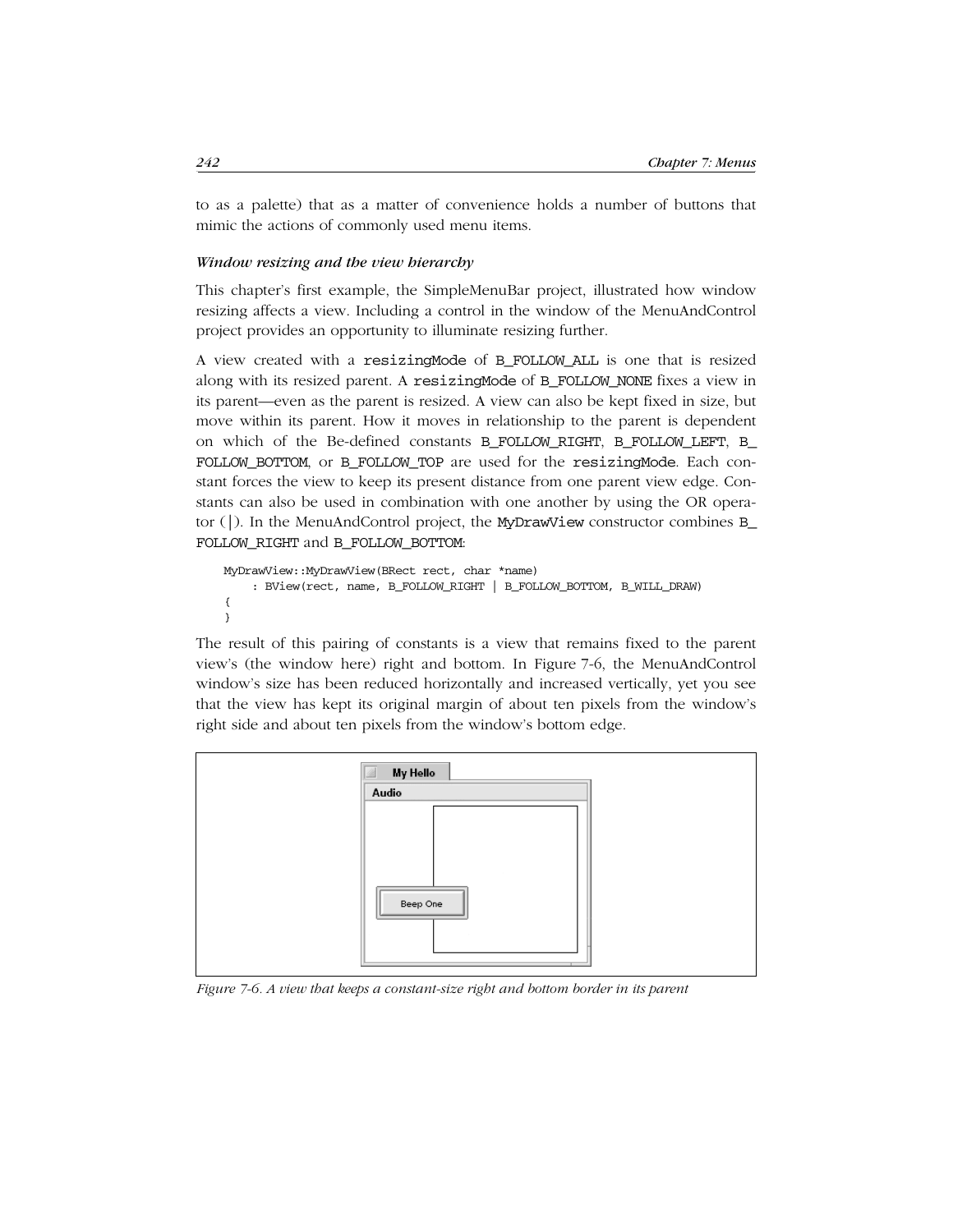to as a palette) that as a matter of convenience holds a number of buttons that mimic the actions of commonly used menu items.

#### *Window resizing and the view hierarchy*

This chapter's first example, the SimpleMenuBar project, illustrated how window resizing affects a view. Including a control in the window of the MenuAndControl project provides an opportunity to illuminate resizing further.

A view created with a resizingMode of B\_FOLLOW\_ALL is one that is resized along with its resized parent. A resizingMode of B\_FOLLOW\_NONE fixes a view in its parent—even as the parent is resized. A view can also be kept fixed in size, but move within its parent. How it moves in relationship to the parent is dependent on which of the Be-defined constants B\_FOLLOW\_RIGHT, B\_FOLLOW\_LEFT, B\_ FOLLOW\_BOTTOM, or B\_FOLLOW\_TOP are used for the resizingMode. Each constant forces the view to keep its present distance from one parent view edge. Constants can also be used in combination with one another by using the OR operator (|). In the MenuAndControl project, the MyDrawView constructor combines B\_ FOLLOW\_RIGHT and B\_FOLLOW\_BOTTOM:

```
MyDrawView::MyDrawView(BRect rect, char *name)
     : BView(rect, name, B_FOLLOW_RIGHT | B_FOLLOW_BOTTOM, B_WILL_DRAW)
{
}
```
The result of this pairing of constants is a view that remains fixed to the parent view's (the window here) right and bottom. In Figure 7-6, the MenuAndControl window's size has been reduced horizontally and increased vertically, yet you see that the view has kept its original margin of about ten pixels from the window's right side and about ten pixels from the window's bottom edge.



*Figure 7-6. A view that keeps a constant-size right and bottom border in its parent*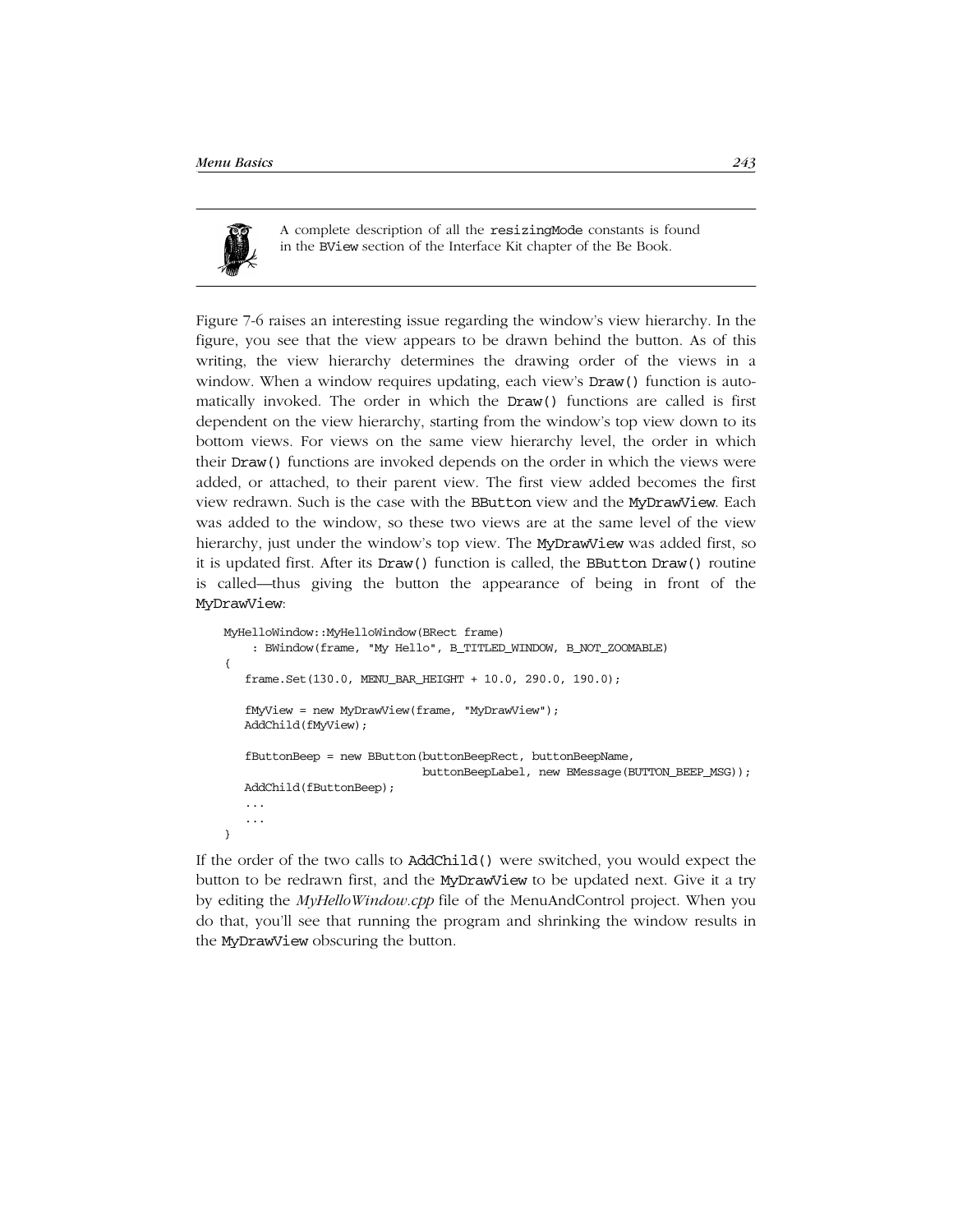

A complete description of all the resizingMode constants is found in the BView section of the Interface Kit chapter of the Be Book.

Figure 7-6 raises an interesting issue regarding the window's view hierarchy. In the figure, you see that the view appears to be drawn behind the button. As of this writing, the view hierarchy determines the drawing order of the views in a window. When a window requires updating, each view's  $Draw()$  function is automatically invoked. The order in which the Draw() functions are called is first dependent on the view hierarchy, starting from the window's top view down to its bottom views. For views on the same view hierarchy level, the order in which their Draw() functions are invoked depends on the order in which the views were added, or attached, to their parent view. The first view added becomes the first view redrawn. Such is the case with the BButton view and the MyDrawView. Each was added to the window, so these two views are at the same level of the view hierarchy, just under the window's top view. The MyDrawView was added first, so it is updated first. After its Draw() function is called, the BButton Draw() routine is called—thus giving the button the appearance of being in front of the MyDrawView:

```
MyHelloWindow::MyHelloWindow(BRect frame)
     : BWindow(frame, "My Hello", B_TITLED_WINDOW, B_NOT_ZOOMABLE)
{
    frame.Set(130.0, MENU_BAR_HEIGHT + 10.0, 290.0, 190.0);
    fMyView = new MyDrawView(frame, "MyDrawView");
    AddChild(fMyView);
    fButtonBeep = new BButton(buttonBeepRect, buttonBeepName,
                               buttonBeepLabel, new BMessage(BUTTON_BEEP_MSG));
    AddChild(fButtonBeep);
    ...
    ...
}
```
If the order of the two calls to AddChild() were switched, you would expect the button to be redrawn first, and the MyDrawView to be updated next. Give it a try by editing the *MyHelloWindow.cpp* file of the MenuAndControl project. When you do that, you'll see that running the program and shrinking the window results in the MyDrawView obscuring the button.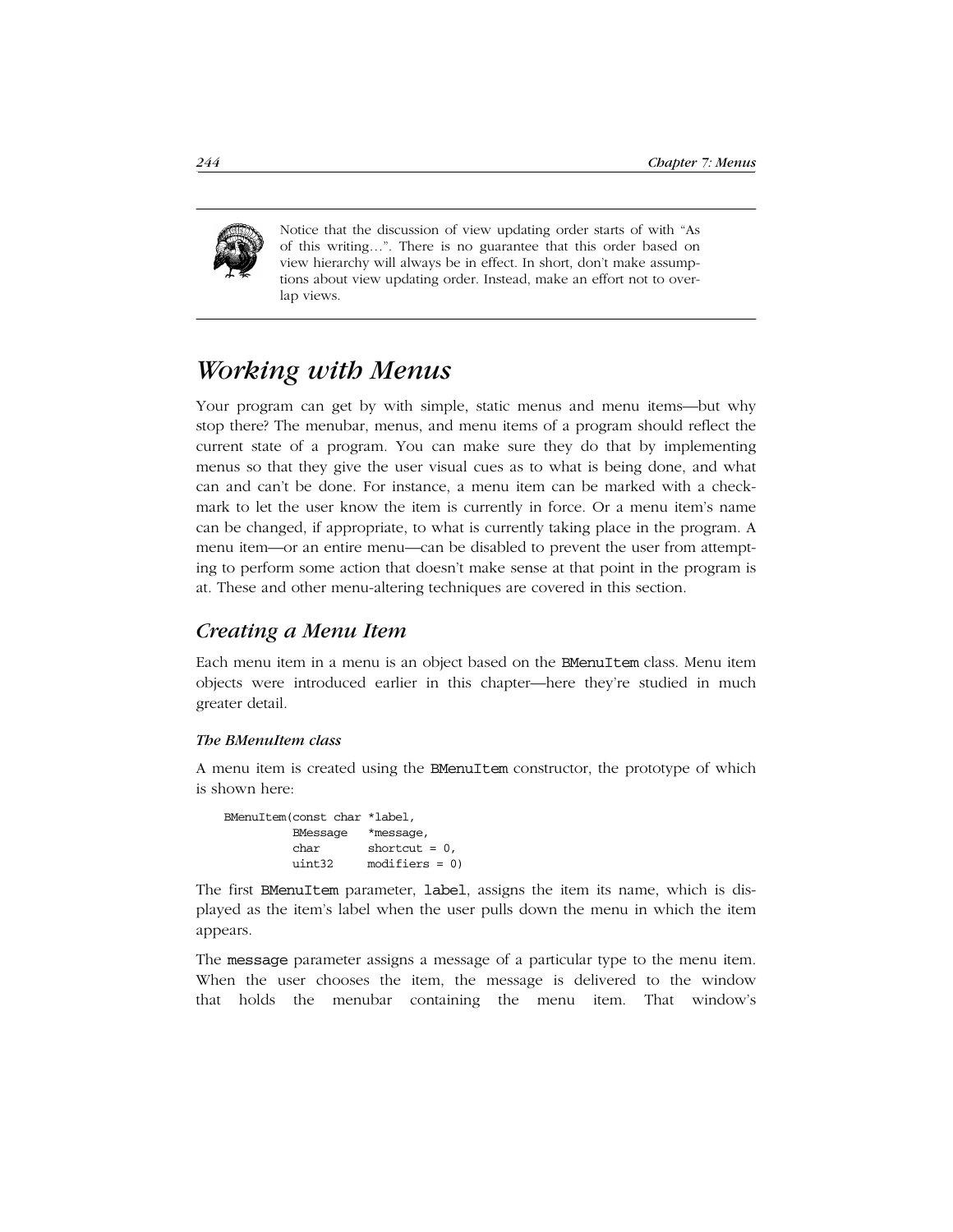

Notice that the discussion of view updating order starts of with "As of this writing…". There is no guarantee that this order based on view hierarchy will always be in effect. In short, don't make assumptions about view updating order. Instead, make an effort not to overlap views.

## *Working with Menus*

Your program can get by with simple, static menus and menu items—but why stop there? The menubar, menus, and menu items of a program should reflect the current state of a program. You can make sure they do that by implementing menus so that they give the user visual cues as to what is being done, and what can and can't be done. For instance, a menu item can be marked with a checkmark to let the user know the item is currently in force. Or a menu item's name can be changed, if appropriate, to what is currently taking place in the program. A menu item—or an entire menu—can be disabled to prevent the user from attempting to perform some action that doesn't make sense at that point in the program is at. These and other menu-altering techniques are covered in this section.

## *Creating a Menu Item*

Each menu item in a menu is an object based on the BMenuItem class. Menu item objects were introduced earlier in this chapter—here they're studied in much greater detail.

#### *The BMenuItem class*

A menu item is created using the BMenuItem constructor, the prototype of which is shown here:

| BMenuItem(const char *label, |                  |
|------------------------------|------------------|
| BMessage                     | *message,        |
| char                         | shortcut = $0$ , |
| uint32                       | $modifiers = 0$  |

The first BMenuItem parameter, label, assigns the item its name, which is displayed as the item's label when the user pulls down the menu in which the item appears.

The message parameter assigns a message of a particular type to the menu item. When the user chooses the item, the message is delivered to the window that holds the menubar containing the menu item. That window's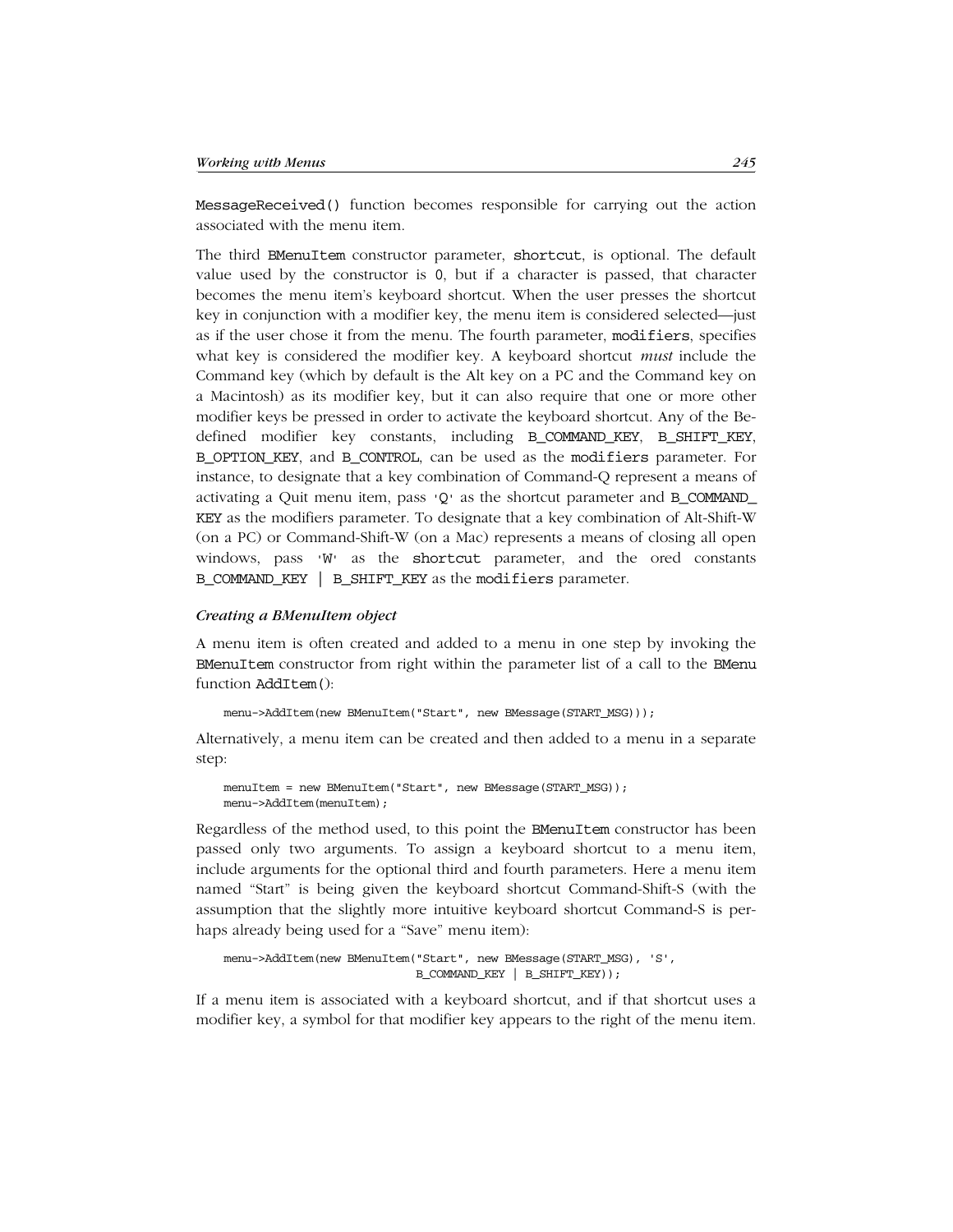MessageReceived() function becomes responsible for carrying out the action associated with the menu item.

The third BMenuItem constructor parameter, shortcut, is optional. The default value used by the constructor is 0, but if a character is passed, that character becomes the menu item's keyboard shortcut. When the user presses the shortcut key in conjunction with a modifier key, the menu item is considered selected—just as if the user chose it from the menu. The fourth parameter, modifiers, specifies what key is considered the modifier key. A keyboard shortcut *must* include the Command key (which by default is the Alt key on a PC and the Command key on a Macintosh) as its modifier key, but it can also require that one or more other modifier keys be pressed in order to activate the keyboard shortcut. Any of the Bedefined modifier key constants, including B\_COMMAND\_KEY, B\_SHIFT\_KEY, B\_OPTION\_KEY, and B\_CONTROL, can be used as the modifiers parameter. For instance, to designate that a key combination of Command-Q represent a means of activating a Quit menu item, pass 'Q' as the shortcut parameter and B\_COMMAND\_ KEY as the modifiers parameter. To designate that a key combination of Alt-Shift-W (on a PC) or Command-Shift-W (on a Mac) represents a means of closing all open windows, pass 'W' as the shortcut parameter, and the ored constants B\_COMMAND\_KEY | B\_SHIFT\_KEY as the modifiers parameter.

### *Creating a BMenuItem object*

A menu item is often created and added to a menu in one step by invoking the BMenuItem constructor from right within the parameter list of a call to the BMenu function AddItem():

```
menu->AddItem(new BMenuItem("Start", new BMessage(START_MSG)));
```
Alternatively, a menu item can be created and then added to a menu in a separate step:

```
menuItem = new BMenuItem("Start", new BMessage(START_MSG));
menu->AddItem(menuItem);
```
Regardless of the method used, to this point the BMenuItem constructor has been passed only two arguments. To assign a keyboard shortcut to a menu item, include arguments for the optional third and fourth parameters. Here a menu item named "Start" is being given the keyboard shortcut Command-Shift-S (with the assumption that the slightly more intuitive keyboard shortcut Command-S is perhaps already being used for a "Save" menu item):

```
menu->AddItem(new BMenuItem("Start", new BMessage(START_MSG), 'S',
                             B_COMMAND_KEY | B_SHIFT_KEY));
```
If a menu item is associated with a keyboard shortcut, and if that shortcut uses a modifier key, a symbol for that modifier key appears to the right of the menu item.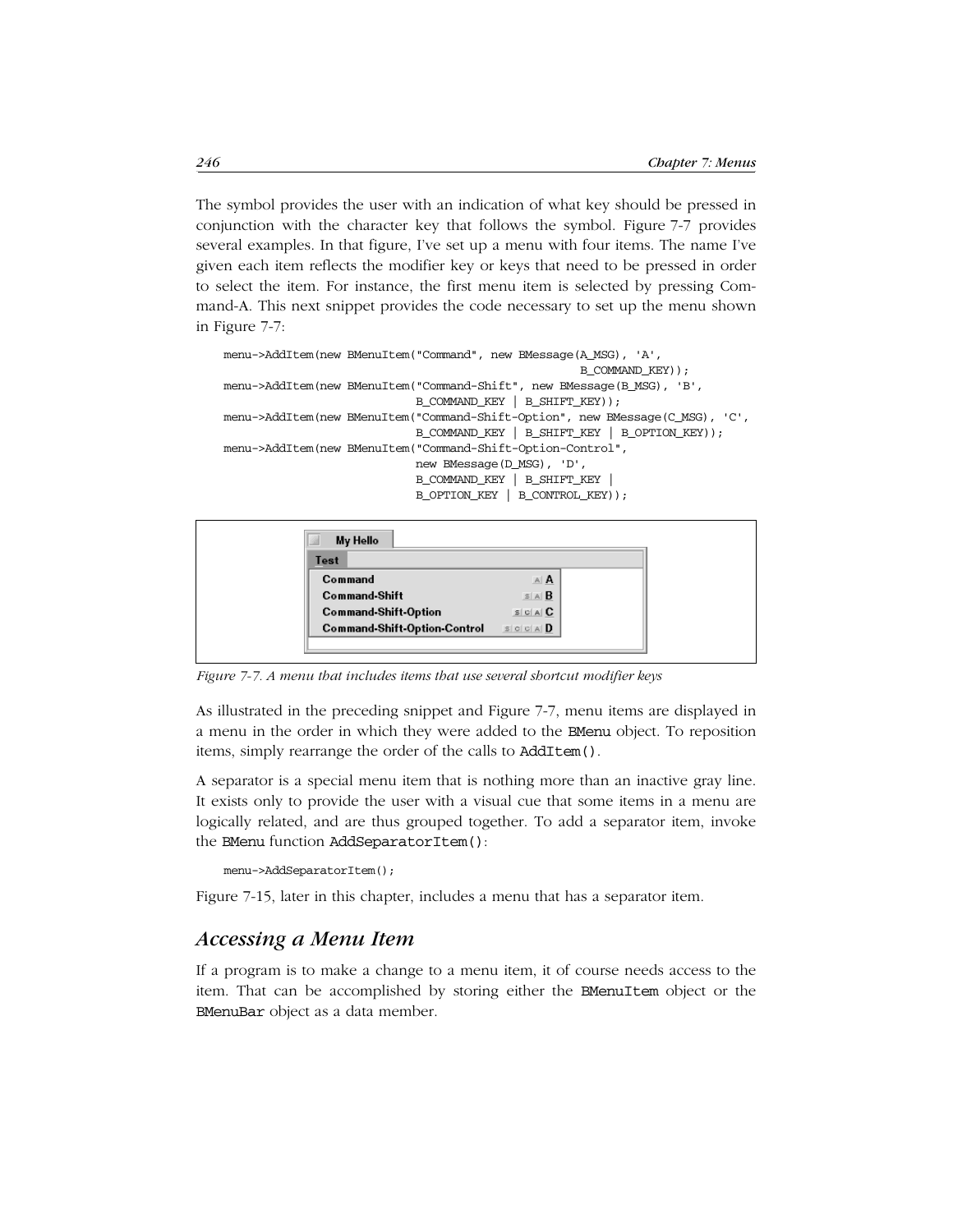The symbol provides the user with an indication of what key should be pressed in conjunction with the character key that follows the symbol. Figure 7-7 provides several examples. In that figure, I've set up a menu with four items. The name I've given each item reflects the modifier key or keys that need to be pressed in order to select the item. For instance, the first menu item is selected by pressing Command-A. This next snippet provides the code necessary to set up the menu shown in Figure 7-7:

```
menu->AddItem(new BMenuItem("Command", new BMessage(A_MSG), 'A',
                                                     B_COMMAND_KEY));
menu->AddItem(new BMenuItem("Command-Shift", new BMessage(B_MSG), 'B',
                             B_COMMAND_KEY | B_SHIFT_KEY));
menu->AddItem(new BMenuItem("Command-Shift-Option", new BMessage(C_MSG), 'C',
                             B_COMMAND_KEY | B_SHIFT_KEY | B_OPTION_KEY));
menu->AddItem(new BMenuItem("Command-Shift-Option-Control",
                             new BMessage(D_MSG), 'D',
                             B_COMMAND_KEY | B_SHIFT_KEY |
                             B_OPTION_KEY | B_CONTROL_KEY));
```

| Command<br>A<br>$S A$ <b>B</b><br><b>Command-Shift</b><br>$s$ $c$ $A$ $C$<br>Command-Shift-Option<br>Command-Shift-Option-Control<br>$S$ C C A $D$ | My Hello |  |
|----------------------------------------------------------------------------------------------------------------------------------------------------|----------|--|
|                                                                                                                                                    | Test     |  |
|                                                                                                                                                    |          |  |
|                                                                                                                                                    |          |  |
|                                                                                                                                                    |          |  |
|                                                                                                                                                    |          |  |

*Figure 7-7. A menu that includes items that use several shortcut modifier keys*

As illustrated in the preceding snippet and Figure 7-7, menu items are displayed in a menu in the order in which they were added to the BMenu object. To reposition items, simply rearrange the order of the calls to AddItem().

A separator is a special menu item that is nothing more than an inactive gray line. It exists only to provide the user with a visual cue that some items in a menu are logically related, and are thus grouped together. To add a separator item, invoke the BMenu function AddSeparatorItem():

```
menu->AddSeparatorItem();
```
Figure 7-15, later in this chapter, includes a menu that has a separator item.

## *Accessing a Menu Item*

If a program is to make a change to a menu item, it of course needs access to the item. That can be accomplished by storing either the BMenuItem object or the BMenuBar object as a data member.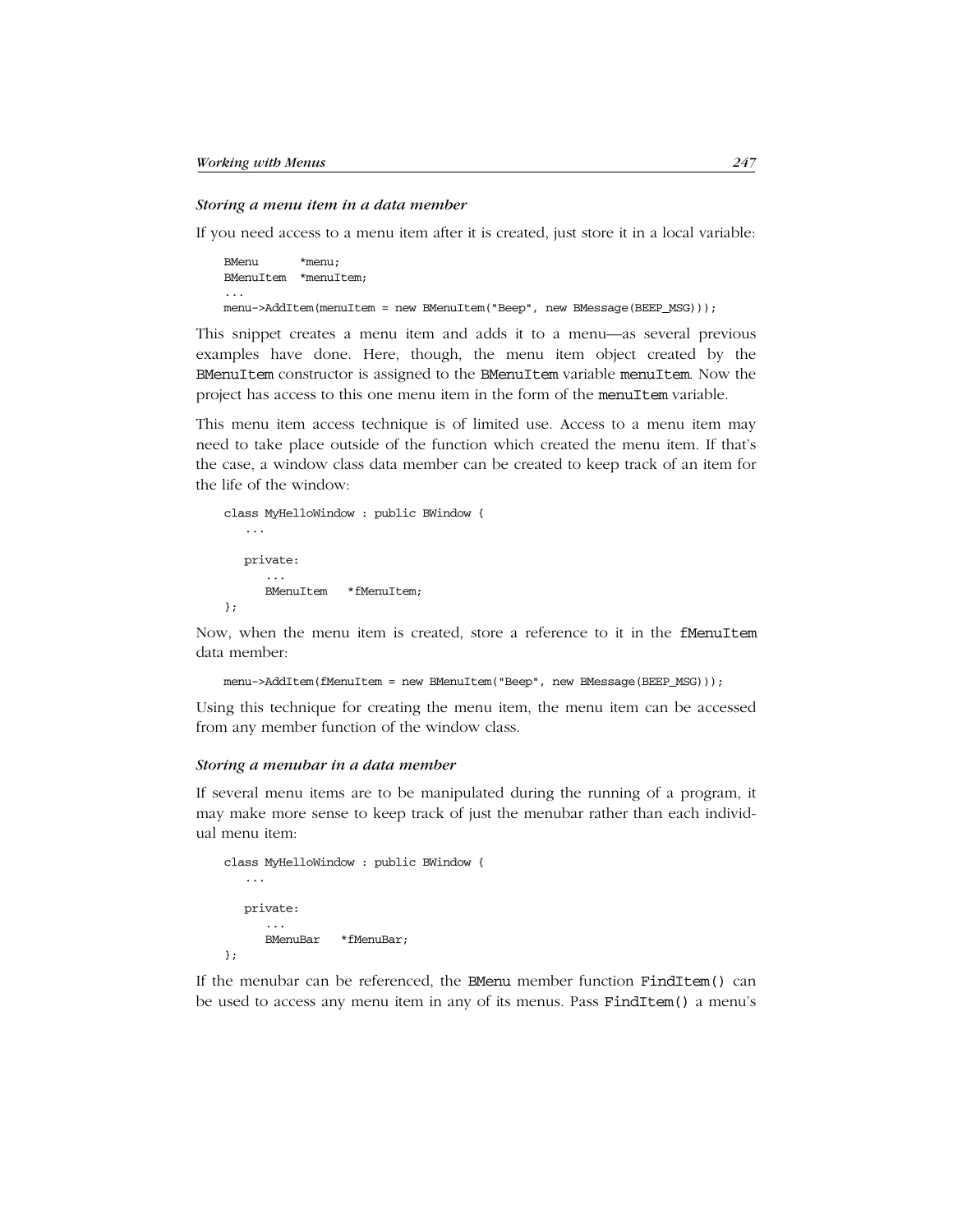#### *Storing a menu item in a data member*

If you need access to a menu item after it is created, just store it in a local variable:

```
BMenu *menu;
BMenuItem *menuItem;
menu->AddItem(menuItem = new BMenuItem("Beep", new BMessage(BEEP_MSG)));
```
This snippet creates a menu item and adds it to a menu—as several previous examples have done. Here, though, the menu item object created by the BMenuItem constructor is assigned to the BMenuItem variable menuItem. Now the project has access to this one menu item in the form of the menuItem variable.

This menu item access technique is of limited use. Access to a menu item may need to take place outside of the function which created the menu item. If that's the case, a window class data member can be created to keep track of an item for the life of the window:

```
class MyHelloWindow : public BWindow {
    ...
   private:
       ...
       BMenuItem *fMenuItem;
};
```
Now, when the menu item is created, store a reference to it in the fMenuItem data member:

```
menu->AddItem(fMenuItem = new BMenuItem("Beep", new BMessage(BEEP_MSG)));
```
Using this technique for creating the menu item, the menu item can be accessed from any member function of the window class.

#### *Storing a menubar in a data member*

If several menu items are to be manipulated during the running of a program, it may make more sense to keep track of just the menubar rather than each individual menu item:

```
class MyHelloWindow : public BWindow {
    ...
   private:
       ...
       BMenuBar *fMenuBar;
};
```
If the menubar can be referenced, the BMenu member function FindItem() can be used to access any menu item in any of its menus. Pass FindItem() a menu's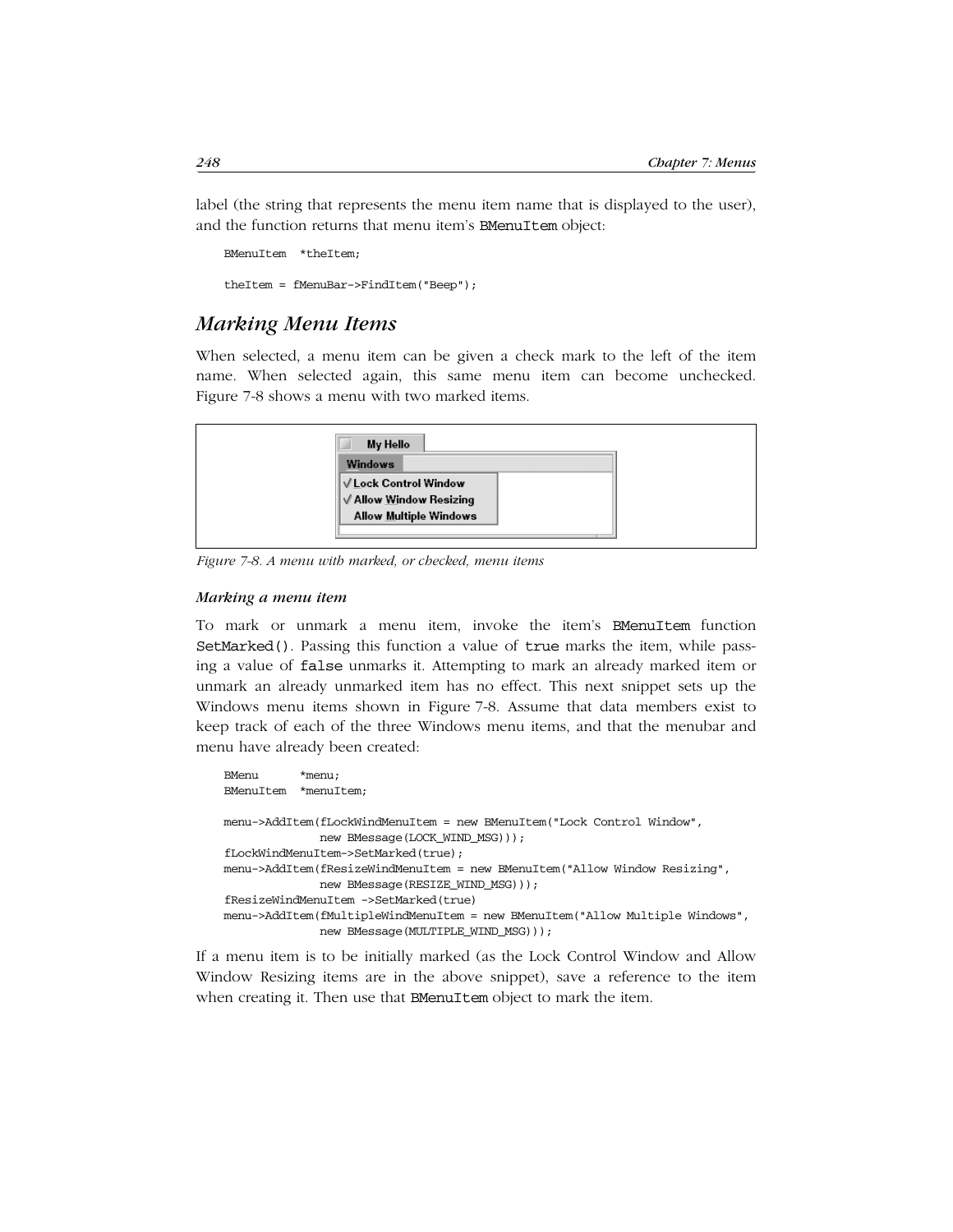label (the string that represents the menu item name that is displayed to the user), and the function returns that menu item's BMenuItem object:

BMenuItem \*theItem; theItem = fMenuBar->FindItem("Beep");

## *Marking Menu Items*

When selected, a menu item can be given a check mark to the left of the item name. When selected again, this same menu item can become unchecked. Figure 7-8 shows a menu with two marked items.

| My Hello                                                                          |  |
|-----------------------------------------------------------------------------------|--|
| Windows                                                                           |  |
| √ Lock Control Window<br>√ Allow Window Resizing<br><b>Allow Multiple Windows</b> |  |

*Figure 7-8. A menu with marked, or checked, menu items*

#### *Marking a menu item*

To mark or unmark a menu item, invoke the item's BMenuItem function SetMarked(). Passing this function a value of true marks the item, while passing a value of false unmarks it. Attempting to mark an already marked item or unmark an already unmarked item has no effect. This next snippet sets up the Windows menu items shown in Figure 7-8. Assume that data members exist to keep track of each of the three Windows menu items, and that the menubar and menu have already been created:

```
BMenu *menu;
BMenuItem *menuItem;
menu->AddItem(fLockWindMenuItem = new BMenuItem("Lock Control Window",
               new BMessage(LOCK_WIND_MSG)));
fLockWindMenuItem->SetMarked(true);
menu->AddItem(fResizeWindMenuItem = new BMenuItem("Allow Window Resizing",
              new BMessage(RESIZE_WIND_MSG)));
fResizeWindMenuItem ->SetMarked(true)
menu->AddItem(fMultipleWindMenuItem = new BMenuItem("Allow Multiple Windows",
               new BMessage(MULTIPLE_WIND_MSG)));
```
If a menu item is to be initially marked (as the Lock Control Window and Allow Window Resizing items are in the above snippet), save a reference to the item when creating it. Then use that **BMenuItem** object to mark the item.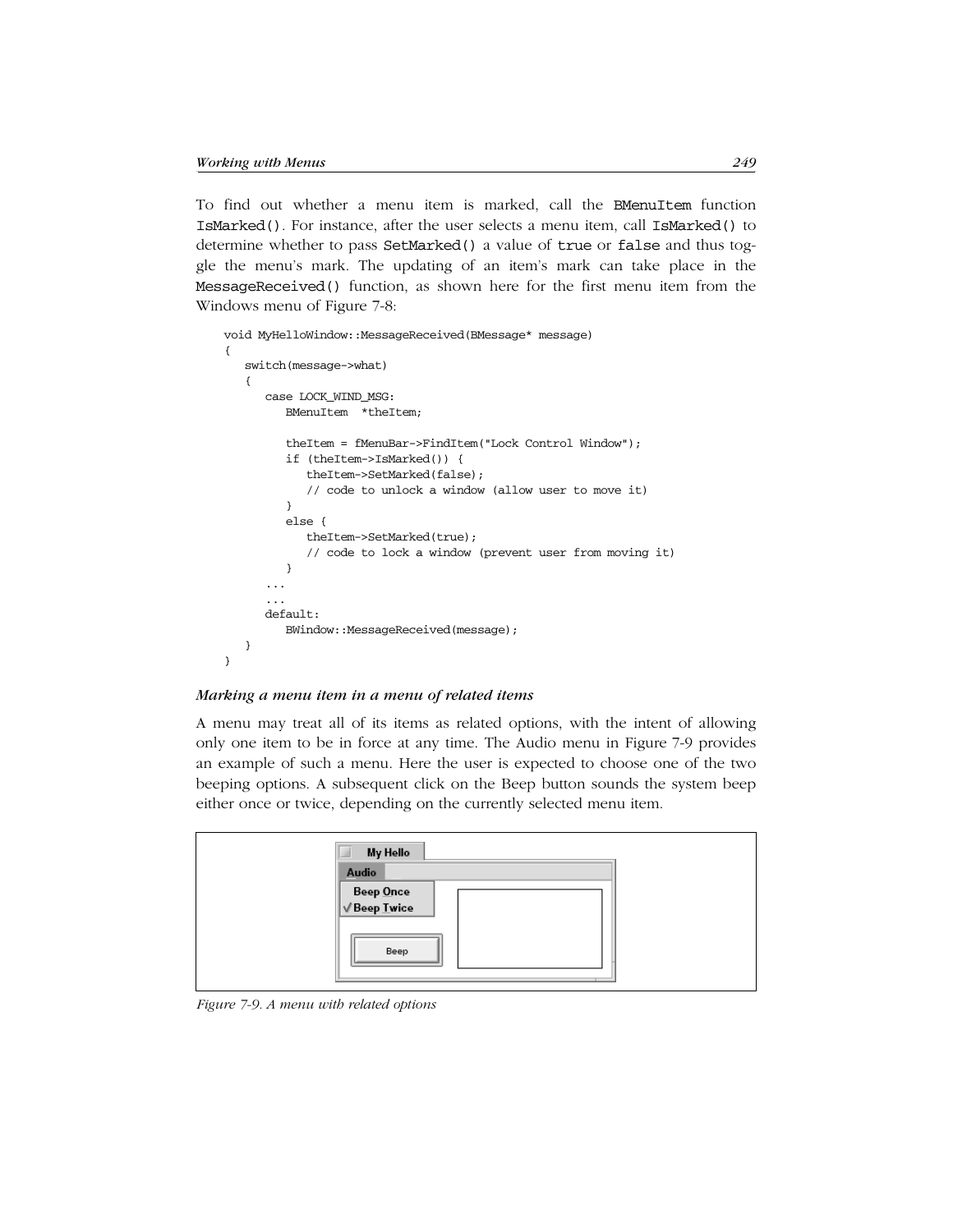To find out whether a menu item is marked, call the BMenuItem function IsMarked(). For instance, after the user selects a menu item, call IsMarked() to determine whether to pass SetMarked() a value of true or false and thus toggle the menu's mark. The updating of an item's mark can take place in the MessageReceived() function, as shown here for the first menu item from the Windows menu of Figure 7-8:

```
void MyHelloWindow::MessageReceived(BMessage* message)
{
    switch(message->what)
    {
       case LOCK_WIND_MSG:
          BMenuItem *theItem;
          theItem = fMenuBar->FindItem("Lock Control Window");
          if (theItem->IsMarked()) {
             theItem->SetMarked(false);
             // code to unlock a window (allow user to move it)
          }
          else {
             theItem->SetMarked(true);
             // code to lock a window (prevent user from moving it)
 }
       ...
       ...
       default:
          BWindow::MessageReceived(message);
    }
}
```
## *Marking a menu item in a menu of related items*

A menu may treat all of its items as related options, with the intent of allowing only one item to be in force at any time. The Audio menu in Figure 7-9 provides an example of such a menu. Here the user is expected to choose one of the two beeping options. A subsequent click on the Beep button sounds the system beep either once or twice, depending on the currently selected menu item.

| <b>My Hello</b><br>38                    |  |
|------------------------------------------|--|
| Audio                                    |  |
|                                          |  |
| Beep <u>O</u> nce<br>√Beep <u>T</u> wice |  |
| Beep                                     |  |

*Figure 7-9. A menu with related options*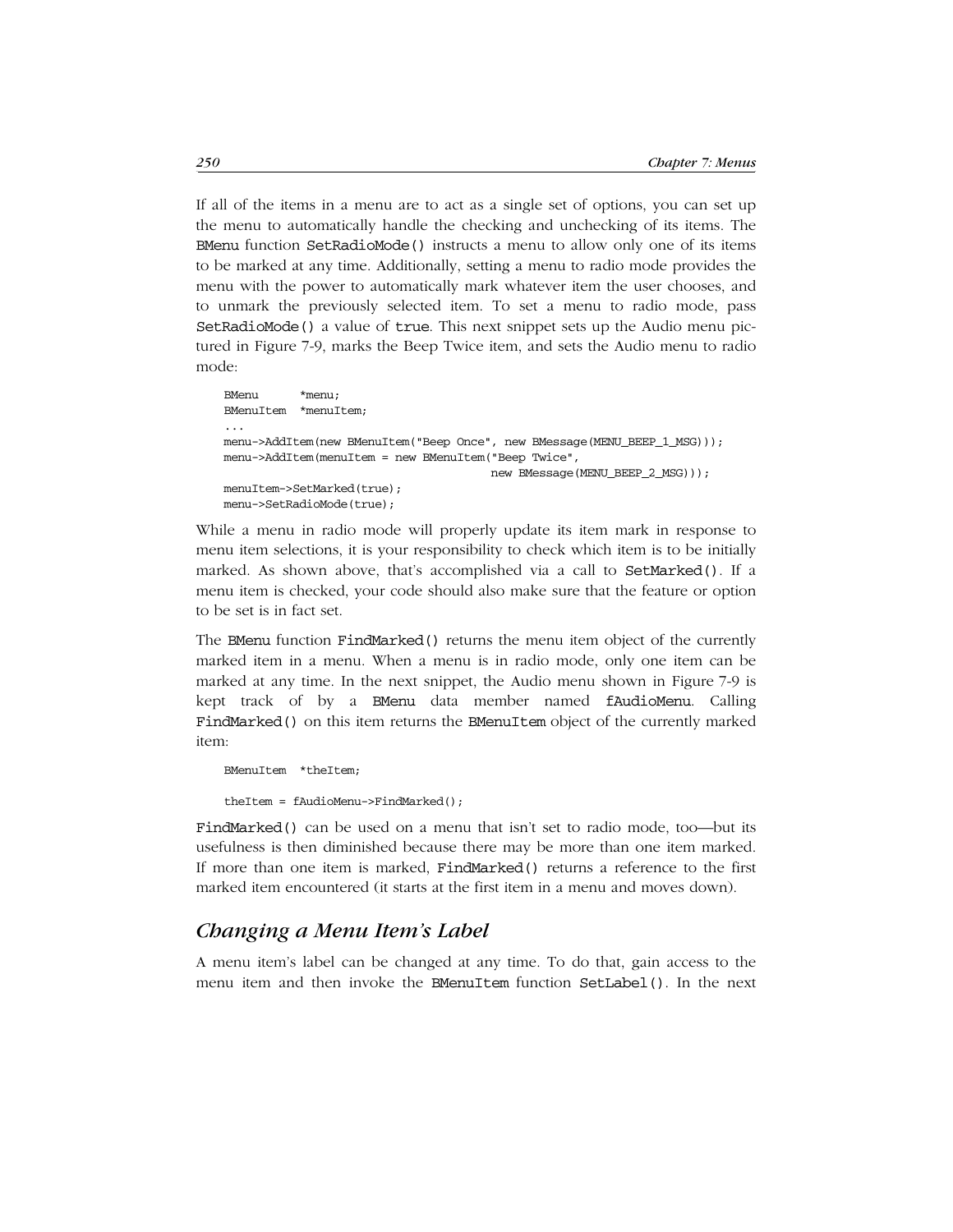If all of the items in a menu are to act as a single set of options, you can set up the menu to automatically handle the checking and unchecking of its items. The BMenu function SetRadioMode() instructs a menu to allow only one of its items to be marked at any time. Additionally, setting a menu to radio mode provides the menu with the power to automatically mark whatever item the user chooses, and to unmark the previously selected item. To set a menu to radio mode, pass SetRadioMode() a value of true. This next snippet sets up the Audio menu pictured in Figure 7-9, marks the Beep Twice item, and sets the Audio menu to radio mode:

```
BMenu *menu;
BMenuItem *menuItem;
...
menu->AddItem(new BMenuItem("Beep Once", new BMessage(MENU_BEEP_1_MSG)));
menu->AddItem(menuItem = new BMenuItem("Beep Twice",
                                       new BMessage(MENU_BEEP_2_MSG)));
menuItem->SetMarked(true);
menu->SetRadioMode(true);
```
While a menu in radio mode will properly update its item mark in response to menu item selections, it is your responsibility to check which item is to be initially marked. As shown above, that's accomplished via a call to SetMarked(). If a menu item is checked, your code should also make sure that the feature or option to be set is in fact set.

The BMenu function FindMarked() returns the menu item object of the currently marked item in a menu. When a menu is in radio mode, only one item can be marked at any time. In the next snippet, the Audio menu shown in Figure 7-9 is kept track of by a BMenu data member named fAudioMenu. Calling FindMarked() on this item returns the BMenuItem object of the currently marked item:

```
BMenuItem *theItem;
```
theItem = fAudioMenu->FindMarked();

FindMarked() can be used on a menu that isn't set to radio mode, too—but its usefulness is then diminished because there may be more than one item marked. If more than one item is marked, FindMarked() returns a reference to the first marked item encountered (it starts at the first item in a menu and moves down).

## *Changing a Menu Item's Label*

A menu item's label can be changed at any time. To do that, gain access to the menu item and then invoke the BMenuItem function SetLabel(). In the next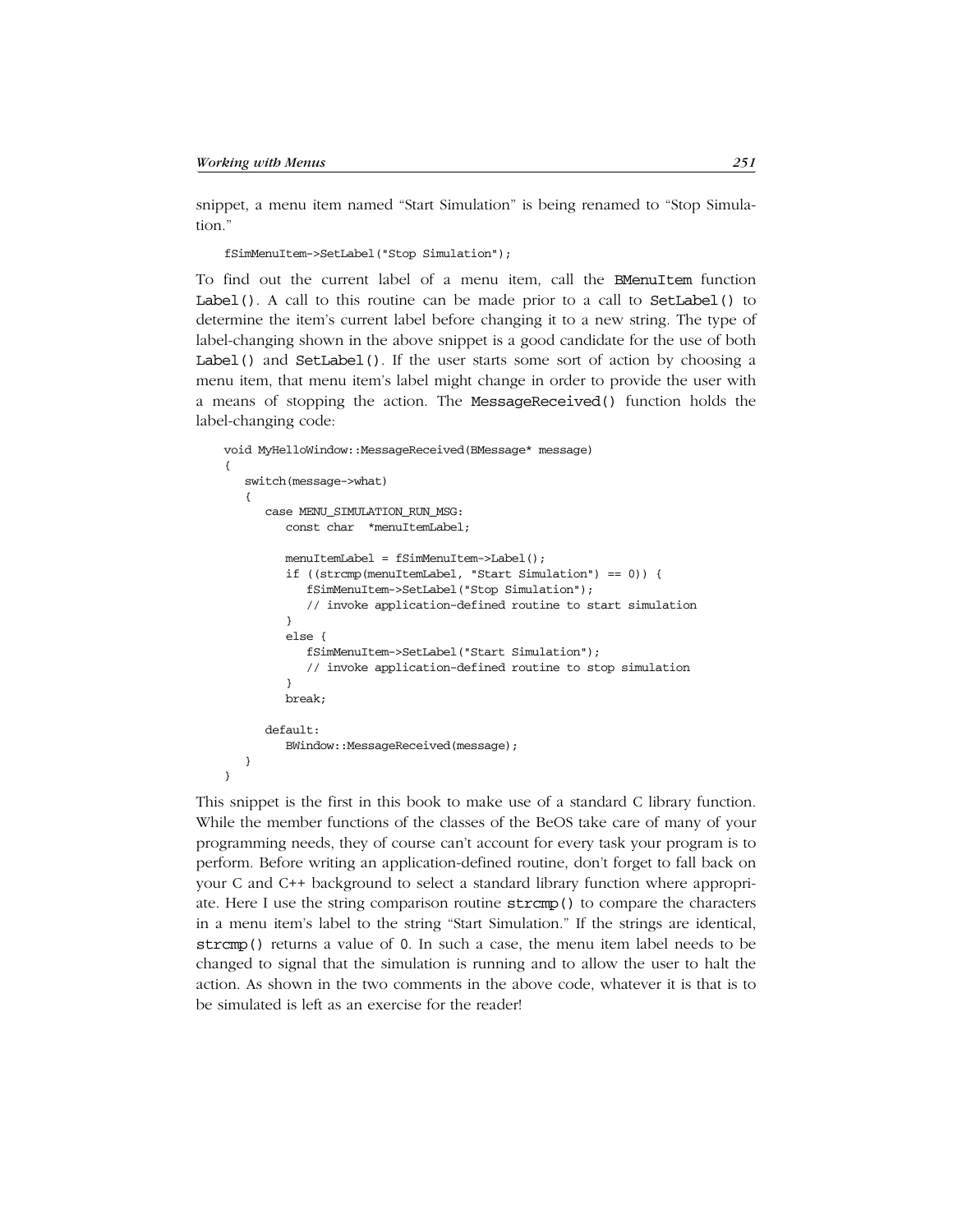snippet, a menu item named "Start Simulation" is being renamed to "Stop Simulation."

fSimMenuItem->SetLabel("Stop Simulation");

To find out the current label of a menu item, call the BMenuItem function Label(). A call to this routine can be made prior to a call to SetLabel() to determine the item's current label before changing it to a new string. The type of label-changing shown in the above snippet is a good candidate for the use of both Label() and SetLabel(). If the user starts some sort of action by choosing a menu item, that menu item's label might change in order to provide the user with a means of stopping the action. The MessageReceived() function holds the label-changing code:

```
void MyHelloWindow::MessageReceived(BMessage* message)
{
    switch(message->what)
    {
       case MENU_SIMULATION_RUN_MSG:
         const char *menuItemLabel;
          menuItemLabel = fSimMenuItem->Label();
          if ((strcmp(menuItemLabel, "Start Simulation") == 0)) {
             fSimMenuItem->SetLabel("Stop Simulation");
             // invoke application-defined routine to start simulation
 }
          else {
             fSimMenuItem->SetLabel("Start Simulation");
             // invoke application-defined routine to stop simulation
 }
          break;
       default:
          BWindow::MessageReceived(message);
    }
}
```
This snippet is the first in this book to make use of a standard C library function. While the member functions of the classes of the BeOS take care of many of your programming needs, they of course can't account for every task your program is to perform. Before writing an application-defined routine, don't forget to fall back on your C and C++ background to select a standard library function where appropriate. Here I use the string comparison routine strcmp() to compare the characters in a menu item's label to the string "Start Simulation." If the strings are identical, strcmp() returns a value of 0. In such a case, the menu item label needs to be changed to signal that the simulation is running and to allow the user to halt the action. As shown in the two comments in the above code, whatever it is that is to be simulated is left as an exercise for the reader!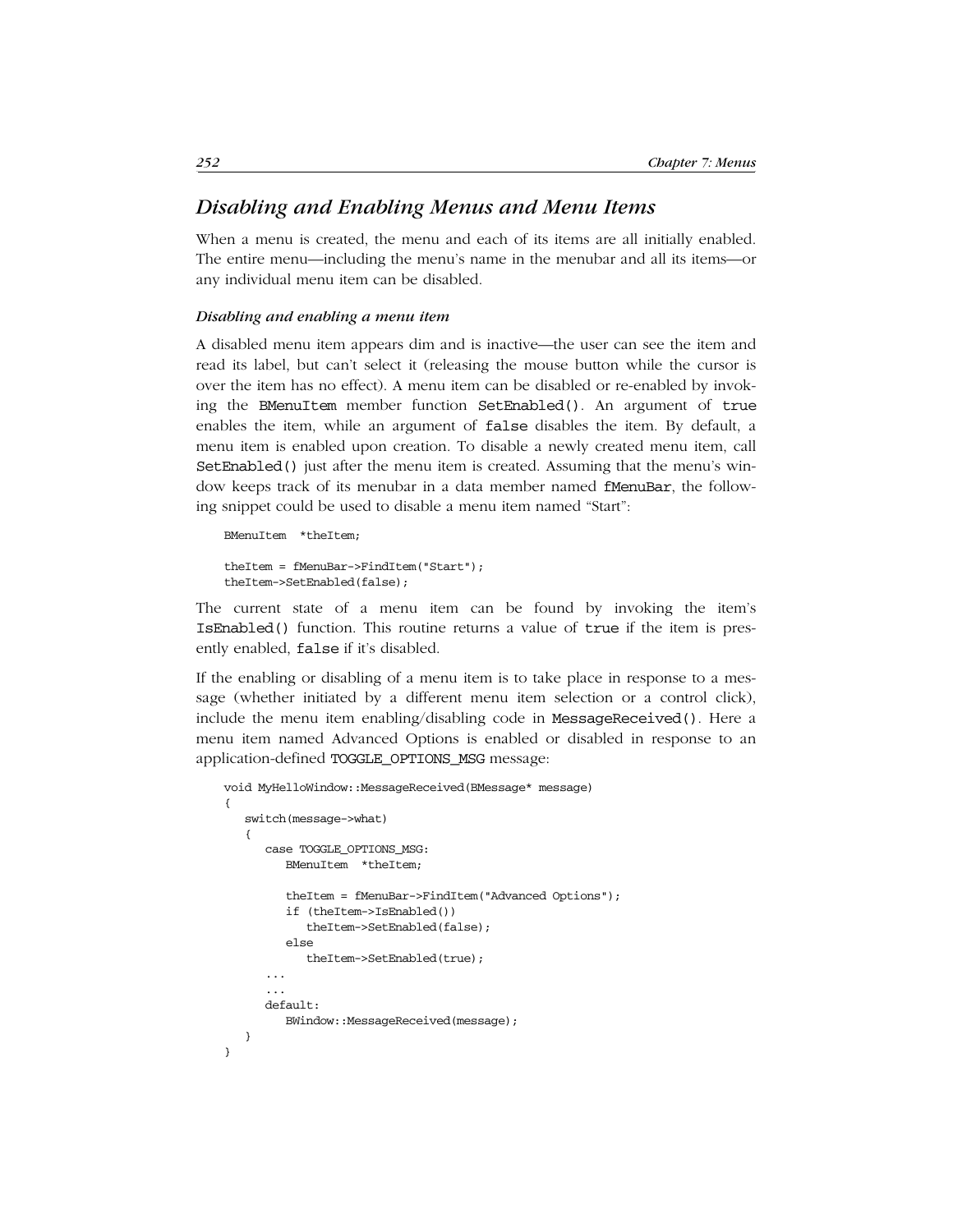## *Disabling and Enabling Menus and Menu Items*

When a menu is created, the menu and each of its items are all initially enabled. The entire menu—including the menu's name in the menubar and all its items—or any individual menu item can be disabled.

### *Disabling and enabling a menu item*

A disabled menu item appears dim and is inactive—the user can see the item and read its label, but can't select it (releasing the mouse button while the cursor is over the item has no effect). A menu item can be disabled or re-enabled by invoking the BMenuItem member function SetEnabled(). An argument of true enables the item, while an argument of false disables the item. By default, a menu item is enabled upon creation. To disable a newly created menu item, call SetEnabled() just after the menu item is created. Assuming that the menu's window keeps track of its menubar in a data member named fMenuBar, the following snippet could be used to disable a menu item named "Start":

```
BMenuItem *theItem;
theItem = fMenuBar->FindItem("Start");
theItem->SetEnabled(false);
```
The current state of a menu item can be found by invoking the item's IsEnabled() function. This routine returns a value of true if the item is presently enabled, false if it's disabled.

If the enabling or disabling of a menu item is to take place in response to a message (whether initiated by a different menu item selection or a control click), include the menu item enabling/disabling code in MessageReceived(). Here a menu item named Advanced Options is enabled or disabled in response to an application-defined TOGGLE\_OPTIONS\_MSG message:

```
void MyHelloWindow::MessageReceived(BMessage* message)
{
    switch(message->what)
    {
       case TOGGLE_OPTIONS_MSG:
          BMenuItem *theItem;
          theItem = fMenuBar->FindItem("Advanced Options");
          if (theItem->IsEnabled())
              theItem->SetEnabled(false);
          else
             theItem->SetEnabled(true);
       ...
       ...
       default:
          BWindow::MessageReceived(message);
    }
}
```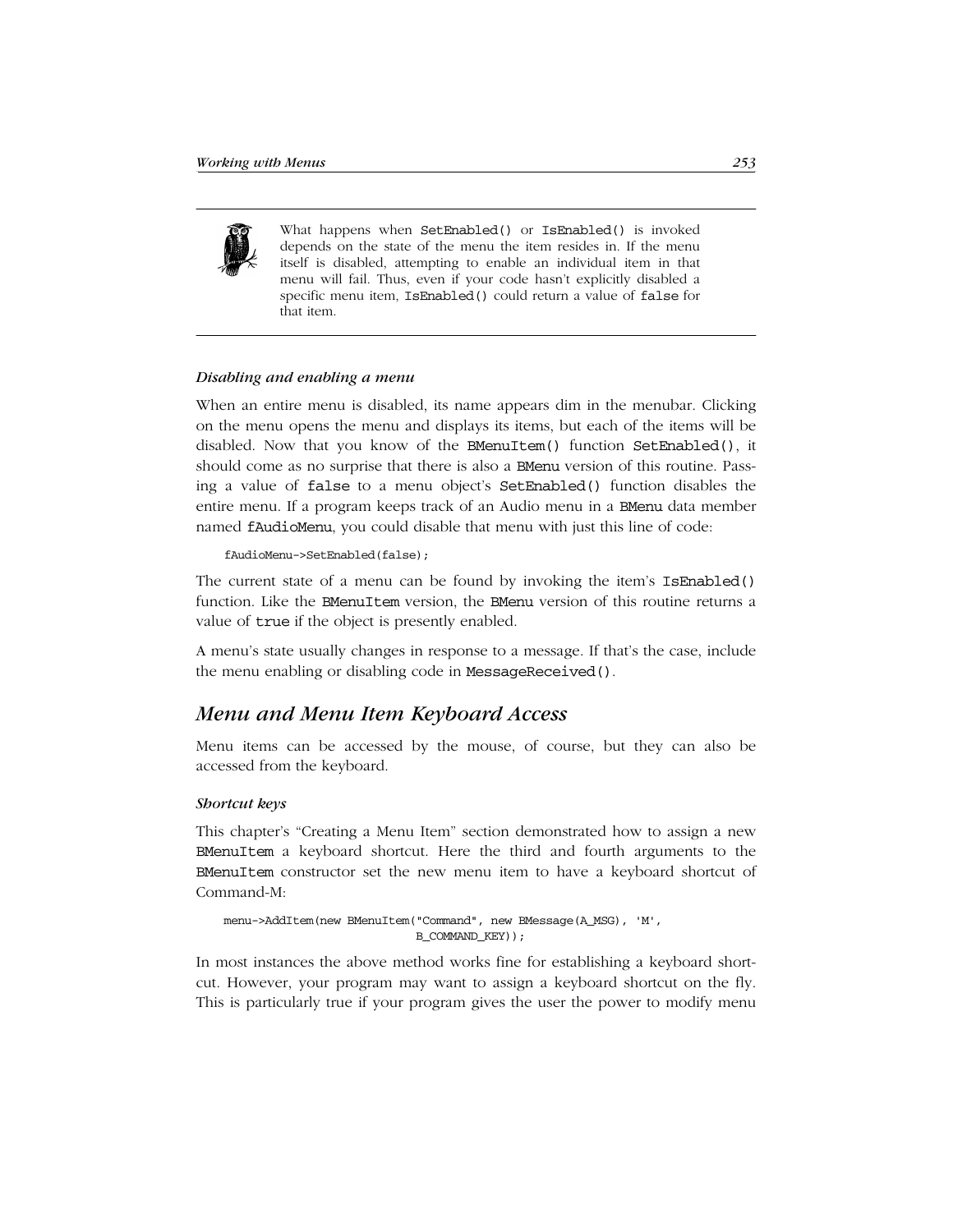

What happens when SetEnabled() or IsEnabled() is invoked depends on the state of the menu the item resides in. If the menu itself is disabled, attempting to enable an individual item in that menu will fail. Thus, even if your code hasn't explicitly disabled a specific menu item, IsEnabled() could return a value of false for that item.

### *Disabling and enabling a menu*

When an entire menu is disabled, its name appears dim in the menubar. Clicking on the menu opens the menu and displays its items, but each of the items will be disabled. Now that you know of the BMenuItem() function SetEnabled(), it should come as no surprise that there is also a BMenu version of this routine. Passing a value of false to a menu object's SetEnabled() function disables the entire menu. If a program keeps track of an Audio menu in a BMenu data member named fAudioMenu, you could disable that menu with just this line of code:

```
fAudioMenu->SetEnabled(false);
```
The current state of a menu can be found by invoking the item's IsEnabled() function. Like the BMenuItem version, the BMenu version of this routine returns a value of true if the object is presently enabled.

A menu's state usually changes in response to a message. If that's the case, include the menu enabling or disabling code in MessageReceived().

## *Menu and Menu Item Keyboard Access*

Menu items can be accessed by the mouse, of course, but they can also be accessed from the keyboard.

## *Shortcut keys*

This chapter's "Creating a Menu Item" section demonstrated how to assign a new BMenuItem a keyboard shortcut. Here the third and fourth arguments to the BMenuItem constructor set the new menu item to have a keyboard shortcut of Command-M:

```
menu->AddItem(new BMenuItem("Command", new BMessage(A_MSG), 'M',
                             B_COMMAND_KEY));
```
In most instances the above method works fine for establishing a keyboard shortcut. However, your program may want to assign a keyboard shortcut on the fly. This is particularly true if your program gives the user the power to modify menu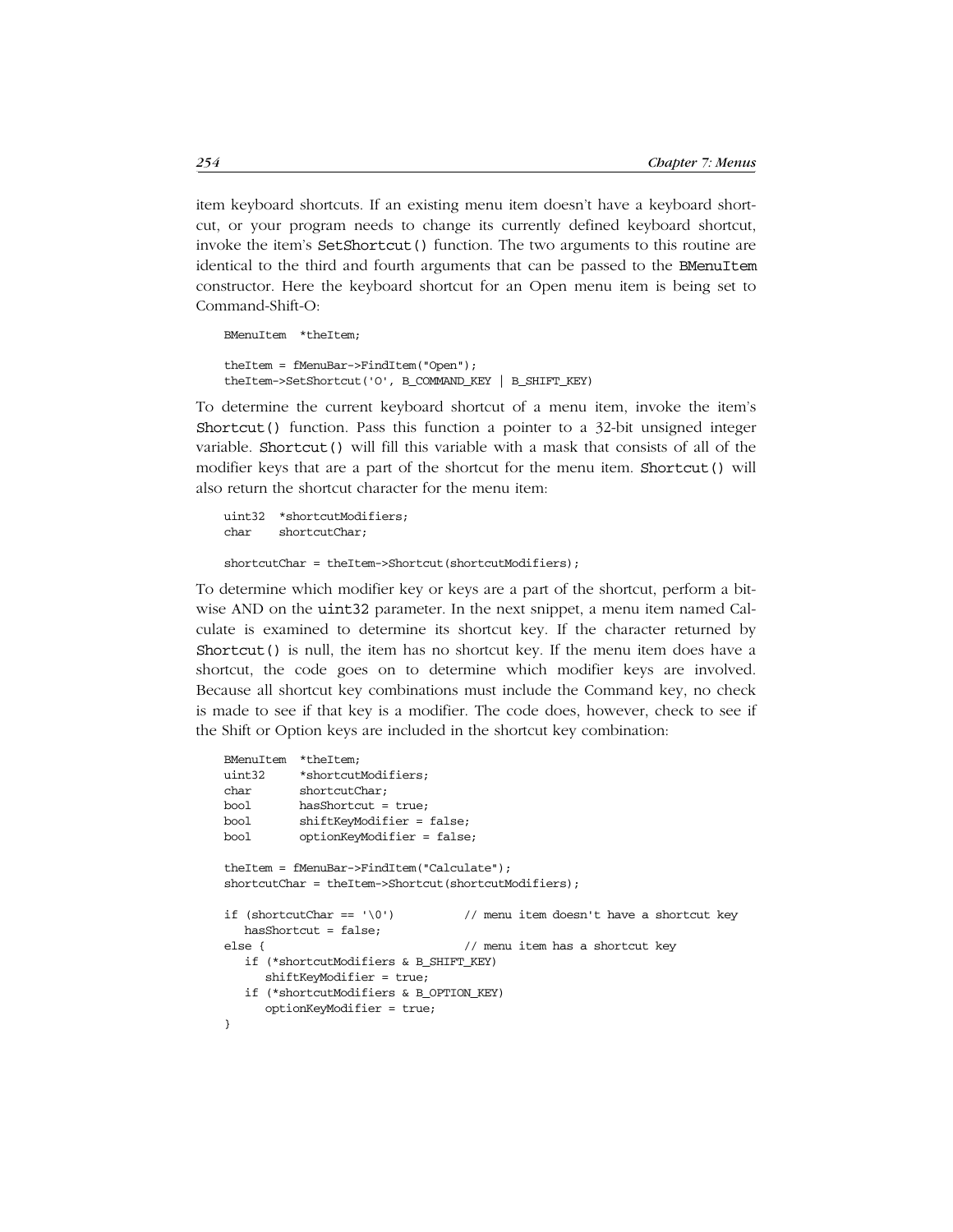item keyboard shortcuts. If an existing menu item doesn't have a keyboard shortcut, or your program needs to change its currently defined keyboard shortcut, invoke the item's SetShortcut() function. The two arguments to this routine are identical to the third and fourth arguments that can be passed to the BMenuItem constructor. Here the keyboard shortcut for an Open menu item is being set to Command-Shift-O:

```
BMenuItem *theItem;
theItem = fMenuBar->FindItem("Open");
theItem->SetShortcut('O', B_COMMAND_KEY | B_SHIFT_KEY)
```
To determine the current keyboard shortcut of a menu item, invoke the item's Shortcut() function. Pass this function a pointer to a 32-bit unsigned integer variable. Shortcut() will fill this variable with a mask that consists of all of the modifier keys that are a part of the shortcut for the menu item. Shortcut() will also return the shortcut character for the menu item:

```
uint32 *shortcutModifiers;
char shortcutChar\cdot
```
shortcutChar = theItem->Shortcut(shortcutModifiers);

To determine which modifier key or keys are a part of the shortcut, perform a bitwise AND on the uint32 parameter. In the next snippet, a menu item named Calculate is examined to determine its shortcut key. If the character returned by Shortcut() is null, the item has no shortcut key. If the menu item does have a shortcut, the code goes on to determine which modifier keys are involved. Because all shortcut key combinations must include the Command key, no check is made to see if that key is a modifier. The code does, however, check to see if the Shift or Option keys are included in the shortcut key combination:

```
BMenuItem *theItem;
uint32 *shortcutModifiers;
char shortcutChar;
bool hasShortcut = true;
bool shiftKeyModifier = false;
bool optionKeyModifier = false;
theItem = fMenuBar->FindItem("Calculate");
shortcutChar = theItem->Shortcut(shortcutModifiers);
if (shortcutChar == '\0') // menu item doesn't have a shortcut key
   hasShortcut = false;
else { \frac{1}{2} // menu item has a shortcut key
    if (*shortcutModifiers & B_SHIFT_KEY)
      shiftKeyModifier = true;
    if (*shortcutModifiers & B_OPTION_KEY)
      optionKeyModifier = true;
}
```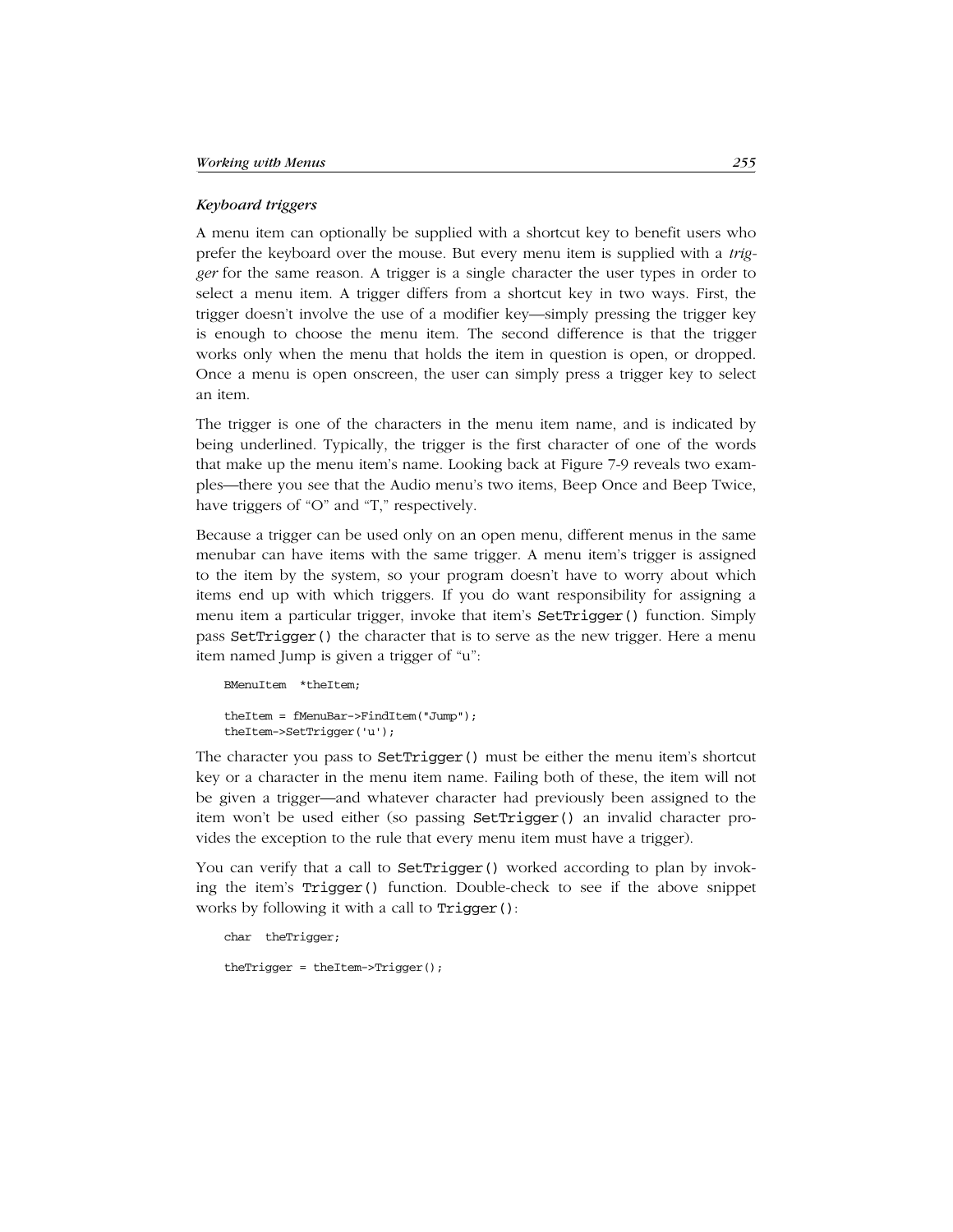#### *Keyboard triggers*

A menu item can optionally be supplied with a shortcut key to benefit users who prefer the keyboard over the mouse. But every menu item is supplied with a *trigger* for the same reason. A trigger is a single character the user types in order to select a menu item. A trigger differs from a shortcut key in two ways. First, the trigger doesn't involve the use of a modifier key—simply pressing the trigger key is enough to choose the menu item. The second difference is that the trigger works only when the menu that holds the item in question is open, or dropped. Once a menu is open onscreen, the user can simply press a trigger key to select an item.

The trigger is one of the characters in the menu item name, and is indicated by being underlined. Typically, the trigger is the first character of one of the words that make up the menu item's name. Looking back at Figure 7-9 reveals two examples—there you see that the Audio menu's two items, Beep Once and Beep Twice, have triggers of "O" and "T," respectively.

Because a trigger can be used only on an open menu, different menus in the same menubar can have items with the same trigger. A menu item's trigger is assigned to the item by the system, so your program doesn't have to worry about which items end up with which triggers. If you do want responsibility for assigning a menu item a particular trigger, invoke that item's SetTrigger() function. Simply pass SetTrigger() the character that is to serve as the new trigger. Here a menu item named Jump is given a trigger of "u":

```
BMenuItem *theItem;
theItem = fMenuBar->FindItem("Jump");
theItem->SetTrigger('u');
```
The character you pass to SetTrigger() must be either the menu item's shortcut key or a character in the menu item name. Failing both of these, the item will not be given a trigger—and whatever character had previously been assigned to the item won't be used either (so passing SetTrigger() an invalid character provides the exception to the rule that every menu item must have a trigger).

You can verify that a call to SetTrigger() worked according to plan by invoking the item's Trigger() function. Double-check to see if the above snippet works by following it with a call to Trigger():

```
char theTrigger;
theTrigger = theItem->Trigger();
```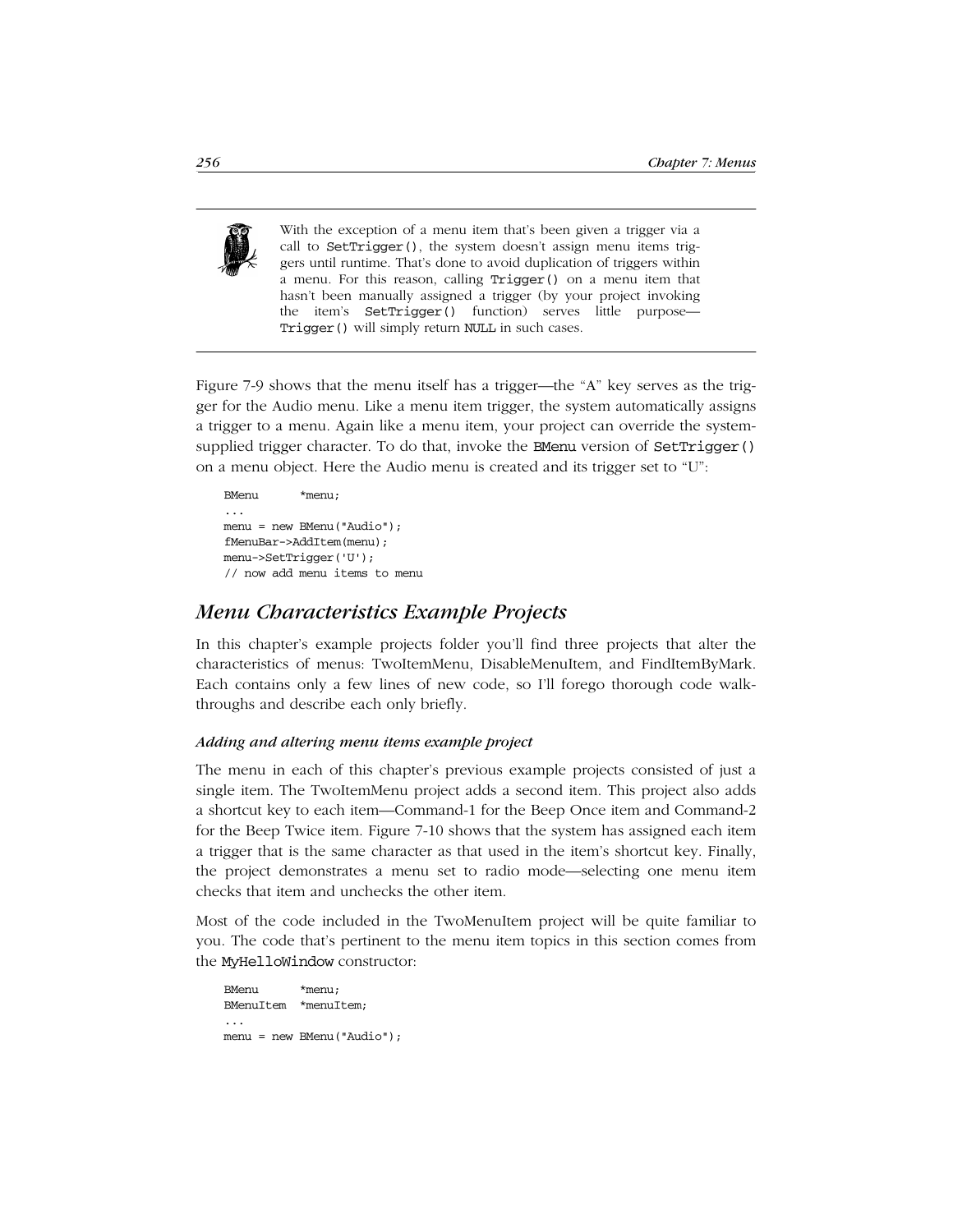

With the exception of a menu item that's been given a trigger via a call to SetTrigger(), the system doesn't assign menu items triggers until runtime. That's done to avoid duplication of triggers within a menu. For this reason, calling Trigger() on a menu item that hasn't been manually assigned a trigger (by your project invoking the item's SetTrigger() function) serves little purpose— Trigger() will simply return NULL in such cases.

Figure 7-9 shows that the menu itself has a trigger—the "A" key serves as the trigger for the Audio menu. Like a menu item trigger, the system automatically assigns a trigger to a menu. Again like a menu item, your project can override the systemsupplied trigger character. To do that, invoke the **BMenu** version of  $\text{SetTriager}()$ on a menu object. Here the Audio menu is created and its trigger set to "U":

```
BMenu *menu;
...
menu = new BMenu("Audio");
fMenuBar->AddItem(menu);
menu->SetTrigger('U');
// now add menu items to menu
```
## *Menu Characteristics Example Projects*

In this chapter's example projects folder you'll find three projects that alter the characteristics of menus: TwoItemMenu, DisableMenuItem, and FindItemByMark. Each contains only a few lines of new code, so I'll forego thorough code walkthroughs and describe each only briefly.

## *Adding and altering menu items example project*

The menu in each of this chapter's previous example projects consisted of just a single item. The TwoItemMenu project adds a second item. This project also adds a shortcut key to each item—Command-1 for the Beep Once item and Command-2 for the Beep Twice item. Figure 7-10 shows that the system has assigned each item a trigger that is the same character as that used in the item's shortcut key. Finally, the project demonstrates a menu set to radio mode—selecting one menu item checks that item and unchecks the other item.

Most of the code included in the TwoMenuItem project will be quite familiar to you. The code that's pertinent to the menu item topics in this section comes from the MyHelloWindow constructor:

```
BMenu *menu;
BMenuItem *menuItem;
...
menu = new BMenu("Audio");
```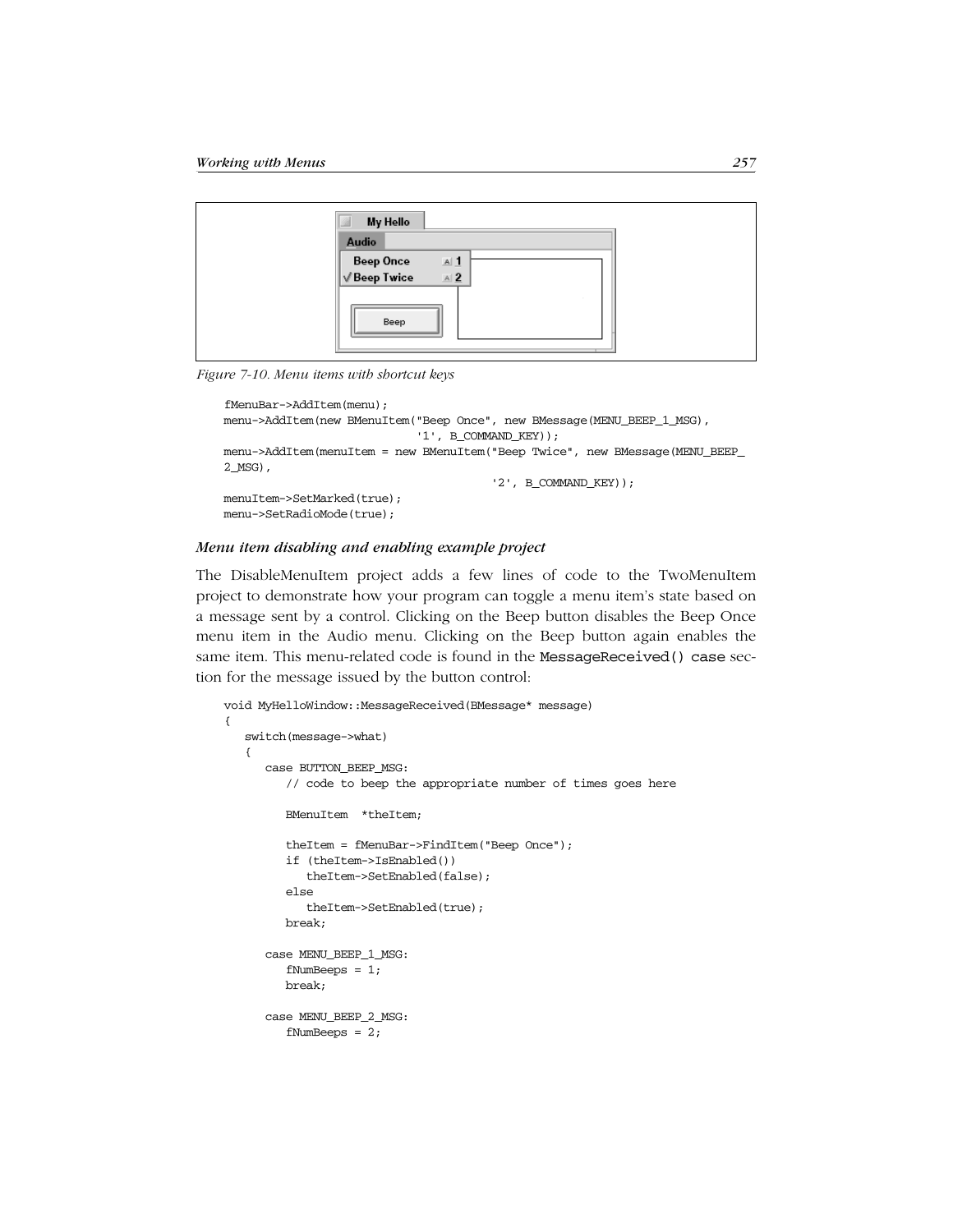{

| <b>My Hello</b><br>g                             |  |
|--------------------------------------------------|--|
| Audio                                            |  |
| Beep Once <u>Al 1</u><br>√Beep Twice Al <u>2</u> |  |
|                                                  |  |
| Beep                                             |  |

*Figure 7-10. Menu items with shortcut keys*

```
fMenuBar->AddItem(menu);
menu->AddItem(new BMenuItem("Beep Once", new BMessage(MENU_BEEP_1_MSG),
                            '1', B_COMMAND_KEY));
menu->AddItem(menuItem = new BMenuItem("Beep Twice", new BMessage(MENU_BEEP_
2_MSG),
                                        '2', B_COMMAND_KEY));
menuItem->SetMarked(true);
menu->SetRadioMode(true);
```
#### *Menu item disabling and enabling example project*

The DisableMenuItem project adds a few lines of code to the TwoMenuItem project to demonstrate how your program can toggle a menu item's state based on a message sent by a control. Clicking on the Beep button disables the Beep Once menu item in the Audio menu. Clicking on the Beep button again enables the same item. This menu-related code is found in the MessageReceived() case section for the message issued by the button control:

```
void MyHelloWindow::MessageReceived(BMessage* message)
    switch(message->what)
    {
       case BUTTON_BEEP_MSG:
          // code to beep the appropriate number of times goes here
          BMenuItem *theItem;
          theItem = fMenuBar->FindItem("Beep Once");
          if (theItem->IsEnabled())
             theItem->SetEnabled(false);
          else
             theItem->SetEnabled(true);
          break;
       case MENU_BEEP_1_MSG:
          fNumBeeps = 1;
          break;
       case MENU_BEEP_2_MSG:
         fNumber = 2;
```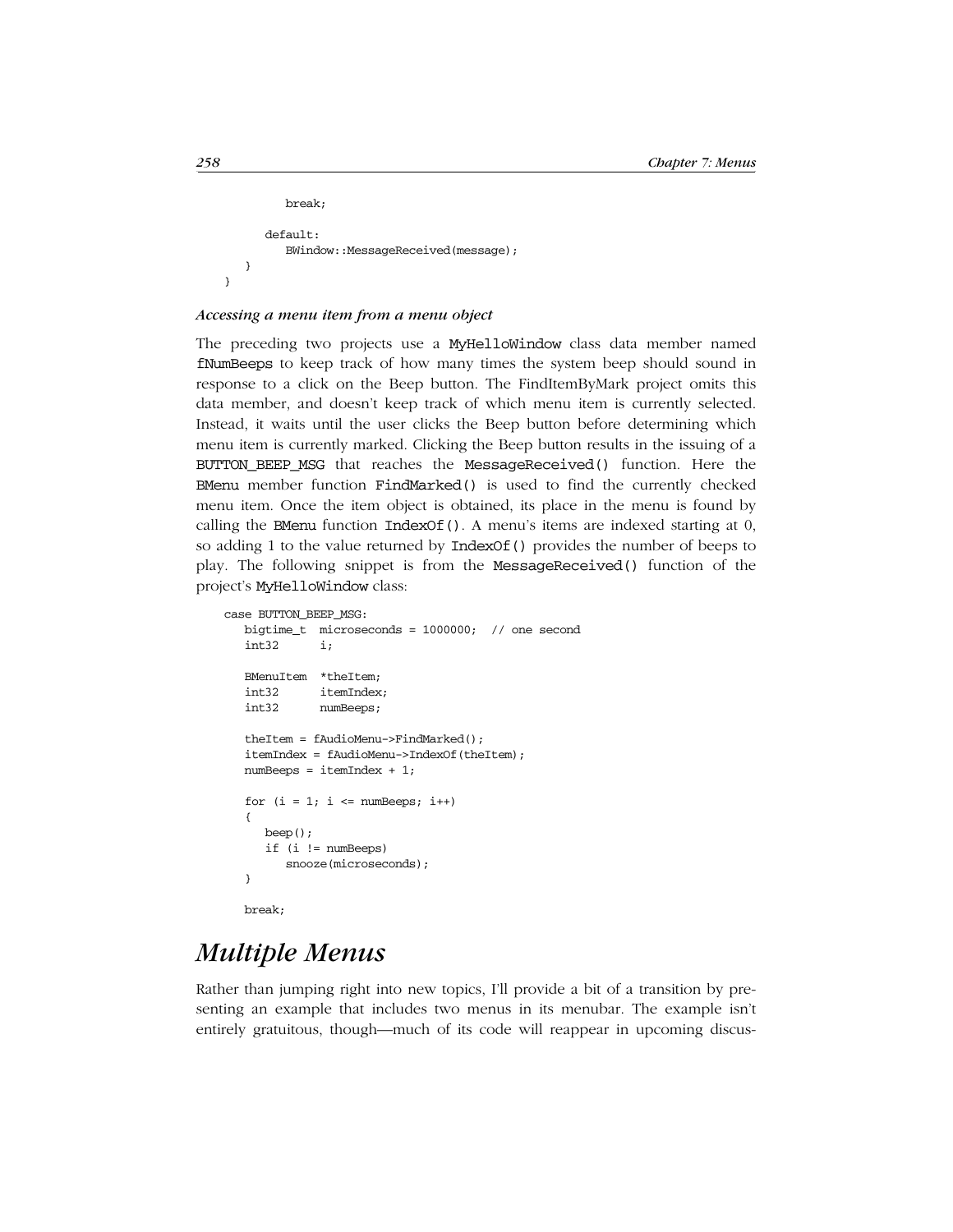```
 break;
       default:
          BWindow::MessageReceived(message);
    }
}
```
#### *Accessing a menu item from a menu object*

The preceding two projects use a MyHelloWindow class data member named fNumBeeps to keep track of how many times the system beep should sound in response to a click on the Beep button. The FindItemByMark project omits this data member, and doesn't keep track of which menu item is currently selected. Instead, it waits until the user clicks the Beep button before determining which menu item is currently marked. Clicking the Beep button results in the issuing of a BUTTON\_BEEP\_MSG that reaches the MessageReceived() function. Here the BMenu member function FindMarked() is used to find the currently checked menu item. Once the item object is obtained, its place in the menu is found by calling the BMenu function IndexOf(). A menu's items are indexed starting at 0, so adding 1 to the value returned by IndexOf() provides the number of beeps to play. The following snippet is from the MessageReceived() function of the project's MyHelloWindow class:

```
case BUTTON_BEEP_MSG:
  bigtime t microseconds = 1000000; // one second
   int32 i;
   BMenuItem *theItem;
   int32 itemIndex;
   int32 numBeeps;
   theItem = fAudioMenu->FindMarked();
   itemIndex = fAudioMenu->IndexOf(theItem);
  numBeeps = itemIndex + 1;for (i = 1; i \leq \text{numBeeps}; i++) {
      beep();
      if (i != numBeeps)
         snooze(microseconds);
   }
```
break;

## *Multiple Menus*

Rather than jumping right into new topics, I'll provide a bit of a transition by presenting an example that includes two menus in its menubar. The example isn't entirely gratuitous, though—much of its code will reappear in upcoming discus-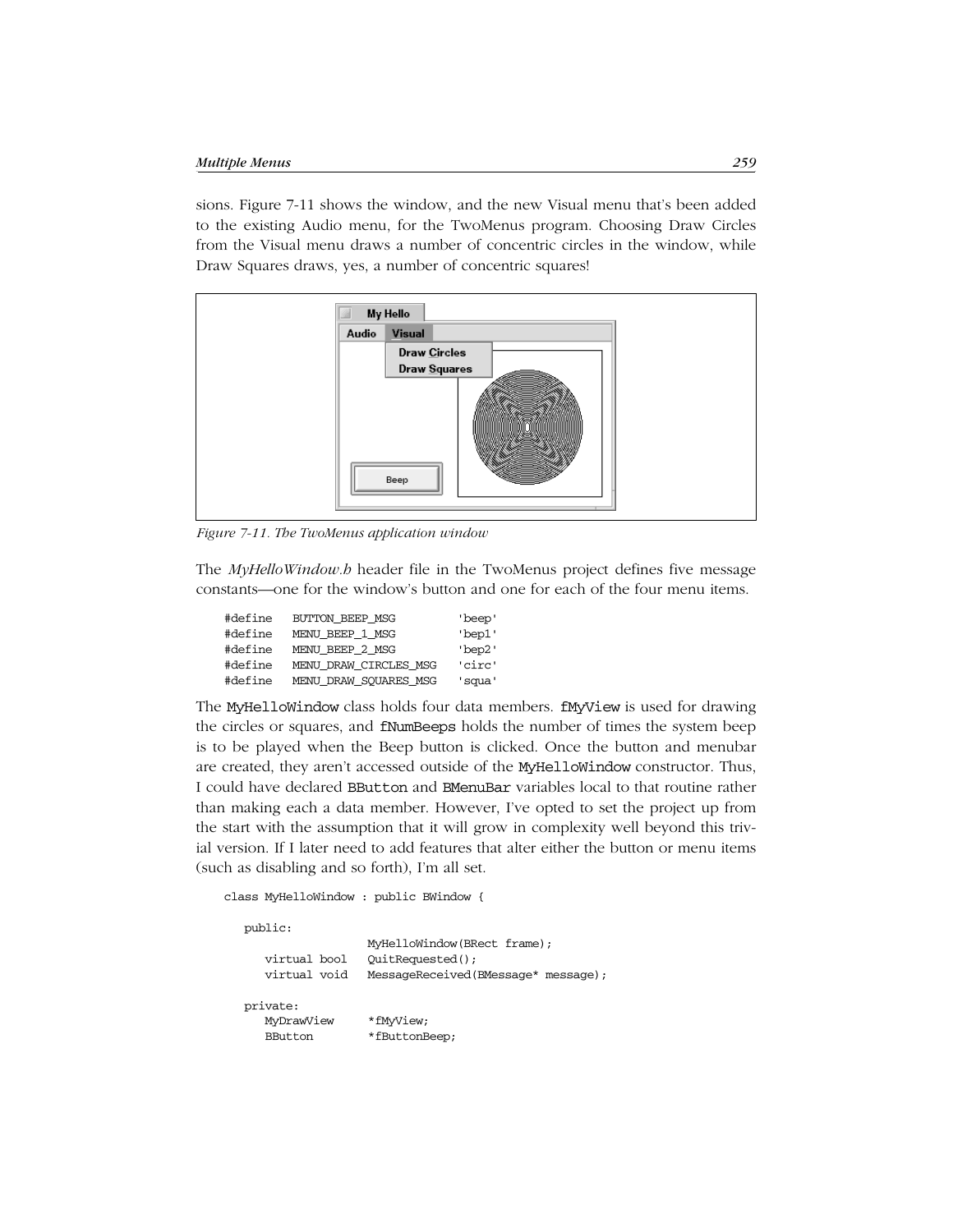sions. Figure 7-11 shows the window, and the new Visual menu that's been added to the existing Audio menu, for the TwoMenus program. Choosing Draw Circles from the Visual menu draws a number of concentric circles in the window, while Draw Squares draws, yes, a number of concentric squares!



*Figure 7-11. The TwoMenus application window*

The *MyHelloWindow.h* header file in the TwoMenus project defines five message constants—one for the window's button and one for each of the four menu items.

| #define | BUTTON BEEP MSG       | 'beep' |
|---------|-----------------------|--------|
| #define | MENU BEEP 1 MSG       | 'bep1' |
| #define | MENU BEEP 2 MSG       | 'bep2' |
| #define | MENU DRAW_CIRCLES_MSG | 'circ' |
| #define | MENU DRAW SOUARES MSG | 'squa' |

The MyHelloWindow class holds four data members. fMyView is used for drawing the circles or squares, and fNumBeeps holds the number of times the system beep is to be played when the Beep button is clicked. Once the button and menubar are created, they aren't accessed outside of the MyHelloWindow constructor. Thus, I could have declared BButton and BMenuBar variables local to that routine rather than making each a data member. However, I've opted to set the project up from the start with the assumption that it will grow in complexity well beyond this trivial version. If I later need to add features that alter either the button or menu items (such as disabling and so forth), I'm all set.

class MyHelloWindow : public BWindow {

```
 public:
                  MyHelloWindow(BRect frame);
  virtual bool  QuitRequested();
   virtual void MessageReceived(BMessage* message);
 private:
   MyDrawView *fMyView;
  BButton *fButtonBeep;
```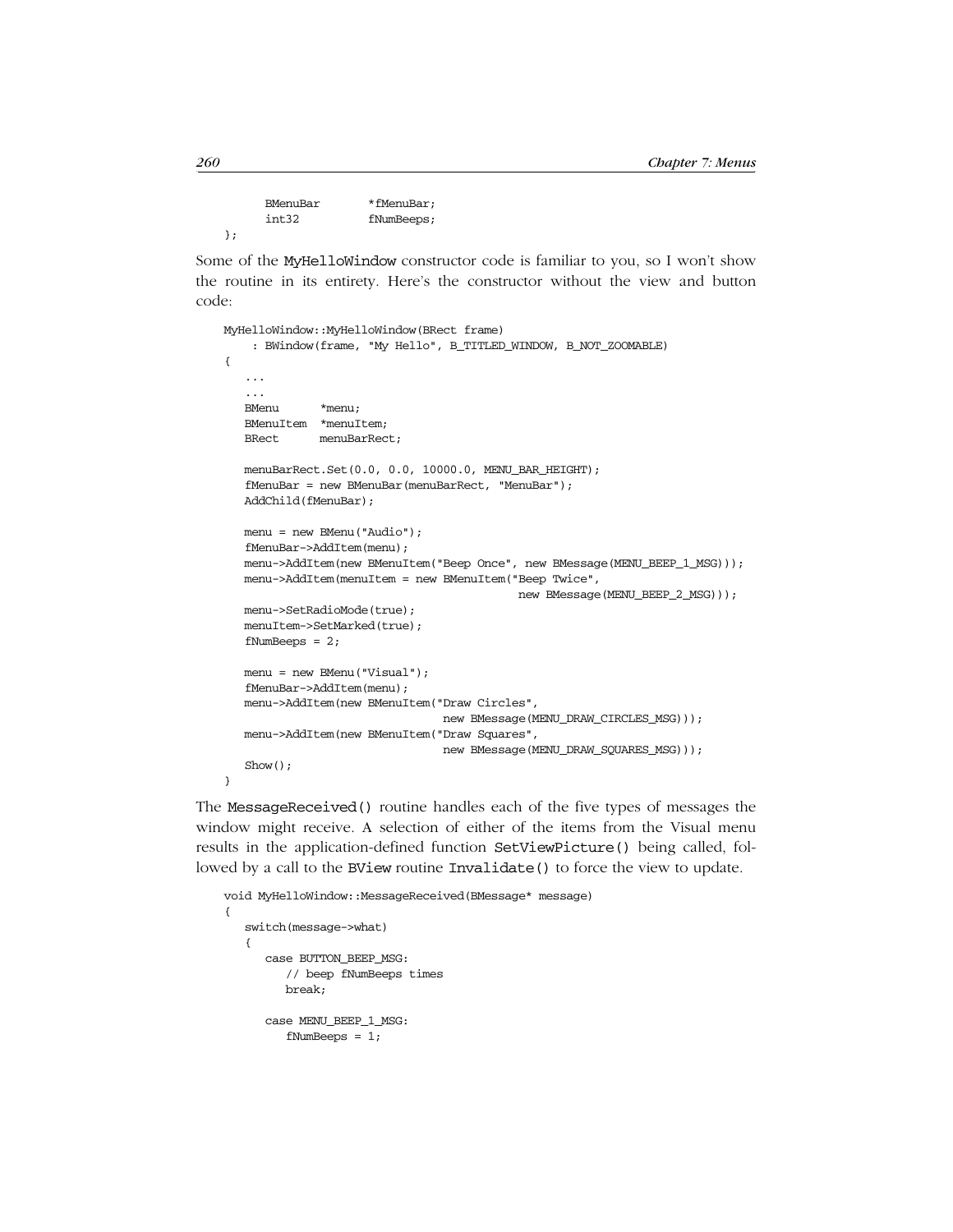BMenuBar \*fMenuBar; int32 fNumBeeps; };

Some of the MyHelloWindow constructor code is familiar to you, so I won't show the routine in its entirety. Here's the constructor without the view and button code:

```
MyHelloWindow::MyHelloWindow(BRect frame)
     : BWindow(frame, "My Hello", B_TITLED_WINDOW, B_NOT_ZOOMABLE)
{
    ...
    ...
   BMenu *menu;
   BMenuItem *menuItem;
   BRect menuBarRect;
   menuBarRect.Set(0.0, 0.0, 10000.0, MENU_BAR_HEIGHT);
   fMenuBar = new BMenuBar(menuBarRect, "MenuBar");
   AddChild(fMenuBar);
  menu = new BMenu("Audio");
   fMenuBar->AddItem(menu);
  menu->AddItem(new BMenuItem("Beep Once", new BMessage(MENU_BEEP_1_MSG)));
   menu->AddItem(menuItem = new BMenuItem("Beep Twice",
                                            new BMessage(MENU_BEEP_2_MSG)));
   menu->SetRadioMode(true);
   menuItem->SetMarked(true);
   fNumber = 2;menu = new BMenu("Visual");
    fMenuBar->AddItem(menu);
   menu->AddItem(new BMenuItem("Draw Circles",
                                 new BMessage(MENU_DRAW_CIRCLES_MSG)));
    menu->AddItem(new BMenuItem("Draw Squares",
                                 new BMessage(MENU_DRAW_SQUARES_MSG)));
   Show();
}
```
The MessageReceived() routine handles each of the five types of messages the window might receive. A selection of either of the items from the Visual menu results in the application-defined function SetViewPicture() being called, followed by a call to the BView routine Invalidate() to force the view to update.

```
void MyHelloWindow::MessageReceived(BMessage* message)
{
    switch(message->what)
    {
       case BUTTON_BEEP_MSG:
          // beep fNumBeeps times
          break;
       case MENU_BEEP_1_MSG:
         fNumBeeps = 1;
```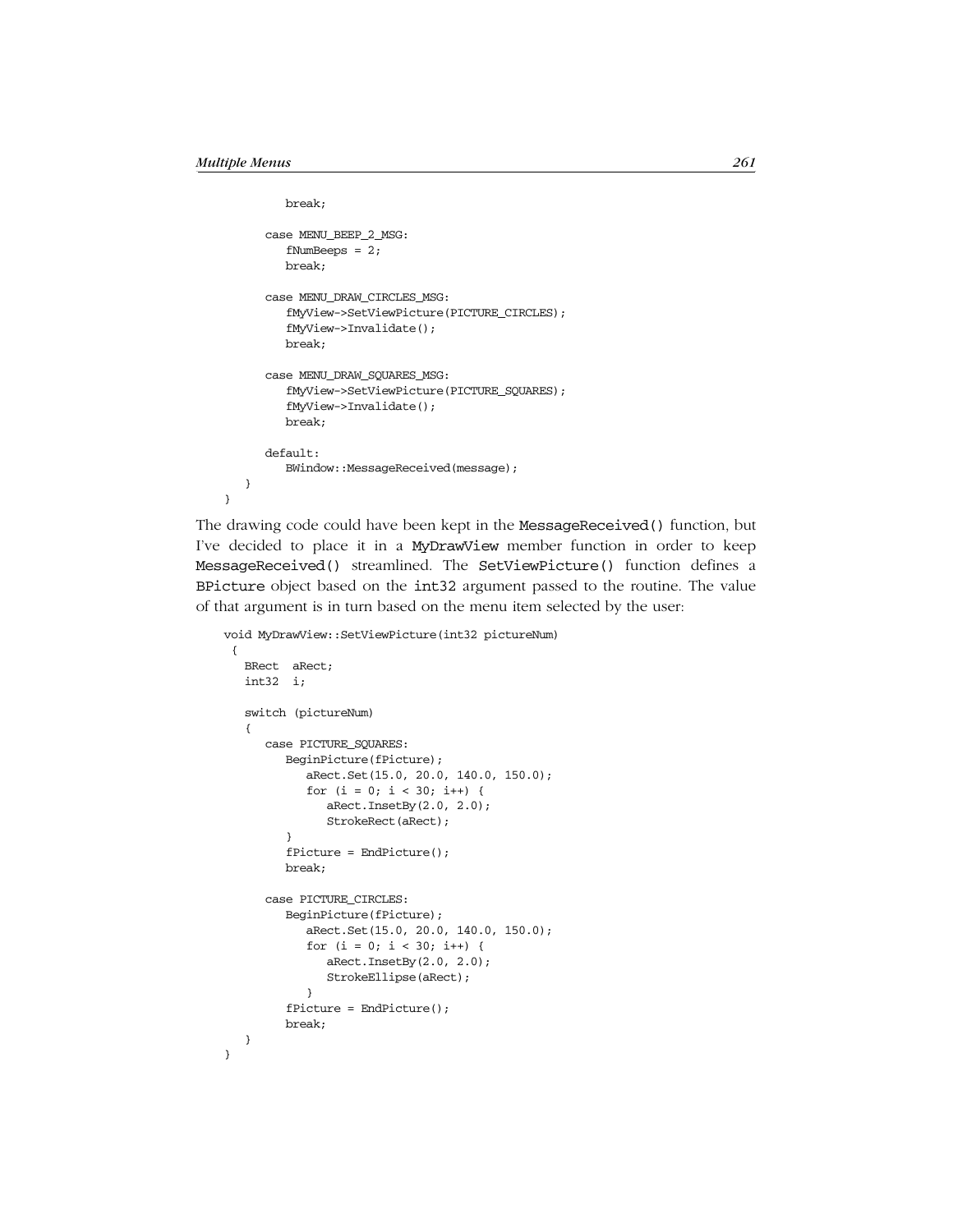}

```
 break;
    case MENU_BEEP_2_MSG:
       fNumBeeps = 2;
      break;
    case MENU_DRAW_CIRCLES_MSG:
       fMyView->SetViewPicture(PICTURE_CIRCLES);
       fMyView->Invalidate();
       break;
    case MENU_DRAW_SQUARES_MSG:
       fMyView->SetViewPicture(PICTURE_SQUARES);
       fMyView->Invalidate();
       break;
    default:
       BWindow::MessageReceived(message);
 }
```
The drawing code could have been kept in the MessageReceived() function, but I've decided to place it in a MyDrawView member function in order to keep MessageReceived() streamlined. The SetViewPicture() function defines a BPicture object based on the int32 argument passed to the routine. The value of that argument is in turn based on the menu item selected by the user:

```
void MyDrawView::SetViewPicture(int32 pictureNum)
  {
    BRect aRect;
    int32 i;
    switch (pictureNum)
    {
       case PICTURE_SQUARES:
          BeginPicture(fPicture);
             aRect.Set(15.0, 20.0, 140.0, 150.0);
            for (i = 0; i < 30; i++) {
               aRect.InsetBy(2.0, 2.0);StrokeRect(aRect);
          }
          fPicture = EndPicture();
          break;
       case PICTURE_CIRCLES:
          BeginPicture(fPicture);
             aRect.Set(15.0, 20.0, 140.0, 150.0);
            for (i = 0; i < 30; i++) {
               aRect.InsetBy(2.0, 2.0); StrokeEllipse(aRect);
 }
          fPicture = EndPicture();
          break;
    }
}
```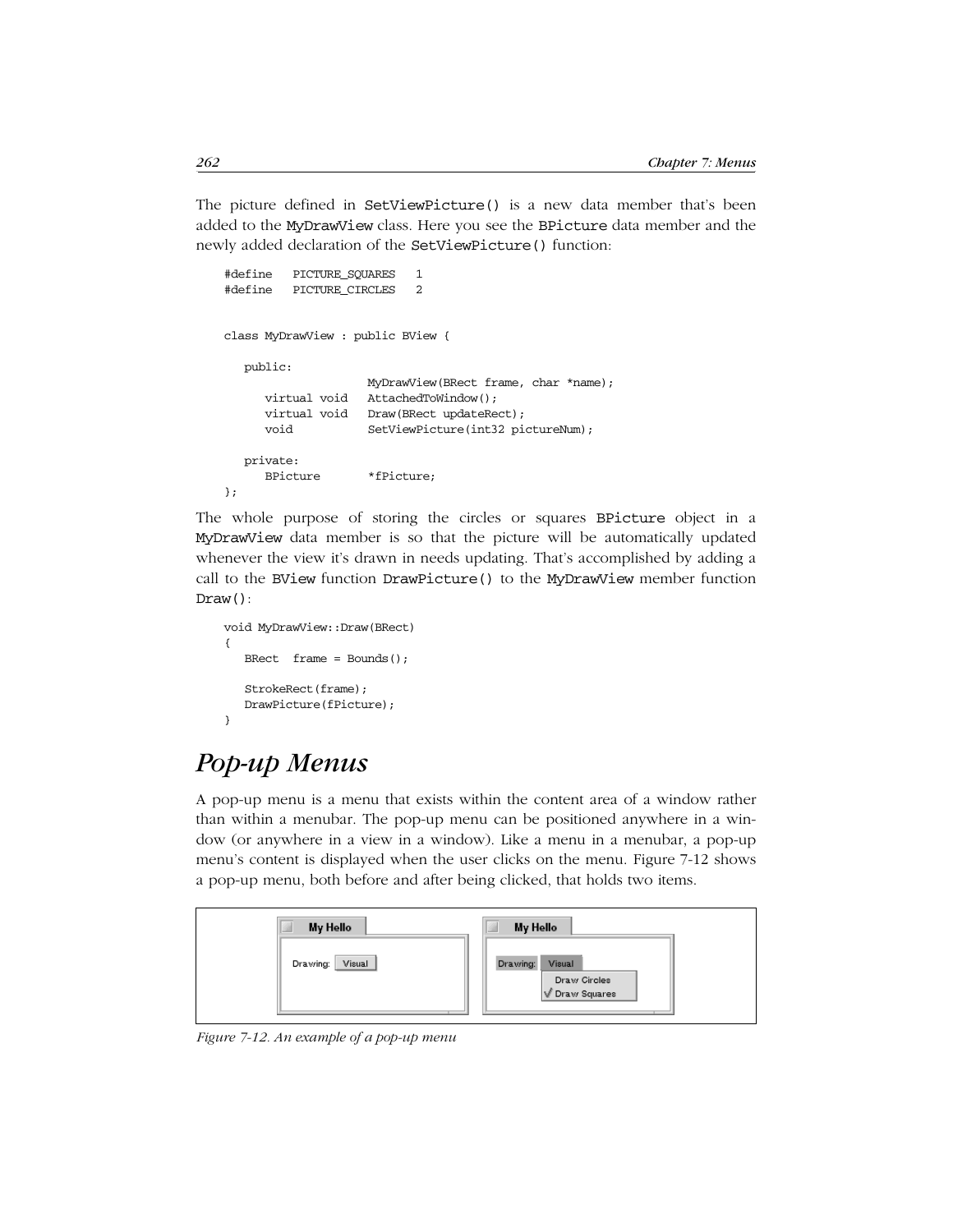The picture defined in SetViewPicture() is a new data member that's been added to the MyDrawView class. Here you see the BPicture data member and the newly added declaration of the SetViewPicture() function:

```
#define PICTURE_SQUARES 1
#define PICTURE_CIRCLES 2
class MyDrawView : public BView {
   public:
                    MyDrawView(BRect frame, char *name);
      virtual void AttachedToWindow();
      virtual void Draw(BRect updateRect);
     void SetViewPicture(int32 pictureNum);
   private:
      BPicture *fPicture;
};
```
The whole purpose of storing the circles or squares BPicture object in a MyDrawView data member is so that the picture will be automatically updated whenever the view it's drawn in needs updating. That's accomplished by adding a call to the BView function DrawPicture() to the MyDrawView member function Draw():

```
void MyDrawView::Draw(BRect)
{
   BRect frame = Bounds();
    StrokeRect(frame);
    DrawPicture(fPicture);
}
```
## *Pop-up Menus*

A pop-up menu is a menu that exists within the content area of a window rather than within a menubar. The pop-up menu can be positioned anywhere in a window (or anywhere in a view in a window). Like a menu in a menubar, a pop-up menu's content is displayed when the user clicks on the menu. Figure 7-12 shows a pop-up menu, both before and after being clicked, that holds two items.



*Figure 7-12. An example of a pop-up menu*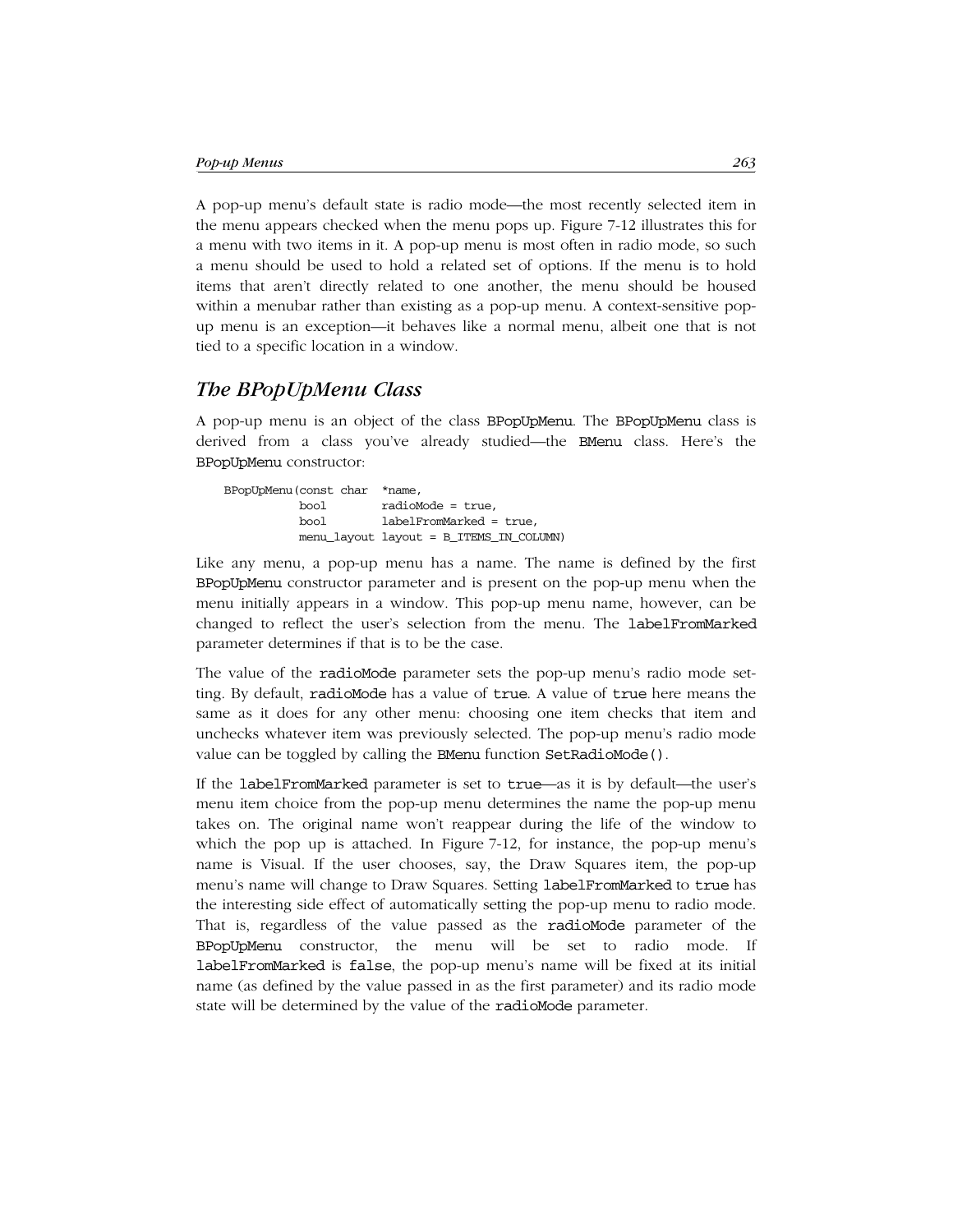A pop-up menu's default state is radio mode—the most recently selected item in the menu appears checked when the menu pops up. Figure 7-12 illustrates this for a menu with two items in it. A pop-up menu is most often in radio mode, so such a menu should be used to hold a related set of options. If the menu is to hold items that aren't directly related to one another, the menu should be housed within a menubar rather than existing as a pop-up menu. A context-sensitive popup menu is an exception—it behaves like a normal menu, albeit one that is not tied to a specific location in a window.

## *The BPopUpMenu Class*

A pop-up menu is an object of the class BPopUpMenu. The BPopUpMenu class is derived from a class you've already studied—the BMenu class. Here's the BPopUpMenu constructor:

| BPopUpMenu(const char *name, |                                         |
|------------------------------|-----------------------------------------|
| bool.                        | radioMode = true,                       |
| bool.                        | $labelFromMarked = true.$               |
|                              | menu layout layout = B_ITEMS_IN_COLUMN) |

Like any menu, a pop-up menu has a name. The name is defined by the first BPopUpMenu constructor parameter and is present on the pop-up menu when the menu initially appears in a window. This pop-up menu name, however, can be changed to reflect the user's selection from the menu. The labelFromMarked parameter determines if that is to be the case.

The value of the radioMode parameter sets the pop-up menu's radio mode setting. By default, radioMode has a value of true. A value of true here means the same as it does for any other menu: choosing one item checks that item and unchecks whatever item was previously selected. The pop-up menu's radio mode value can be toggled by calling the BMenu function SetRadioMode().

If the labelFromMarked parameter is set to true—as it is by default—the user's menu item choice from the pop-up menu determines the name the pop-up menu takes on. The original name won't reappear during the life of the window to which the pop up is attached. In Figure 7-12, for instance, the pop-up menu's name is Visual. If the user chooses, say, the Draw Squares item, the pop-up menu's name will change to Draw Squares. Setting labelFromMarked to true has the interesting side effect of automatically setting the pop-up menu to radio mode. That is, regardless of the value passed as the radioMode parameter of the BPopUpMenu constructor, the menu will be set to radio mode. If labelFromMarked is false, the pop-up menu's name will be fixed at its initial name (as defined by the value passed in as the first parameter) and its radio mode state will be determined by the value of the radioMode parameter.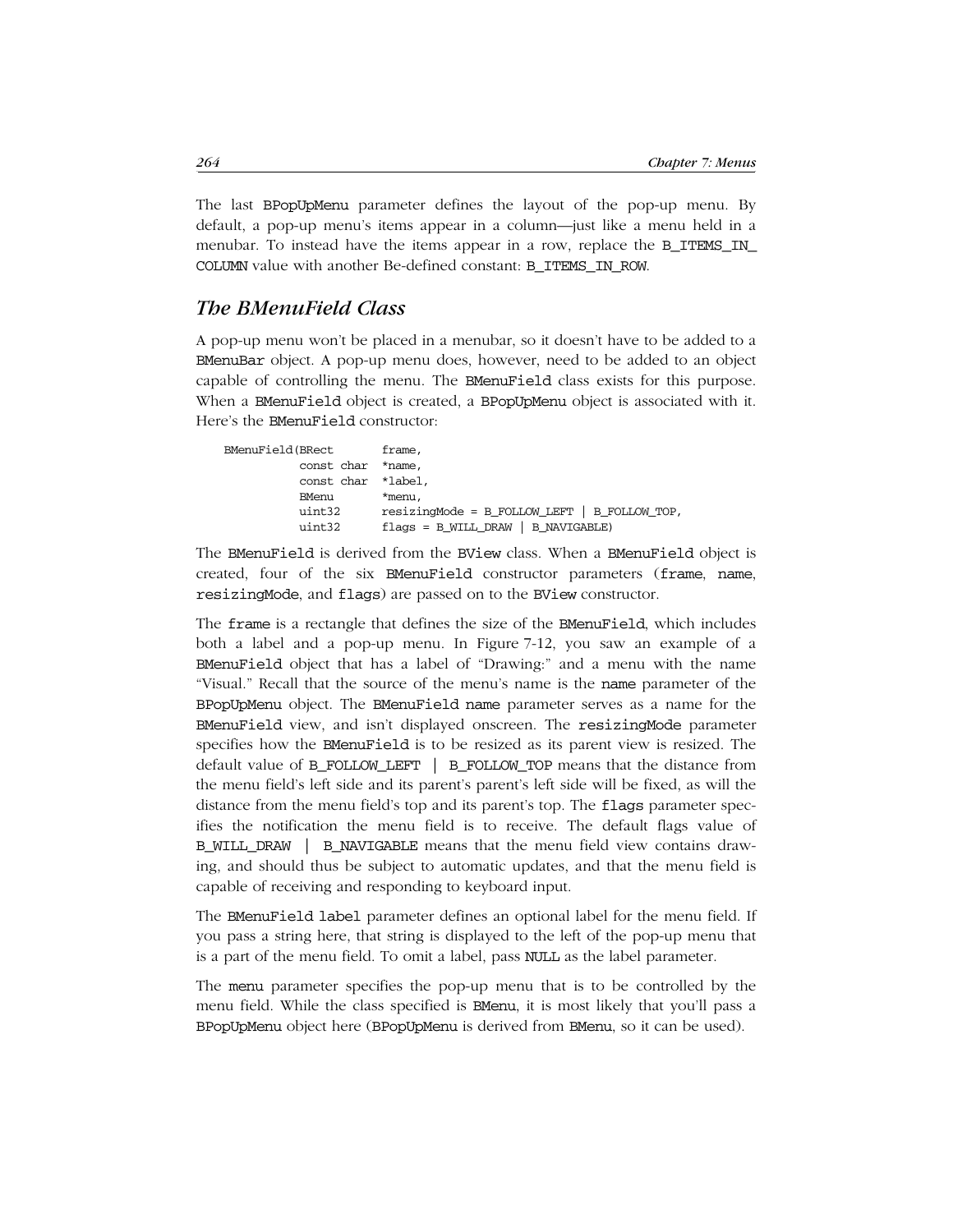The last BPopUpMenu parameter defines the layout of the pop-up menu. By default, a pop-up menu's items appear in a column—just like a menu held in a menubar. To instead have the items appear in a row, replace the **B\_ITEMS\_IN\_** COLUMN value with another Be-defined constant: B\_ITEMS\_IN\_ROW.

## *The BMenuField Class*

A pop-up menu won't be placed in a menubar, so it doesn't have to be added to a BMenuBar object. A pop-up menu does, however, need to be added to an object capable of controlling the menu. The BMenuField class exists for this purpose. When a BMenuField object is created, a BPopUpMenu object is associated with it. Here's the BMenuField constructor:

| BMenuField(BRect   | frame,                                         |
|--------------------|------------------------------------------------|
| const char *name,  |                                                |
| const char *label, |                                                |
| BMenu              | *menu,                                         |
| uint32             | $resizingMode = B_FOLLOW_LEFT   B_FOLLOW_TOP,$ |
| uint32             | $flags = B_WILL DRAW   B_NAVIGABLE)$           |

The BMenuField is derived from the BView class. When a BMenuField object is created, four of the six BMenuField constructor parameters (frame, name, resizingMode, and flags) are passed on to the BView constructor.

The frame is a rectangle that defines the size of the BMenuField, which includes both a label and a pop-up menu. In Figure 7-12, you saw an example of a BMenuField object that has a label of "Drawing:" and a menu with the name "Visual." Recall that the source of the menu's name is the name parameter of the BPopUpMenu object. The BMenuField name parameter serves as a name for the BMenuField view, and isn't displayed onscreen. The resizingMode parameter specifies how the BMenuField is to be resized as its parent view is resized. The default value of B\_FOLLOW\_LEFT | B\_FOLLOW\_TOP means that the distance from the menu field's left side and its parent's parent's left side will be fixed, as will the distance from the menu field's top and its parent's top. The flags parameter specifies the notification the menu field is to receive. The default flags value of B\_WILL\_DRAW | B\_NAVIGABLE means that the menu field view contains drawing, and should thus be subject to automatic updates, and that the menu field is capable of receiving and responding to keyboard input.

The BMenuField label parameter defines an optional label for the menu field. If you pass a string here, that string is displayed to the left of the pop-up menu that is a part of the menu field. To omit a label, pass NULL as the label parameter.

The menu parameter specifies the pop-up menu that is to be controlled by the menu field. While the class specified is BMenu, it is most likely that you'll pass a BPopUpMenu object here (BPopUpMenu is derived from BMenu, so it can be used).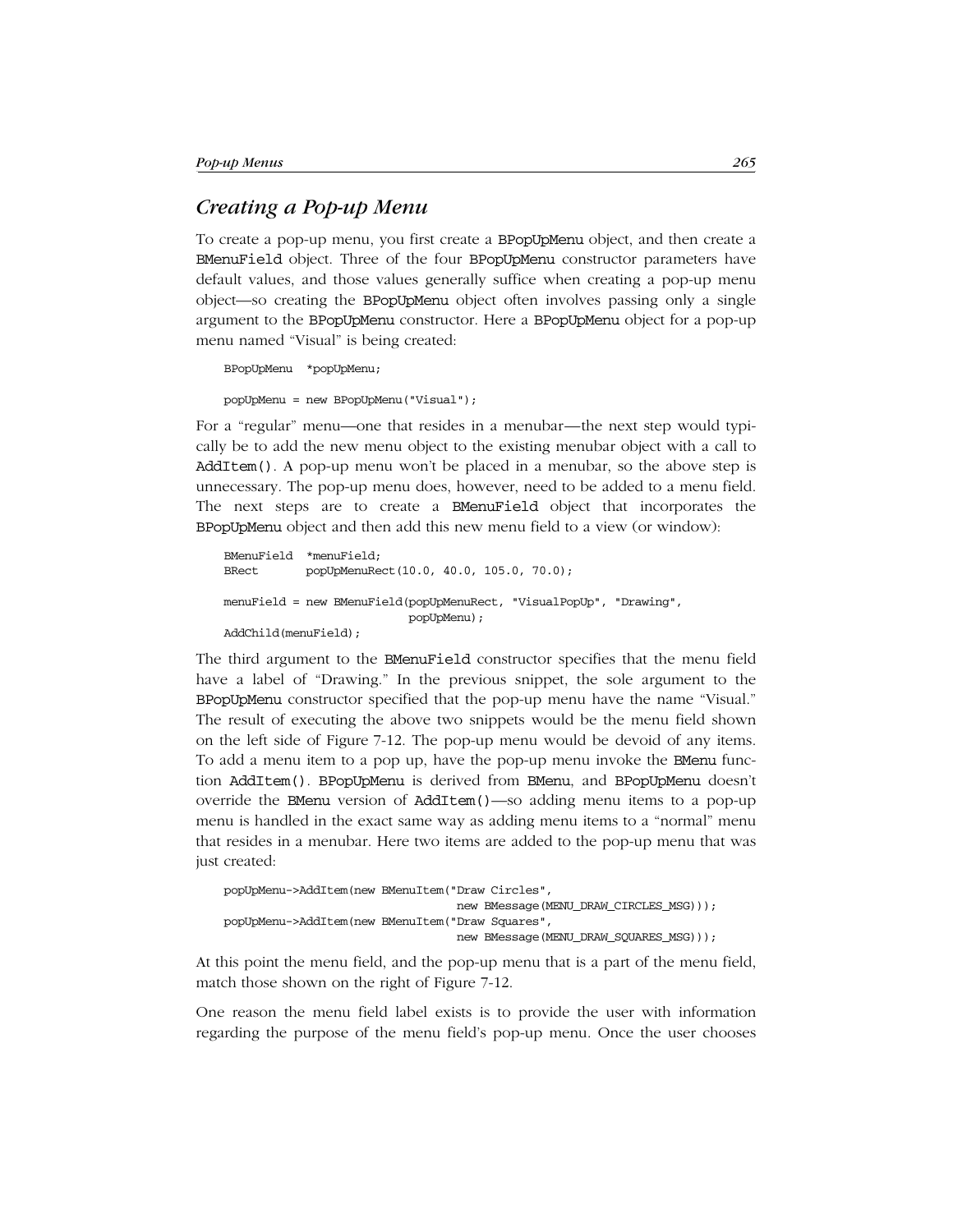## *Creating a Pop-up Menu*

To create a pop-up menu, you first create a BPopUpMenu object, and then create a BMenuField object. Three of the four BPopUpMenu constructor parameters have default values, and those values generally suffice when creating a pop-up menu object—so creating the BPopUpMenu object often involves passing only a single argument to the BPopUpMenu constructor. Here a BPopUpMenu object for a pop-up menu named "Visual" is being created:

```
BPopUpMenu *popUpMenu;
```
popUpMenu = new BPopUpMenu("Visual");

For a "regular" menu—one that resides in a menubar—the next step would typically be to add the new menu object to the existing menubar object with a call to AddItem(). A pop-up menu won't be placed in a menubar, so the above step is unnecessary. The pop-up menu does, however, need to be added to a menu field. The next steps are to create a BMenuField object that incorporates the BPopUpMenu object and then add this new menu field to a view (or window):

```
BMenuField *menuField;
BRect popUpMenuRect(10.0, 40.0, 105.0, 70.0);
menuField = new BMenuField(popUpMenuRect, "VisualPopUp", "Drawing",
                           popUpMenu);
AddChild(menuField);
```
The third argument to the BMenuField constructor specifies that the menu field have a label of "Drawing." In the previous snippet, the sole argument to the BPopUpMenu constructor specified that the pop-up menu have the name "Visual." The result of executing the above two snippets would be the menu field shown on the left side of Figure 7-12. The pop-up menu would be devoid of any items. To add a menu item to a pop up, have the pop-up menu invoke the BMenu function AddItem(). BPopUpMenu is derived from BMenu, and BPopUpMenu doesn't override the BMenu version of AddItem()—so adding menu items to a pop-up menu is handled in the exact same way as adding menu items to a "normal" menu that resides in a menubar. Here two items are added to the pop-up menu that was just created:

```
popUpMenu->AddItem(new BMenuItem("Draw Circles",
                                   new BMessage(MENU_DRAW_CIRCLES_MSG)));
popUpMenu->AddItem(new BMenuItem("Draw Squares",
                                   new BMessage(MENU_DRAW_SQUARES_MSG)));
```
At this point the menu field, and the pop-up menu that is a part of the menu field, match those shown on the right of Figure 7-12.

One reason the menu field label exists is to provide the user with information regarding the purpose of the menu field's pop-up menu. Once the user chooses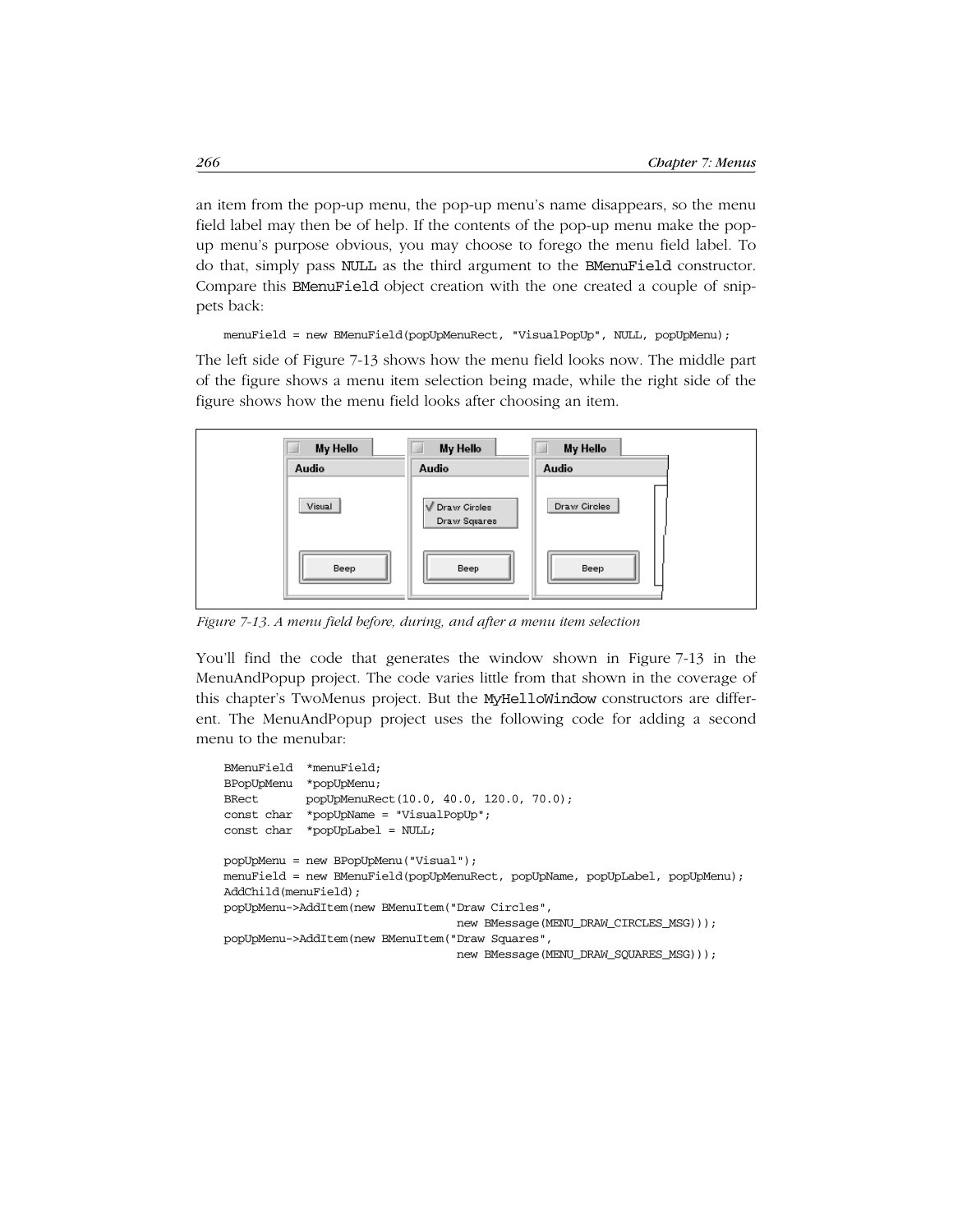an item from the pop-up menu, the pop-up menu's name disappears, so the menu field label may then be of help. If the contents of the pop-up menu make the popup menu's purpose obvious, you may choose to forego the menu field label. To do that, simply pass NULL as the third argument to the BMenuField constructor. Compare this BMenuField object creation with the one created a couple of snippets back:

menuField = new BMenuField(popUpMenuRect, "VisualPopUp", NULL, popUpMenu);

The left side of Figure 7-13 shows how the menu field looks now. The middle part of the figure shows a menu item selection being made, while the right side of the figure shows how the menu field looks after choosing an item.



*Figure 7-13. A menu field before, during, and after a menu item selection*

You'll find the code that generates the window shown in Figure 7-13 in the MenuAndPopup project. The code varies little from that shown in the coverage of this chapter's TwoMenus project. But the MyHelloWindow constructors are different. The MenuAndPopup project uses the following code for adding a second menu to the menubar:

```
BMenuField *menuField;
BPopUpMenu *popUpMenu;
BRect popUpMenuRect(10.0, 40.0, 120.0, 70.0);
const char *popUpName = "VisualPopUp";
const char *popUpLabel = NULL;
popUpMenu = new BPopUpMenu("Visual");
menuField = new BMenuField(popUpMenuRect, popUpName, popUpLabel, popUpMenu);
AddChild(menuField);
popUpMenu->AddItem(new BMenuItem("Draw Circles",
                                  new BMessage(MENU_DRAW_CIRCLES_MSG)));
popUpMenu->AddItem(new BMenuItem("Draw Squares",
                                  new BMessage(MENU_DRAW_SQUARES_MSG)));
```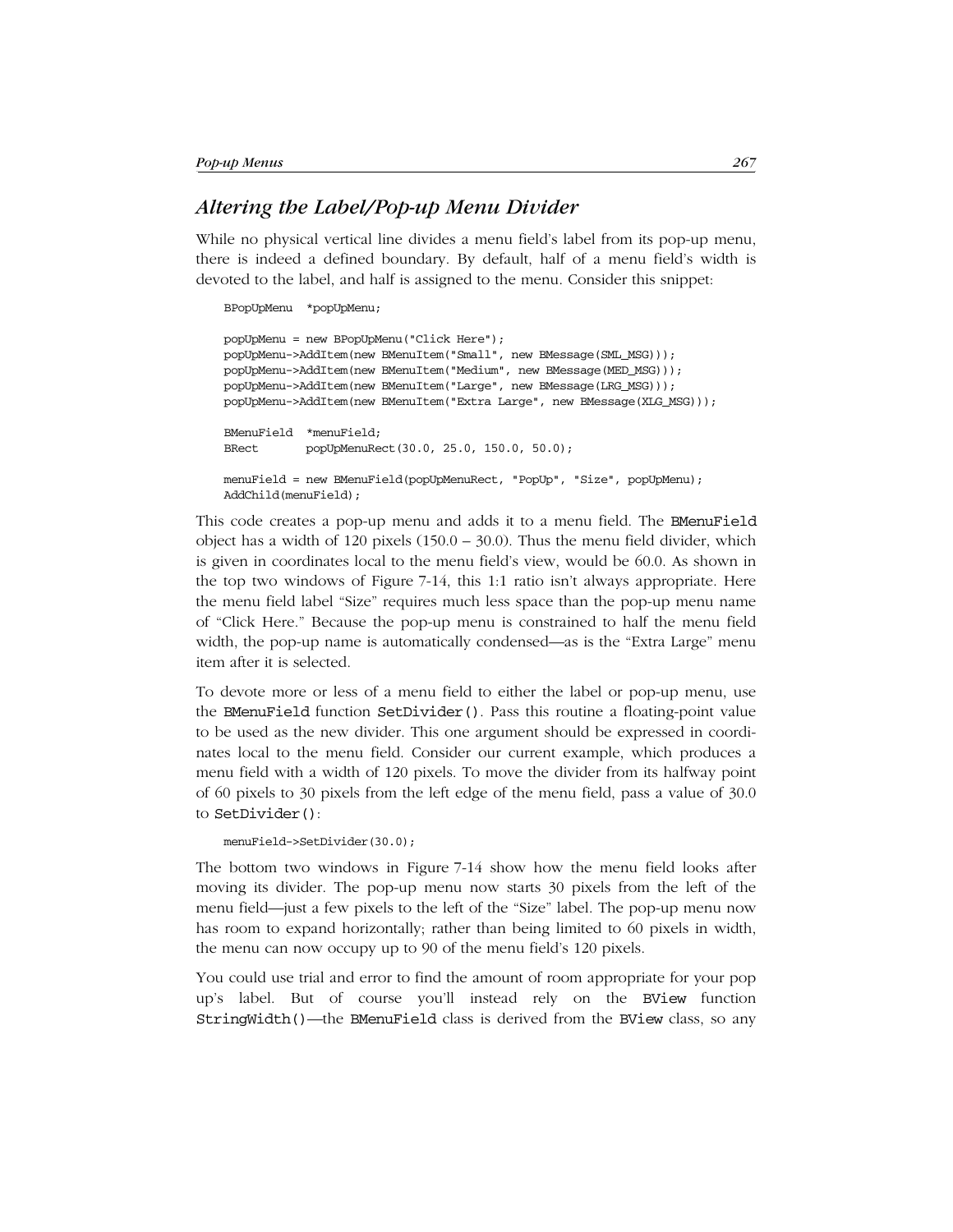## *Altering the Label/Pop-up Menu Divider*

While no physical vertical line divides a menu field's label from its pop-up menu, there is indeed a defined boundary. By default, half of a menu field's width is devoted to the label, and half is assigned to the menu. Consider this snippet:

```
BPopUpMenu *popUpMenu;
popUpMenu = new BPopUpMenu("Click Here");
popUpMenu->AddItem(new BMenuItem("Small", new BMessage(SML_MSG)));
popUpMenu->AddItem(new BMenuItem("Medium", new BMessage(MED_MSG)));
popUpMenu->AddItem(new BMenuItem("Large", new BMessage(LRG_MSG)));
popUpMenu->AddItem(new BMenuItem("Extra Large", new BMessage(XLG_MSG)));
BMenuField *menuField;
BRect popUpMenuRect(30.0, 25.0, 150.0, 50.0);
menuField = new BMenuField(popUpMenuRect, "PopUp", "Size", popUpMenu);
AddChild(menuField);
```
This code creates a pop-up menu and adds it to a menu field. The BMenuField object has a width of  $120$  pixels  $(150.0 - 30.0)$ . Thus the menu field divider, which is given in coordinates local to the menu field's view, would be 60.0. As shown in the top two windows of Figure 7-14, this 1:1 ratio isn't always appropriate. Here the menu field label "Size" requires much less space than the pop-up menu name of "Click Here." Because the pop-up menu is constrained to half the menu field width, the pop-up name is automatically condensed—as is the "Extra Large" menu item after it is selected.

To devote more or less of a menu field to either the label or pop-up menu, use the BMenuField function SetDivider(). Pass this routine a floating-point value to be used as the new divider. This one argument should be expressed in coordinates local to the menu field. Consider our current example, which produces a menu field with a width of 120 pixels. To move the divider from its halfway point of 60 pixels to 30 pixels from the left edge of the menu field, pass a value of 30.0 to SetDivider():

```
menuField->SetDivider(30.0);
```
The bottom two windows in Figure 7-14 show how the menu field looks after moving its divider. The pop-up menu now starts 30 pixels from the left of the menu field—just a few pixels to the left of the "Size" label. The pop-up menu now has room to expand horizontally; rather than being limited to 60 pixels in width, the menu can now occupy up to 90 of the menu field's 120 pixels.

You could use trial and error to find the amount of room appropriate for your pop up's label. But of course you'll instead rely on the BView function StringWidth()—the BMenuField class is derived from the BView class, so any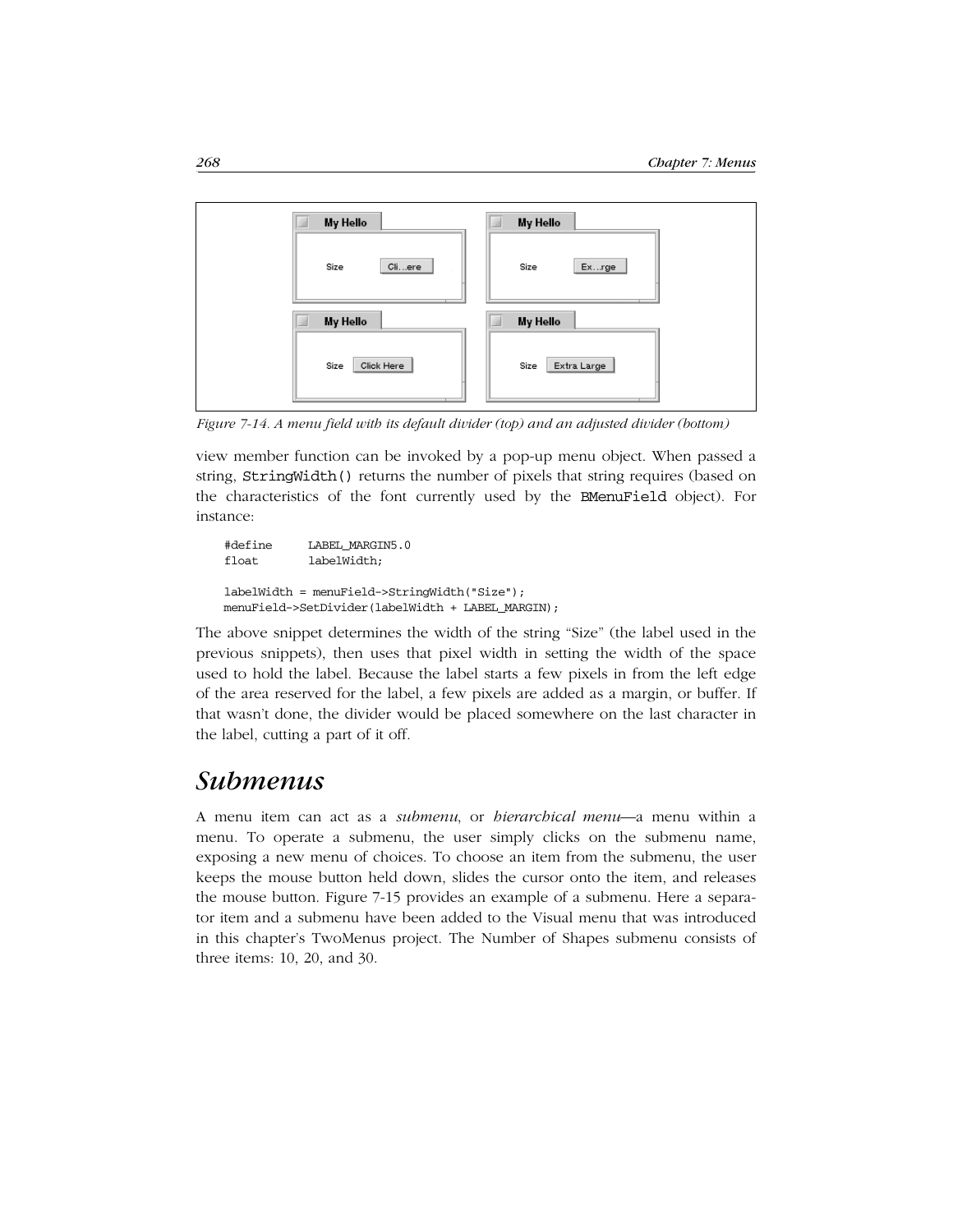

*Figure 7-14. A menu field with its default divider (top) and an adjusted divider (bottom)*

view member function can be invoked by a pop-up menu object. When passed a string, StringWidth() returns the number of pixels that string requires (based on the characteristics of the font currently used by the BMenuField object). For instance:

```
#define LABEL_MARGIN5.0
float labelWidth;
labelWidth = menuField->StringWidth("Size");
menuField->SetDivider(labelWidth + LABEL_MARGIN);
```
The above snippet determines the width of the string "Size" (the label used in the previous snippets), then uses that pixel width in setting the width of the space used to hold the label. Because the label starts a few pixels in from the left edge of the area reserved for the label, a few pixels are added as a margin, or buffer. If that wasn't done, the divider would be placed somewhere on the last character in the label, cutting a part of it off.

## *Submenus*

A menu item can act as a *submenu*, or *hierarchical menu—*a menu within a menu. To operate a submenu, the user simply clicks on the submenu name, exposing a new menu of choices. To choose an item from the submenu, the user keeps the mouse button held down, slides the cursor onto the item, and releases the mouse button. Figure 7-15 provides an example of a submenu. Here a separator item and a submenu have been added to the Visual menu that was introduced in this chapter's TwoMenus project. The Number of Shapes submenu consists of three items: 10, 20, and 30.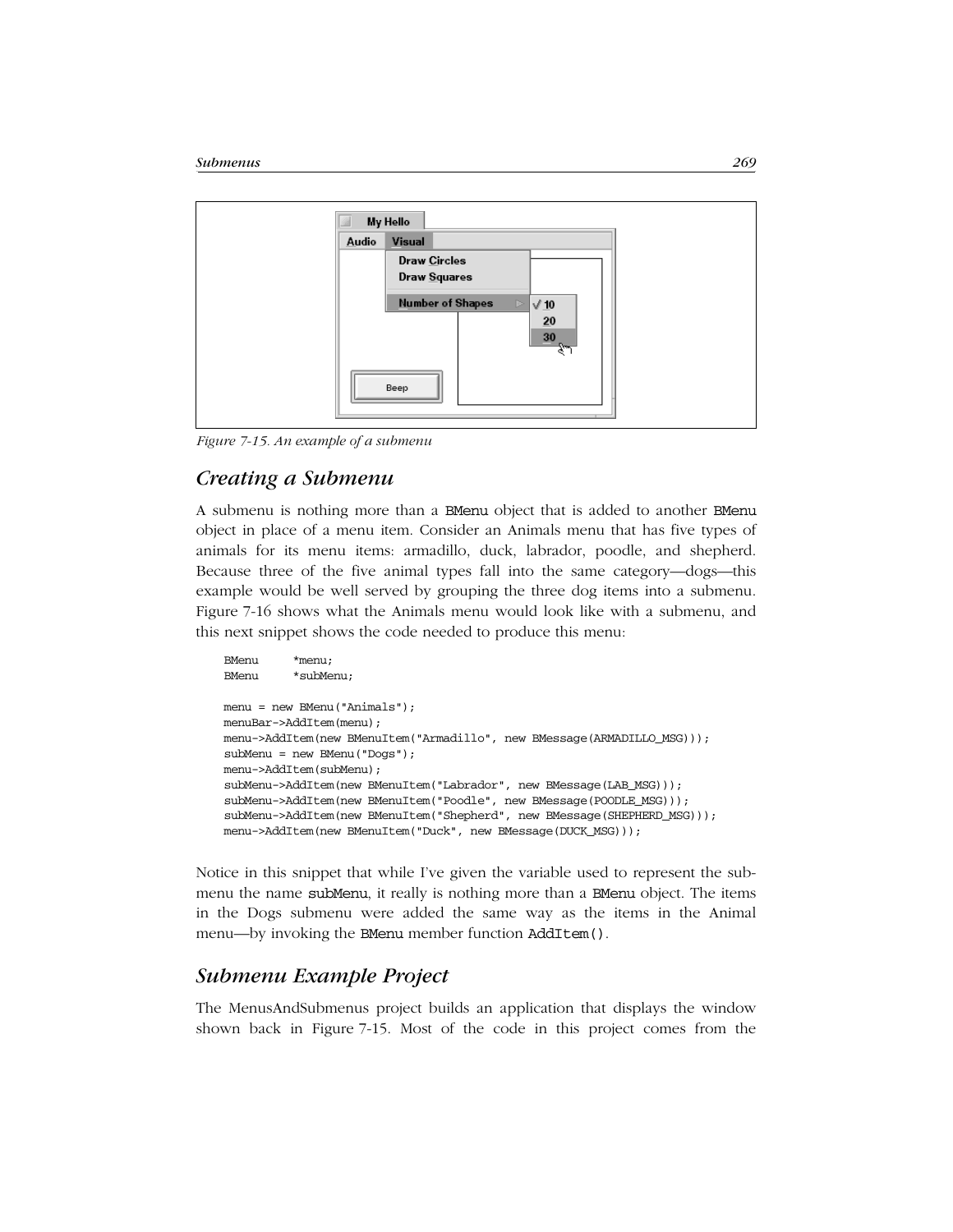

*Figure 7-15. An example of a submenu*

## *Creating a Submenu*

A submenu is nothing more than a BMenu object that is added to another BMenu object in place of a menu item. Consider an Animals menu that has five types of animals for its menu items: armadillo, duck, labrador, poodle, and shepherd. Because three of the five animal types fall into the same category—dogs—this example would be well served by grouping the three dog items into a submenu. Figure 7-16 shows what the Animals menu would look like with a submenu, and this next snippet shows the code needed to produce this menu:

```
BMenu *menu;
BMenu *subMenu;
menu = new BMenu("Animals");
menuBar->AddItem(menu);
menu->AddItem(new BMenuItem("Armadillo", new BMessage(ARMADILLO_MSG)));
subMenu = new BMenu("Dogs");
menu->AddItem(subMenu);
subMenu->AddItem(new BMenuItem("Labrador", new BMessage(LAB_MSG)));
subMenu->AddItem(new BMenuItem("Poodle", new BMessage(POODLE_MSG)));
subMenu->AddItem(new BMenuItem("Shepherd", new BMessage(SHEPHERD_MSG)));
menu->AddItem(new BMenuItem("Duck", new BMessage(DUCK_MSG)));
```
Notice in this snippet that while I've given the variable used to represent the submenu the name subMenu, it really is nothing more than a BMenu object. The items in the Dogs submenu were added the same way as the items in the Animal menu—by invoking the BMenu member function AddItem().

## *Submenu Example Project*

The MenusAndSubmenus project builds an application that displays the window shown back in Figure 7-15. Most of the code in this project comes from the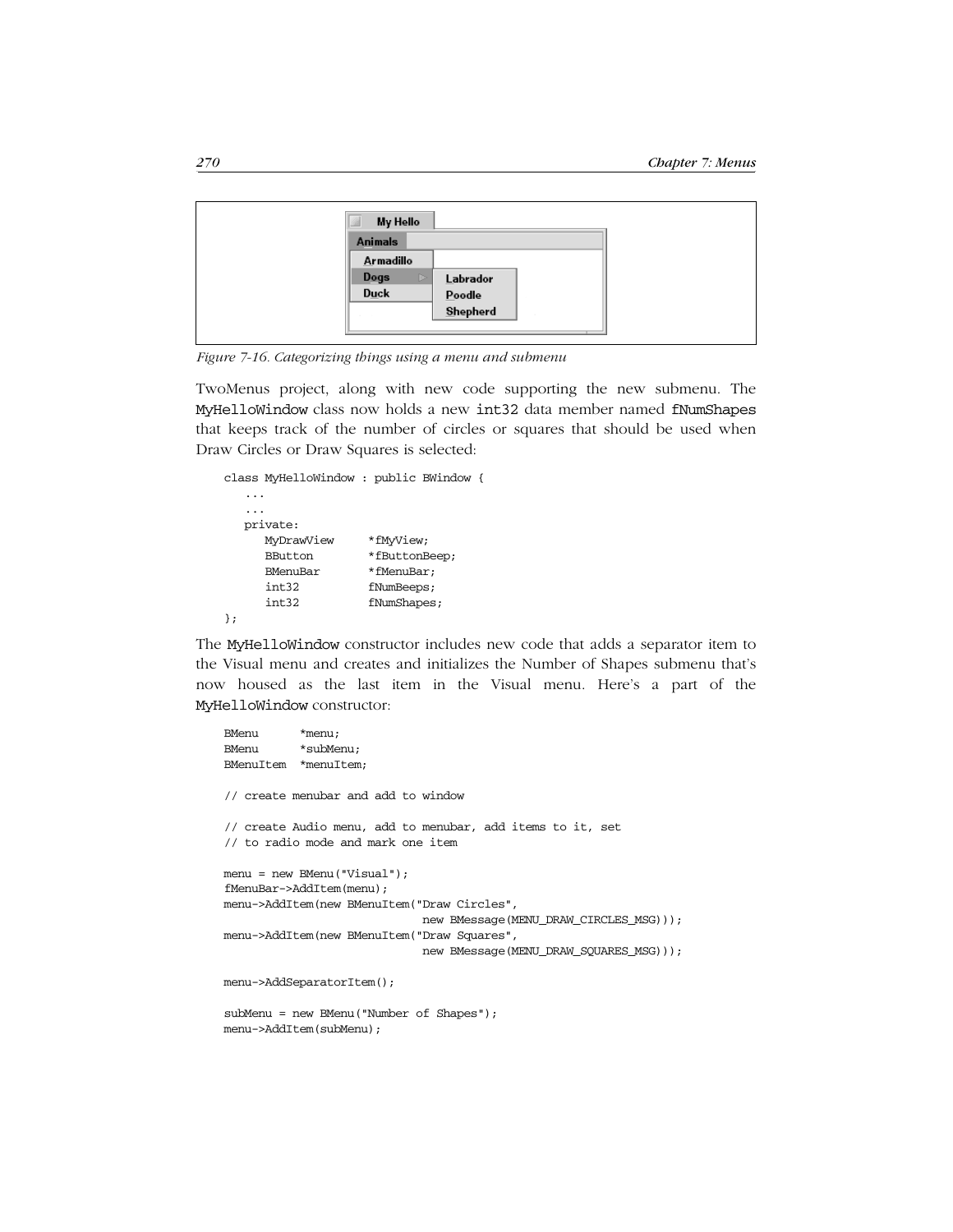| 31 | <b>My Hello</b> |                               |  |
|----|-----------------|-------------------------------|--|
|    | <b>Animals</b>  |                               |  |
|    | Armadillo       |                               |  |
|    | Dogs<br>Þ       | Labrador                      |  |
|    | <b>Duck</b>     | $\mathbf{p}_{\mathbf{oodle}}$ |  |
|    |                 | Shepherd                      |  |
|    |                 |                               |  |

*Figure 7-16. Categorizing things using a menu and submenu*

TwoMenus project, along with new code supporting the new submenu. The MyHelloWindow class now holds a new int32 data member named fNumShapes that keeps track of the number of circles or squares that should be used when Draw Circles or Draw Squares is selected:

```
class MyHelloWindow : public BWindow {
   ...
   ...
   private:
     MyDrawView *fMyView;
     BButton *fButtonBeep;
    BMenuBar *fMenuBar;
      int32 fNumBeeps;
      int32 fNumShapes;
};
```
The MyHelloWindow constructor includes new code that adds a separator item to the Visual menu and creates and initializes the Number of Shapes submenu that's now housed as the last item in the Visual menu. Here's a part of the MyHelloWindow constructor:

```
BMenu *menu;
BMenu *subMenu;
BMenuItem *menuItem;
// create menubar and add to window
// create Audio menu, add to menubar, add items to it, set
// to radio mode and mark one item
menu = new BMenu("Visual");
fMenuBar->AddItem(menu);
menu->AddItem(new BMenuItem("Draw Circles",
                            new BMessage(MENU_DRAW_CIRCLES_MSG)));
menu->AddItem(new BMenuItem("Draw Squares",
                             new BMessage(MENU_DRAW_SQUARES_MSG)));
menu->AddSeparatorItem();
subMenu = new BMenu("Number of Shapes");
menu->AddItem(subMenu);
```